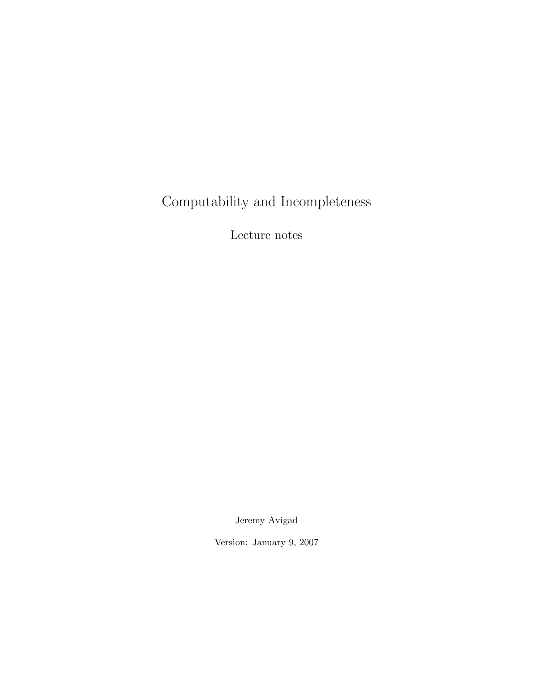Computability and Incompleteness

Lecture notes

Jeremy Avigad

Version: January 9, 2007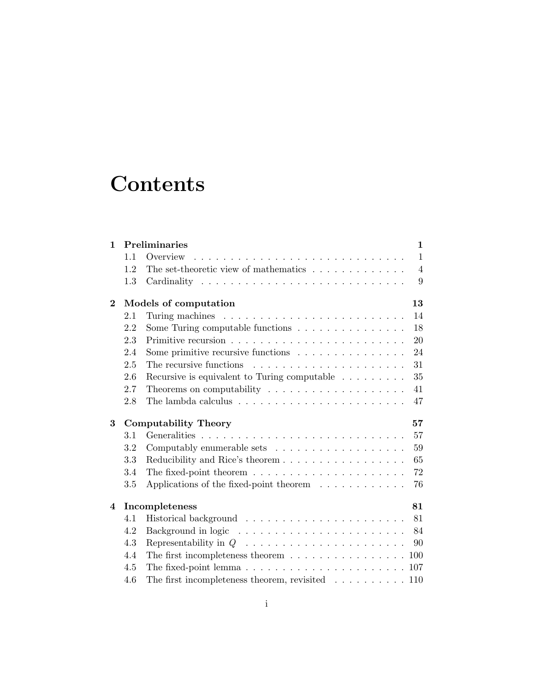# **Contents**

| $\mathbf{1}$            |     | Preliminaries                                                                              | $\mathbf 1$    |
|-------------------------|-----|--------------------------------------------------------------------------------------------|----------------|
|                         | 1.1 | Overview                                                                                   | $\mathbf{1}$   |
|                         | 1.2 | The set-theoretic view of mathematics                                                      | $\overline{4}$ |
|                         | 1.3 |                                                                                            | 9              |
| $\mathbf 2$             |     | Models of computation                                                                      | 13             |
|                         | 2.1 | Turing machines $\ldots \ldots \ldots \ldots \ldots \ldots \ldots \ldots$                  | 14             |
|                         | 2.2 | Some Turing computable functions $\ldots \ldots \ldots \ldots \ldots$                      | 18             |
|                         | 2.3 |                                                                                            | 20             |
|                         | 2.4 | Some primitive recursive functions $\dots \dots \dots \dots \dots$                         | 24             |
|                         | 2.5 |                                                                                            | 31             |
|                         | 2.6 | Recursive is equivalent to Turing computable $\ldots \ldots \ldots$                        | 35             |
|                         | 2.7 | Theorems on computability $\ldots \ldots \ldots \ldots \ldots \ldots$                      | 41             |
|                         | 2.8 |                                                                                            | 47             |
| $\bf{3}$                |     | <b>Computability Theory</b>                                                                | 57             |
|                         | 3.1 |                                                                                            | 57             |
|                         | 3.2 | Computably enumerable sets $\ldots \ldots \ldots \ldots \ldots \ldots$                     | 59             |
|                         | 3.3 | Reducibility and Rice's theorem                                                            | $65\,$         |
|                         | 3.4 |                                                                                            | 72             |
|                         | 3.5 | Applications of the fixed-point theorem $\ldots \ldots \ldots \ldots$                      | 76             |
| $\overline{\mathbf{4}}$ |     | Incompleteness                                                                             | 81             |
|                         | 4.1 |                                                                                            | 81             |
|                         | 4.2 |                                                                                            | 84             |
|                         | 4.3 | Representability in $Q \dots \dots \dots \dots \dots \dots \dots \dots$                    | 90             |
|                         | 4.4 |                                                                                            |                |
|                         | 4.5 |                                                                                            |                |
|                         |     | The fixed-point lemma $\ldots \ldots \ldots \ldots \ldots \ldots \ldots \ldots \ldots 107$ |                |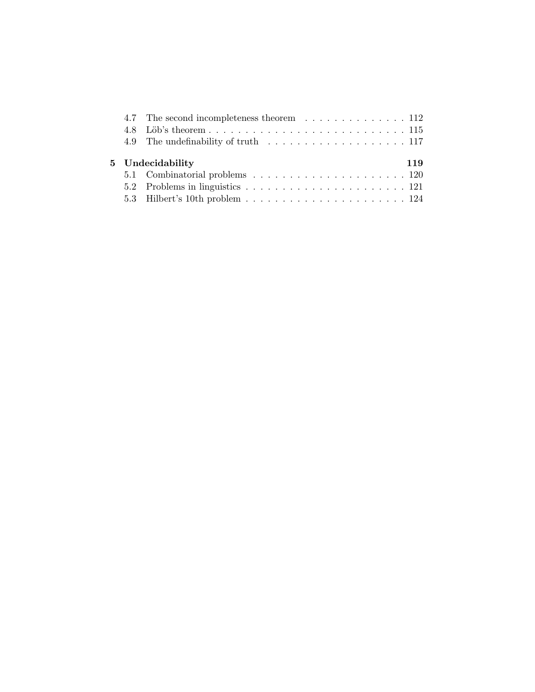|  | 4.9 The undefinability of truth $\ldots \ldots \ldots \ldots \ldots \ldots \ldots 117$ |  |
|--|----------------------------------------------------------------------------------------|--|
|  |                                                                                        |  |
|  | 5 Undecidability<br>119                                                                |  |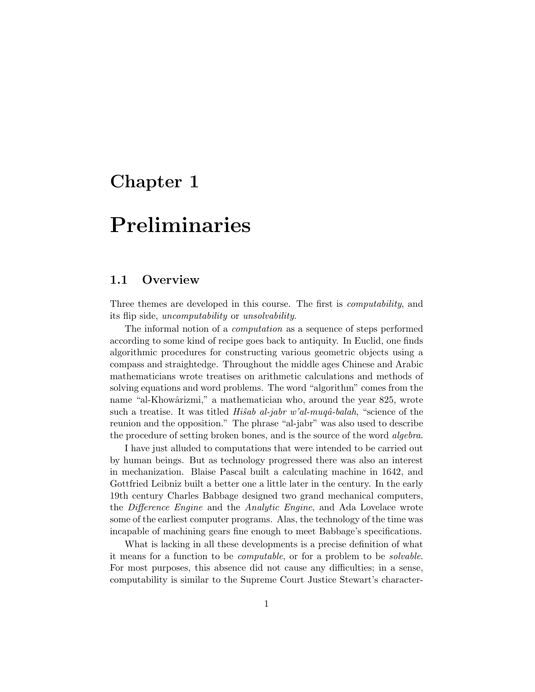### Chapter 1

# Preliminaries

### 1.1 Overview

Three themes are developed in this course. The first is computability, and its flip side, uncomputability or unsolvability.

The informal notion of a *computation* as a sequence of steps performed according to some kind of recipe goes back to antiquity. In Euclid, one finds algorithmic procedures for constructing various geometric objects using a compass and straightedge. Throughout the middle ages Chinese and Arabic mathematicians wrote treatises on arithmetic calculations and methods of solving equations and word problems. The word "algorithm" comes from the name "al-Khowârizmi," a mathematician who, around the year 825, wrote such a treatise. It was titled  $Hi\hat{s}ab$  al-jabr w'al-muqâ-balah, "science of the reunion and the opposition." The phrase "al-jabr" was also used to describe the procedure of setting broken bones, and is the source of the word *algebra*.

I have just alluded to computations that were intended to be carried out by human beings. But as technology progressed there was also an interest in mechanization. Blaise Pascal built a calculating machine in 1642, and Gottfried Leibniz built a better one a little later in the century. In the early 19th century Charles Babbage designed two grand mechanical computers, the *Difference Engine* and the *Analytic Engine*, and Ada Lovelace wrote some of the earliest computer programs. Alas, the technology of the time was incapable of machining gears fine enough to meet Babbage's specifications.

What is lacking in all these developments is a precise definition of what it means for a function to be computable, or for a problem to be solvable. For most purposes, this absence did not cause any difficulties; in a sense, computability is similar to the Supreme Court Justice Stewart's character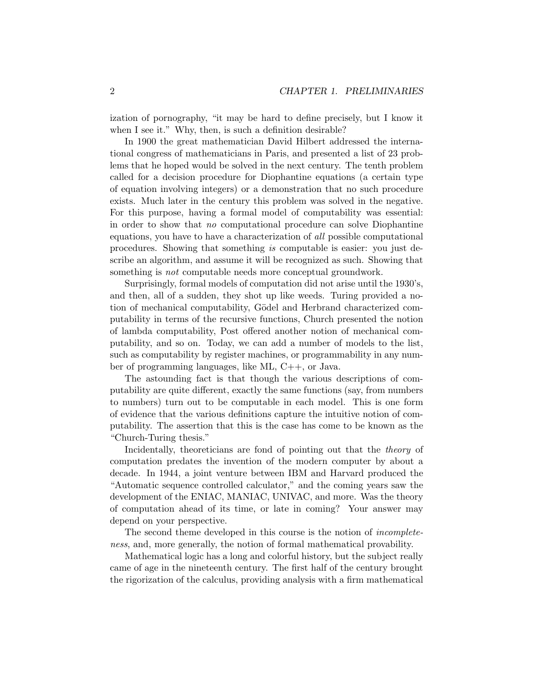ization of pornography, "it may be hard to define precisely, but I know it when I see it." Why, then, is such a definition desirable?

In 1900 the great mathematician David Hilbert addressed the international congress of mathematicians in Paris, and presented a list of 23 problems that he hoped would be solved in the next century. The tenth problem called for a decision procedure for Diophantine equations (a certain type of equation involving integers) or a demonstration that no such procedure exists. Much later in the century this problem was solved in the negative. For this purpose, having a formal model of computability was essential: in order to show that no computational procedure can solve Diophantine equations, you have to have a characterization of all possible computational procedures. Showing that something is computable is easier: you just describe an algorithm, and assume it will be recognized as such. Showing that something is *not* computable needs more conceptual groundwork.

Surprisingly, formal models of computation did not arise until the 1930's, and then, all of a sudden, they shot up like weeds. Turing provided a notion of mechanical computability, Gödel and Herbrand characterized computability in terms of the recursive functions, Church presented the notion of lambda computability, Post offered another notion of mechanical computability, and so on. Today, we can add a number of models to the list, such as computability by register machines, or programmability in any number of programming languages, like ML, C++, or Java.

The astounding fact is that though the various descriptions of computability are quite different, exactly the same functions (say, from numbers to numbers) turn out to be computable in each model. This is one form of evidence that the various definitions capture the intuitive notion of computability. The assertion that this is the case has come to be known as the "Church-Turing thesis."

Incidentally, theoreticians are fond of pointing out that the theory of computation predates the invention of the modern computer by about a decade. In 1944, a joint venture between IBM and Harvard produced the "Automatic sequence controlled calculator," and the coming years saw the development of the ENIAC, MANIAC, UNIVAC, and more. Was the theory of computation ahead of its time, or late in coming? Your answer may depend on your perspective.

The second theme developed in this course is the notion of incompleteness, and, more generally, the notion of formal mathematical provability.

Mathematical logic has a long and colorful history, but the subject really came of age in the nineteenth century. The first half of the century brought the rigorization of the calculus, providing analysis with a firm mathematical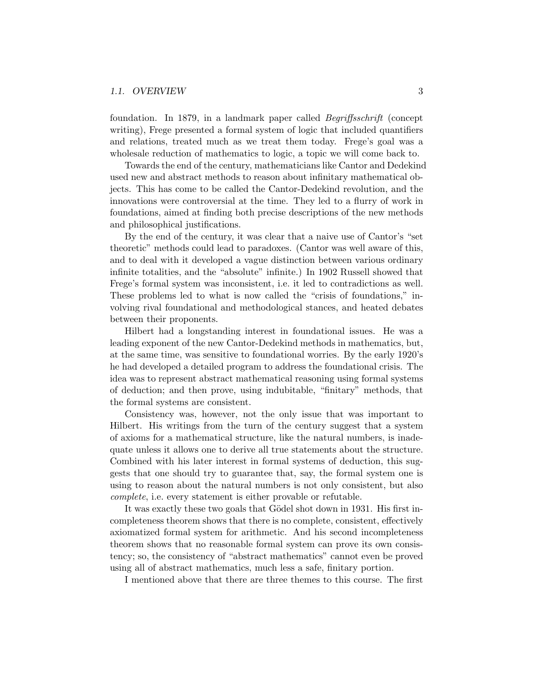foundation. In 1879, in a landmark paper called Begriffsschrift (concept writing), Frege presented a formal system of logic that included quantifiers and relations, treated much as we treat them today. Frege's goal was a wholesale reduction of mathematics to logic, a topic we will come back to.

Towards the end of the century, mathematicians like Cantor and Dedekind used new and abstract methods to reason about infinitary mathematical objects. This has come to be called the Cantor-Dedekind revolution, and the innovations were controversial at the time. They led to a flurry of work in foundations, aimed at finding both precise descriptions of the new methods and philosophical justifications.

By the end of the century, it was clear that a naive use of Cantor's "set theoretic" methods could lead to paradoxes. (Cantor was well aware of this, and to deal with it developed a vague distinction between various ordinary infinite totalities, and the "absolute" infinite.) In 1902 Russell showed that Frege's formal system was inconsistent, i.e. it led to contradictions as well. These problems led to what is now called the "crisis of foundations," involving rival foundational and methodological stances, and heated debates between their proponents.

Hilbert had a longstanding interest in foundational issues. He was a leading exponent of the new Cantor-Dedekind methods in mathematics, but, at the same time, was sensitive to foundational worries. By the early 1920's he had developed a detailed program to address the foundational crisis. The idea was to represent abstract mathematical reasoning using formal systems of deduction; and then prove, using indubitable, "finitary" methods, that the formal systems are consistent.

Consistency was, however, not the only issue that was important to Hilbert. His writings from the turn of the century suggest that a system of axioms for a mathematical structure, like the natural numbers, is inadequate unless it allows one to derive all true statements about the structure. Combined with his later interest in formal systems of deduction, this suggests that one should try to guarantee that, say, the formal system one is using to reason about the natural numbers is not only consistent, but also complete, i.e. every statement is either provable or refutable.

It was exactly these two goals that Gödel shot down in 1931. His first incompleteness theorem shows that there is no complete, consistent, effectively axiomatized formal system for arithmetic. And his second incompleteness theorem shows that no reasonable formal system can prove its own consistency; so, the consistency of "abstract mathematics" cannot even be proved using all of abstract mathematics, much less a safe, finitary portion.

I mentioned above that there are three themes to this course. The first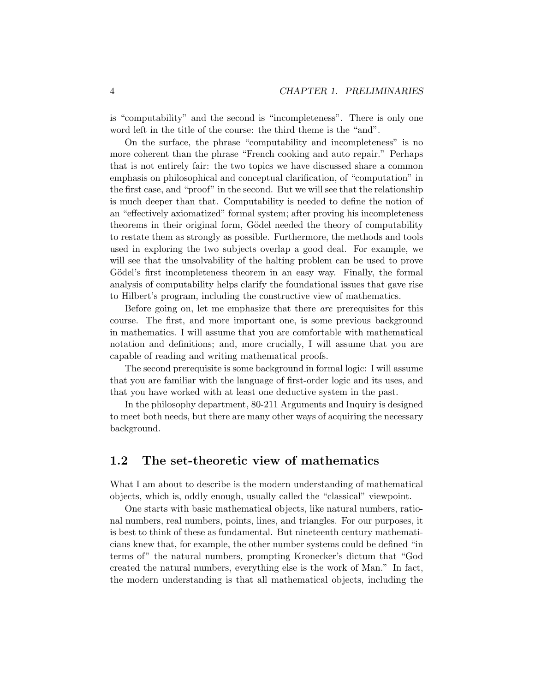is "computability" and the second is "incompleteness". There is only one word left in the title of the course: the third theme is the "and".

On the surface, the phrase "computability and incompleteness" is no more coherent than the phrase "French cooking and auto repair." Perhaps that is not entirely fair: the two topics we have discussed share a common emphasis on philosophical and conceptual clarification, of "computation" in the first case, and "proof" in the second. But we will see that the relationship is much deeper than that. Computability is needed to define the notion of an "effectively axiomatized" formal system; after proving his incompleteness theorems in their original form, Gödel needed the theory of computability to restate them as strongly as possible. Furthermore, the methods and tools used in exploring the two subjects overlap a good deal. For example, we will see that the unsolvability of the halting problem can be used to prove Gödel's first incompleteness theorem in an easy way. Finally, the formal analysis of computability helps clarify the foundational issues that gave rise to Hilbert's program, including the constructive view of mathematics.

Before going on, let me emphasize that there are prerequisites for this course. The first, and more important one, is some previous background in mathematics. I will assume that you are comfortable with mathematical notation and definitions; and, more crucially, I will assume that you are capable of reading and writing mathematical proofs.

The second prerequisite is some background in formal logic: I will assume that you are familiar with the language of first-order logic and its uses, and that you have worked with at least one deductive system in the past.

In the philosophy department, 80-211 Arguments and Inquiry is designed to meet both needs, but there are many other ways of acquiring the necessary background.

### 1.2 The set-theoretic view of mathematics

What I am about to describe is the modern understanding of mathematical objects, which is, oddly enough, usually called the "classical" viewpoint.

One starts with basic mathematical objects, like natural numbers, rational numbers, real numbers, points, lines, and triangles. For our purposes, it is best to think of these as fundamental. But nineteenth century mathematicians knew that, for example, the other number systems could be defined "in terms of" the natural numbers, prompting Kronecker's dictum that "God created the natural numbers, everything else is the work of Man." In fact, the modern understanding is that all mathematical objects, including the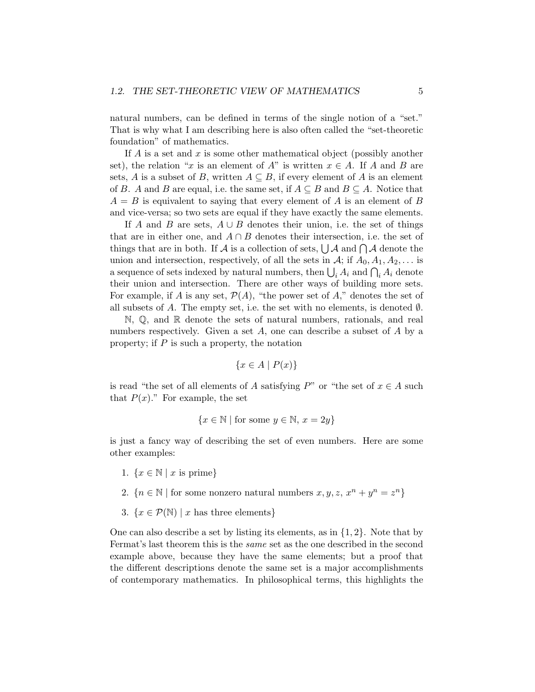natural numbers, can be defined in terms of the single notion of a "set." That is why what I am describing here is also often called the "set-theoretic foundation" of mathematics.

If  $A$  is a set and  $x$  is some other mathematical object (possibly another set), the relation "x is an element of A" is written  $x \in A$ . If A and B are sets, A is a subset of B, written  $A \subseteq B$ , if every element of A is an element of B. A and B are equal, i.e. the same set, if  $A \subseteq B$  and  $B \subseteq A$ . Notice that  $A = B$  is equivalent to saying that every element of A is an element of B and vice-versa; so two sets are equal if they have exactly the same elements.

If A and B are sets,  $A \cup B$  denotes their union, i.e. the set of things that are in either one, and  $A \cap B$  denotes their intersection, i.e. the set of things that are in both. If A is a collection of sets,  $\bigcup \mathcal{A}$  and  $\bigcap \mathcal{A}$  denote the union and intersection, respectively, of all the sets in  $\mathcal{A}$ ; if  $A_0, A_1, A_2, \ldots$  is a sequence of sets indexed by natural numbers, then  $\bigcup_i A_i$  and  $\bigcap_i A_i$  denote their union and intersection. There are other ways of building more sets. For example, if A is any set,  $\mathcal{P}(A)$ , "the power set of A," denotes the set of all subsets of A. The empty set, i.e. the set with no elements, is denoted  $\emptyset$ .

N, Q, and R denote the sets of natural numbers, rationals, and real numbers respectively. Given a set A, one can describe a subset of A by a property; if  $P$  is such a property, the notation

$$
\{x \in A \mid P(x)\}
$$

is read "the set of all elements of A satisfying  $P$ " or "the set of  $x \in A$  such that  $P(x)$ ." For example, the set

$$
\{x \in \mathbb{N} \mid \text{for some } y \in \mathbb{N}, x = 2y\}
$$

is just a fancy way of describing the set of even numbers. Here are some other examples:

- 1.  $\{x \in \mathbb{N} \mid x \text{ is prime}\}\$
- 2.  $\{n \in \mathbb{N} \mid \text{for some nonzero natural numbers } x, y, z, x^n + y^n = z^n\}$
- 3.  $\{x \in \mathcal{P}(\mathbb{N}) \mid x \text{ has three elements}\}\$

One can also describe a set by listing its elements, as in  $\{1, 2\}$ . Note that by Fermat's last theorem this is the same set as the one described in the second example above, because they have the same elements; but a proof that the different descriptions denote the same set is a major accomplishments of contemporary mathematics. In philosophical terms, this highlights the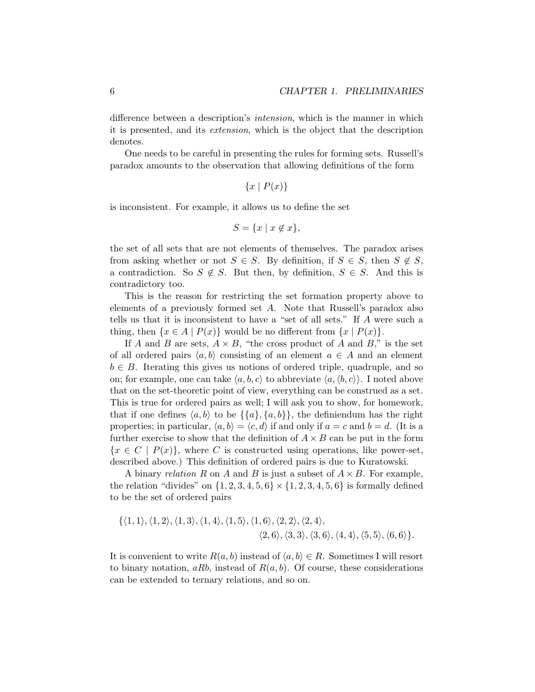difference between a description's intension, which is the manner in which it is presented, and its extension, which is the object that the description denotes.

One needs to be careful in presenting the rules for forming sets. Russell's paradox amounts to the observation that allowing definitions of the form

$$
\{x \mid P(x)\}
$$

is inconsistent. For example, it allows us to define the set

$$
S = \{x \mid x \notin x\},\
$$

the set of all sets that are not elements of themselves. The paradox arises from asking whether or not  $S \in S$ . By definition, if  $S \in S$ , then  $S \notin S$ , a contradiction. So  $S \notin S$ . But then, by definition,  $S \in S$ . And this is contradictory too.

This is the reason for restricting the set formation property above to elements of a previously formed set A. Note that Russell's paradox also tells us that it is inconsistent to have a "set of all sets." If A were such a thing, then  $\{x \in A \mid P(x)\}$  would be no different from  $\{x \mid P(x)\}$ .

If A and B are sets,  $A \times B$ , "the cross product of A and B," is the set of all ordered pairs  $\langle a, b \rangle$  consisting of an element  $a \in A$  and an element  $b \in B$ . Iterating this gives us notions of ordered triple, quadruple, and so on; for example, one can take  $\langle a, b, c \rangle$  to abbreviate  $\langle a, \langle b, c \rangle$ . I noted above that on the set-theoretic point of view, everything can be construed as a set. This is true for ordered pairs as well; I will ask you to show, for homework, that if one defines  $\langle a, b \rangle$  to be  $\{\{a\}, \{a, b\}\}\$ , the definiendum has the right properties; in particular,  $\langle a, b \rangle = \langle c, d \rangle$  if and only if  $a = c$  and  $b = d$ . (It is a further exercise to show that the definition of  $A \times B$  can be put in the form  ${x \in C \mid P(x)}$ , where C is constructed using operations, like power-set, described above.) This definition of ordered pairs is due to Kuratowski.

A binary relation R on A and B is just a subset of  $A \times B$ . For example, the relation "divides" on  $\{1, 2, 3, 4, 5, 6\} \times \{1, 2, 3, 4, 5, 6\}$  is formally defined to be the set of ordered pairs

$$
\{\langle 1,1\rangle,\langle 1,2\rangle,\langle 1,3\rangle,\langle 1,4\rangle,\langle 1,5\rangle,\langle 1,6\rangle,\langle 2,2\rangle,\langle 2,4\rangle,\langle 2,6\rangle,\langle 3,3\rangle,\langle 3,6\rangle,\langle 4,4\rangle,\langle 5,5\rangle,\langle 6,6\rangle\}.
$$

It is convenient to write  $R(a, b)$  instead of  $\langle a, b \rangle \in R$ . Sometimes I will resort to binary notation, aRb, instead of  $R(a, b)$ . Of course, these considerations can be extended to ternary relations, and so on.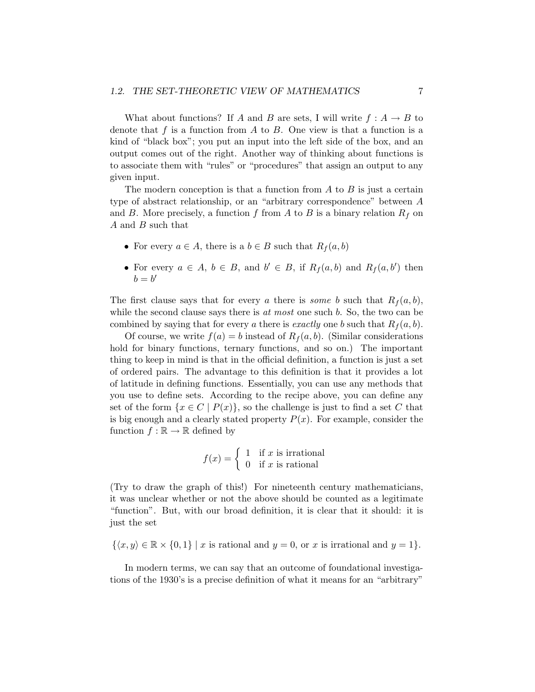What about functions? If A and B are sets, I will write  $f : A \to B$  to denote that  $f$  is a function from  $A$  to  $B$ . One view is that a function is a kind of "black box"; you put an input into the left side of the box, and an output comes out of the right. Another way of thinking about functions is to associate them with "rules" or "procedures" that assign an output to any given input.

The modern conception is that a function from  $A$  to  $B$  is just a certain type of abstract relationship, or an "arbitrary correspondence" between A and B. More precisely, a function f from A to B is a binary relation  $R_f$  on A and B such that

- For every  $a \in A$ , there is a  $b \in B$  such that  $R_f(a, b)$
- For every  $a \in A$ ,  $b \in B$ , and  $b' \in B$ , if  $R_f(a, b)$  and  $R_f(a, b')$  then  $b = b'$

The first clause says that for every a there is *some* b such that  $R_f(a, b)$ , while the second clause says there is  $at most$  one such  $b$ . So, the two can be combined by saying that for every a there is exactly one b such that  $R_f(a, b)$ .

Of course, we write  $f(a) = b$  instead of  $R_f(a, b)$ . (Similar considerations hold for binary functions, ternary functions, and so on.) The important thing to keep in mind is that in the official definition, a function is just a set of ordered pairs. The advantage to this definition is that it provides a lot of latitude in defining functions. Essentially, you can use any methods that you use to define sets. According to the recipe above, you can define any set of the form  $\{x \in C \mid P(x)\}\)$ , so the challenge is just to find a set C that is big enough and a clearly stated property  $P(x)$ . For example, consider the function  $f : \mathbb{R} \to \mathbb{R}$  defined by

$$
f(x) = \begin{cases} 1 & \text{if } x \text{ is irrational} \\ 0 & \text{if } x \text{ is rational} \end{cases}
$$

(Try to draw the graph of this!) For nineteenth century mathematicians, it was unclear whether or not the above should be counted as a legitimate "function". But, with our broad definition, it is clear that it should: it is just the set

 $\{(x, y) \in \mathbb{R} \times \{0, 1\} \mid x \text{ is rational and } y = 0, \text{ or } x \text{ is irrational and } y = 1\}.$ 

In modern terms, we can say that an outcome of foundational investigations of the 1930's is a precise definition of what it means for an "arbitrary"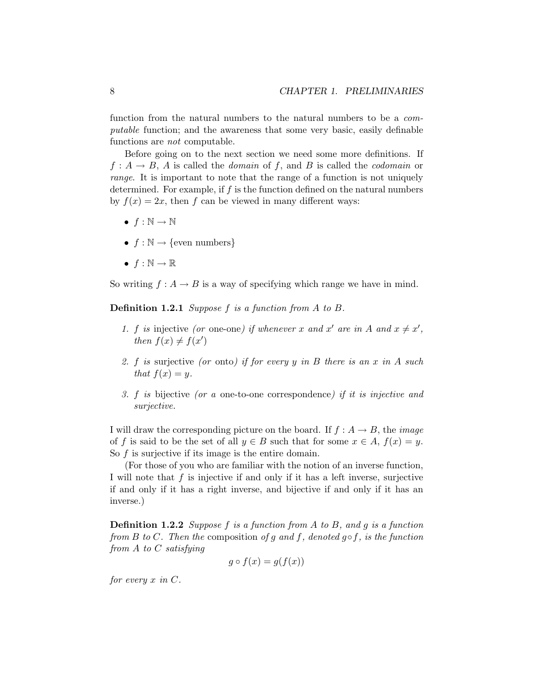function from the natural numbers to the natural numbers to be a computable function; and the awareness that some very basic, easily definable functions are not computable.

Before going on to the next section we need some more definitions. If  $f: A \to B$ , A is called the *domain* of f, and B is called the *codomain* or range. It is important to note that the range of a function is not uniquely determined. For example, if  $f$  is the function defined on the natural numbers by  $f(x) = 2x$ , then f can be viewed in many different ways:

- $f : \mathbb{N} \to \mathbb{N}$
- $f : \mathbb{N} \to \{\text{even numbers}\}\$
- $\bullet$   $f : \mathbb{N} \to \mathbb{R}$

So writing  $f : A \to B$  is a way of specifying which range we have in mind.

Definition 1.2.1 Suppose f is a function from A to B.

- 1. f is injective (or one-one) if whenever x and x' are in A and  $x \neq x'$ , then  $f(x) \neq f(x')$
- 2. f is surjective (or onto) if for every y in B there is an x in A such that  $f(x) = y$ .
- 3. f is bijective (or a one-to-one correspondence) if it is injective and surjective.

I will draw the corresponding picture on the board. If  $f : A \rightarrow B$ , the *image* of f is said to be the set of all  $y \in B$  such that for some  $x \in A$ ,  $f(x) = y$ . So f is surjective if its image is the entire domain.

(For those of you who are familiar with the notion of an inverse function, I will note that  $f$  is injective if and only if it has a left inverse, surjective if and only if it has a right inverse, and bijective if and only if it has an inverse.)

**Definition 1.2.2** Suppose f is a function from A to B, and g is a function from B to C. Then the composition of g and f, denoted g∘f, is the function from A to C satisfying

$$
g \circ f(x) = g(f(x))
$$

for every  $x$  in  $C$ .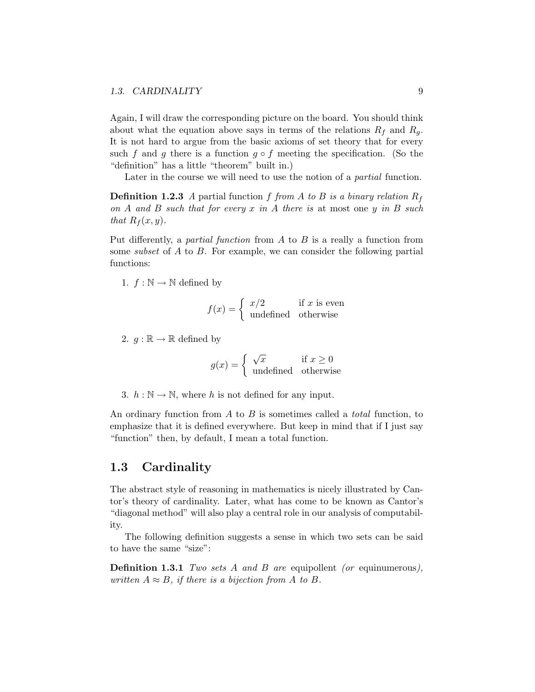Again, I will draw the corresponding picture on the board. You should think about what the equation above says in terms of the relations  $R_f$  and  $R_g$ . It is not hard to argue from the basic axioms of set theory that for every such f and g there is a function  $g \circ f$  meeting the specification. (So the "definition" has a little "theorem" built in.)

Later in the course we will need to use the notion of a *partial* function.

**Definition 1.2.3** A partial function f from A to B is a binary relation  $R_f$ on A and B such that for every x in A there is at most one y in B such that  $R_f(x, y)$ .

Put differently, a *partial function* from  $A$  to  $B$  is a really a function from some subset of A to B. For example, we can consider the following partial functions:

1.  $f : \mathbb{N} \to \mathbb{N}$  defined by

$$
f(x) = \begin{cases} x/2 & \text{if } x \text{ is even} \\ \text{undefined} & \text{otherwise} \end{cases}
$$

2.  $g : \mathbb{R} \to \mathbb{R}$  defined by

$$
g(x) = \begin{cases} \sqrt{x} & \text{if } x \ge 0\\ \text{undefined} & \text{otherwise} \end{cases}
$$

3.  $h : \mathbb{N} \to \mathbb{N}$ , where h is not defined for any input.

An ordinary function from A to B is sometimes called a *total* function, to emphasize that it is defined everywhere. But keep in mind that if I just say "function" then, by default, I mean a total function.

### 1.3 Cardinality

The abstract style of reasoning in mathematics is nicely illustrated by Cantor's theory of cardinality. Later, what has come to be known as Cantor's "diagonal method" will also play a central role in our analysis of computability.

The following definition suggests a sense in which two sets can be said to have the same "size":

Definition 1.3.1 Two sets A and B are equipollent (or equinumerous), written  $A \approx B$ , if there is a bijection from A to B.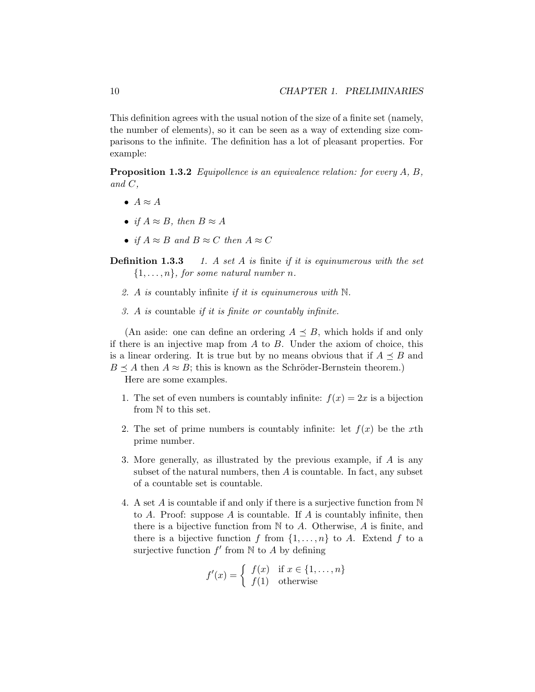This definition agrees with the usual notion of the size of a finite set (namely, the number of elements), so it can be seen as a way of extending size comparisons to the infinite. The definition has a lot of pleasant properties. For example:

Proposition 1.3.2 Equipollence is an equivalence relation: for every A, B, and C,

- $A \approx A$
- if  $A \approx B$ , then  $B \approx A$
- if  $A \approx B$  and  $B \approx C$  then  $A \approx C$
- **Definition 1.3.3** 1. A set A is finite if it is equinumerous with the set  $\{1, \ldots, n\}$ , for some natural number n.
	- 2. A is countably infinite if it is equinumerous with  $\mathbb N$ .
	- 3. A is countable if it is finite or countably infinite.

(An aside: one can define an ordering  $A \preceq B$ , which holds if and only if there is an injective map from  $A$  to  $B$ . Under the axiom of choice, this is a linear ordering. It is true but by no means obvious that if  $A \preceq B$  and  $B \preceq A$  then  $A \approx B$ ; this is known as the Schröder-Bernstein theorem.)

Here are some examples.

- 1. The set of even numbers is countably infinite:  $f(x) = 2x$  is a bijection from N to this set.
- 2. The set of prime numbers is countably infinite: let  $f(x)$  be the xth prime number.
- 3. More generally, as illustrated by the previous example, if A is any subset of the natural numbers, then  $A$  is countable. In fact, any subset of a countable set is countable.
- 4. A set A is countable if and only if there is a surjective function from N to A. Proof: suppose A is countable. If A is countably infinite, then there is a bijective function from  $\mathbb N$  to A. Otherwise, A is finite, and there is a bijective function f from  $\{1, \ldots, n\}$  to A. Extend f to a surjective function  $f'$  from  $\mathbb N$  to  $A$  by defining

$$
f'(x) = \begin{cases} f(x) & \text{if } x \in \{1, ..., n\} \\ f(1) & \text{otherwise} \end{cases}
$$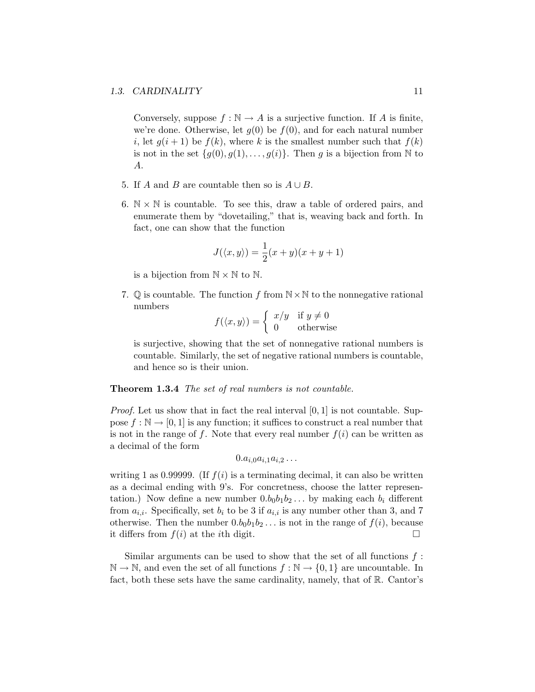Conversely, suppose  $f : \mathbb{N} \to A$  is a surjective function. If A is finite, we're done. Otherwise, let  $g(0)$  be  $f(0)$ , and for each natural number i, let  $g(i + 1)$  be  $f(k)$ , where k is the smallest number such that  $f(k)$ is not in the set  $\{g(0), g(1), \ldots, g(i)\}\$ . Then g is a bijection from N to A.

- 5. If A and B are countable then so is  $A \cup B$ .
- 6.  $\mathbb{N} \times \mathbb{N}$  is countable. To see this, draw a table of ordered pairs, and enumerate them by "dovetailing," that is, weaving back and forth. In fact, one can show that the function

$$
J(\langle x,y\rangle) = \frac{1}{2}(x+y)(x+y+1)
$$

is a bijection from  $\mathbb{N} \times \mathbb{N}$  to  $\mathbb{N}$ .

7.  $\mathbb{Q}$  is countable. The function f from  $\mathbb{N} \times \mathbb{N}$  to the nonnegative rational numbers

$$
f(\langle x, y \rangle) = \begin{cases} x/y & \text{if } y \neq 0 \\ 0 & \text{otherwise} \end{cases}
$$

is surjective, showing that the set of nonnegative rational numbers is countable. Similarly, the set of negative rational numbers is countable, and hence so is their union.

Theorem 1.3.4 The set of real numbers is not countable.

*Proof.* Let us show that in fact the real interval  $[0, 1]$  is not countable. Suppose  $f : \mathbb{N} \to [0, 1]$  is any function; it suffices to construct a real number that is not in the range of f. Note that every real number  $f(i)$  can be written as a decimal of the form

$$
0.a_{i,0}a_{i,1}a_{i,2}\ldots
$$

writing 1 as 0.99999. (If  $f(i)$  is a terminating decimal, it can also be written as a decimal ending with 9's. For concretness, choose the latter representation.) Now define a new number  $0.b_0b_1b_2...$  by making each  $b_i$  different from  $a_{i,i}$ . Specifically, set  $b_i$  to be 3 if  $a_{i,i}$  is any number other than 3, and 7 otherwise. Then the number  $0.b_0b_1b_2...$  is not in the range of  $f(i)$ , because it differs from  $f(i)$  at the *i*th digit.

Similar arguments can be used to show that the set of all functions  $f$ :  $\mathbb{N} \to \mathbb{N}$ , and even the set of all functions  $f : \mathbb{N} \to \{0, 1\}$  are uncountable. In fact, both these sets have the same cardinality, namely, that of  $\mathbb{R}$ . Cantor's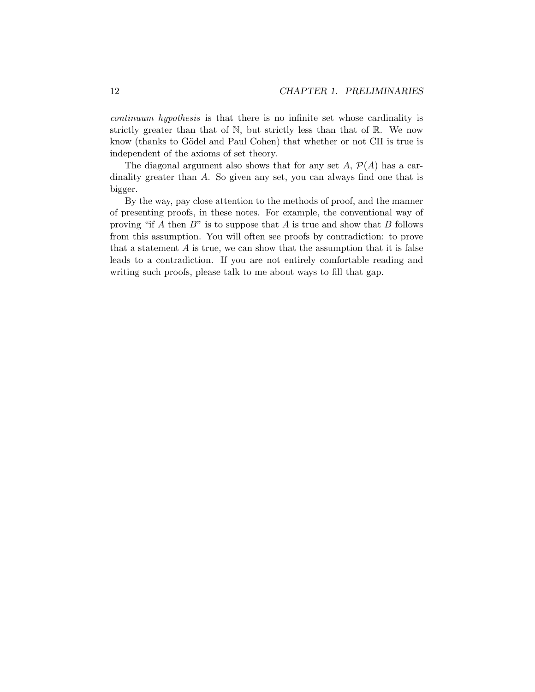continuum hypothesis is that there is no infinite set whose cardinality is strictly greater than that of N, but strictly less than that of R. We now know (thanks to Gödel and Paul Cohen) that whether or not CH is true is independent of the axioms of set theory.

The diagonal argument also shows that for any set  $A, \mathcal{P}(A)$  has a cardinality greater than A. So given any set, you can always find one that is bigger.

By the way, pay close attention to the methods of proof, and the manner of presenting proofs, in these notes. For example, the conventional way of proving "if  $A$  then  $B$ " is to suppose that  $A$  is true and show that  $B$  follows from this assumption. You will often see proofs by contradiction: to prove that a statement  $A$  is true, we can show that the assumption that it is false leads to a contradiction. If you are not entirely comfortable reading and writing such proofs, please talk to me about ways to fill that gap.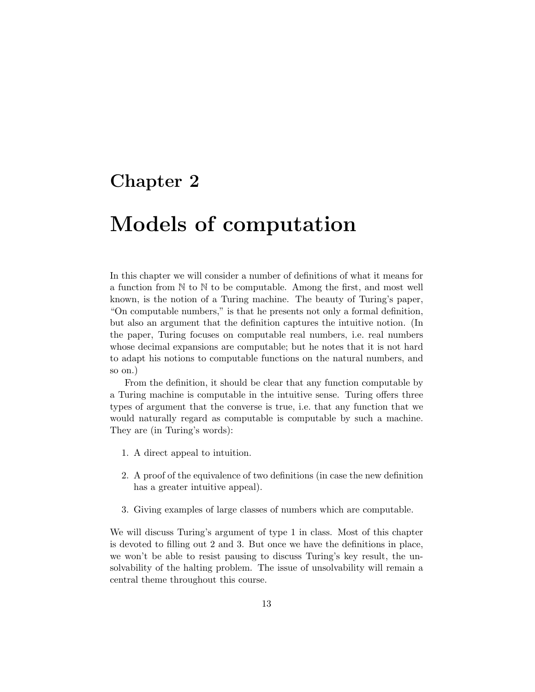### Chapter 2

## Models of computation

In this chapter we will consider a number of definitions of what it means for a function from N to N to be computable. Among the first, and most well known, is the notion of a Turing machine. The beauty of Turing's paper, "On computable numbers," is that he presents not only a formal definition, but also an argument that the definition captures the intuitive notion. (In the paper, Turing focuses on computable real numbers, i.e. real numbers whose decimal expansions are computable; but he notes that it is not hard to adapt his notions to computable functions on the natural numbers, and so on.)

From the definition, it should be clear that any function computable by a Turing machine is computable in the intuitive sense. Turing offers three types of argument that the converse is true, i.e. that any function that we would naturally regard as computable is computable by such a machine. They are (in Turing's words):

- 1. A direct appeal to intuition.
- 2. A proof of the equivalence of two definitions (in case the new definition has a greater intuitive appeal).
- 3. Giving examples of large classes of numbers which are computable.

We will discuss Turing's argument of type 1 in class. Most of this chapter is devoted to filling out 2 and 3. But once we have the definitions in place, we won't be able to resist pausing to discuss Turing's key result, the unsolvability of the halting problem. The issue of unsolvability will remain a central theme throughout this course.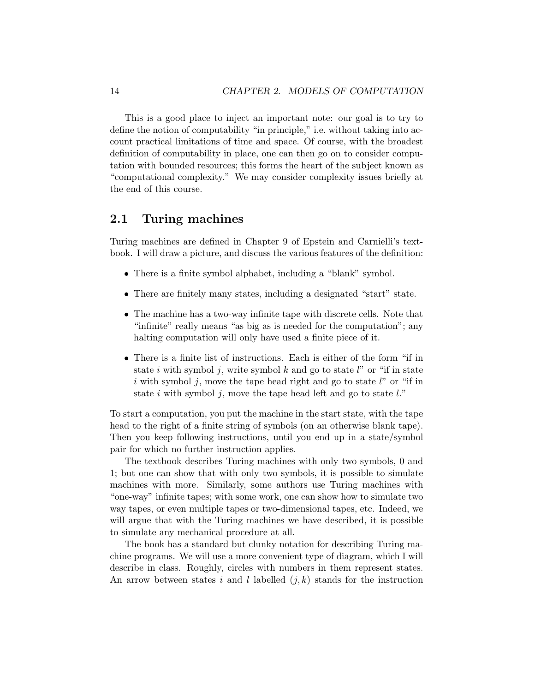This is a good place to inject an important note: our goal is to try to define the notion of computability "in principle," i.e. without taking into account practical limitations of time and space. Of course, with the broadest definition of computability in place, one can then go on to consider computation with bounded resources; this forms the heart of the subject known as "computational complexity." We may consider complexity issues briefly at the end of this course.

### 2.1 Turing machines

Turing machines are defined in Chapter 9 of Epstein and Carnielli's textbook. I will draw a picture, and discuss the various features of the definition:

- There is a finite symbol alphabet, including a "blank" symbol.
- There are finitely many states, including a designated "start" state.
- The machine has a two-way infinite tape with discrete cells. Note that "infinite" really means "as big as is needed for the computation"; any halting computation will only have used a finite piece of it.
- There is a finite list of instructions. Each is either of the form "if in state i with symbol j, write symbol k and go to state  $l^{\prime\prime}$  or "if in state i with symbol j, move the tape head right and go to state  $l^{\prime\prime}$  or "if in state i with symbol j, move the tape head left and go to state  $l$ ."

To start a computation, you put the machine in the start state, with the tape head to the right of a finite string of symbols (on an otherwise blank tape). Then you keep following instructions, until you end up in a state/symbol pair for which no further instruction applies.

The textbook describes Turing machines with only two symbols, 0 and 1; but one can show that with only two symbols, it is possible to simulate machines with more. Similarly, some authors use Turing machines with "one-way" infinite tapes; with some work, one can show how to simulate two way tapes, or even multiple tapes or two-dimensional tapes, etc. Indeed, we will argue that with the Turing machines we have described, it is possible to simulate any mechanical procedure at all.

The book has a standard but clunky notation for describing Turing machine programs. We will use a more convenient type of diagram, which I will describe in class. Roughly, circles with numbers in them represent states. An arrow between states i and l labelled  $(j, k)$  stands for the instruction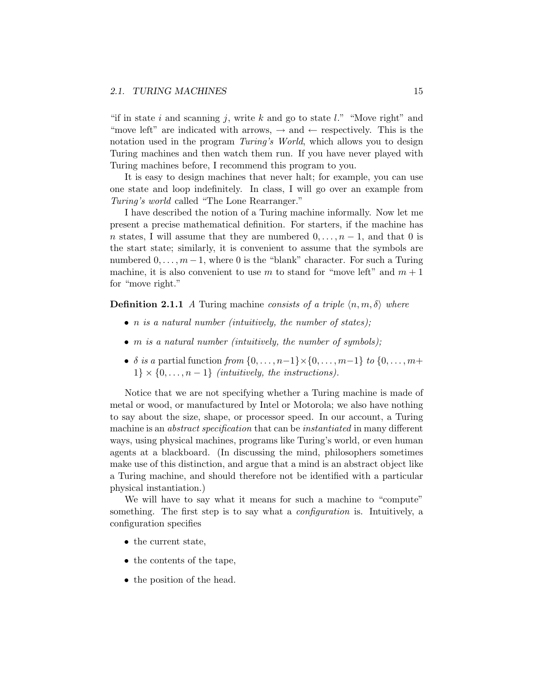"if in state i and scanning j, write k and go to state  $l$ ." "Move right" and "move left" are indicated with arrows,  $\rightarrow$  and  $\leftarrow$  respectively. This is the notation used in the program Turing's World, which allows you to design Turing machines and then watch them run. If you have never played with Turing machines before, I recommend this program to you.

It is easy to design machines that never halt; for example, you can use one state and loop indefinitely. In class, I will go over an example from Turing's world called "The Lone Rearranger."

I have described the notion of a Turing machine informally. Now let me present a precise mathematical definition. For starters, if the machine has n states, I will assume that they are numbered  $0, \ldots, n-1$ , and that 0 is the start state; similarly, it is convenient to assume that the symbols are numbered  $0, \ldots, m-1$ , where 0 is the "blank" character. For such a Turing machine, it is also convenient to use m to stand for "move left" and  $m + 1$ for "move right."

**Definition 2.1.1** A Turing machine consists of a triple  $\langle n, m, \delta \rangle$  where

- $n$  is a natural number (intuitively, the number of states);
- $\bullet$  m is a natural number (intuitively, the number of symbols);
- $\delta$  is a partial function from  $\{0, \ldots, n-1\} \times \{0, \ldots, m-1\}$  to  $\{0, \ldots, m+1\}$  $1\} \times \{0, \ldots, n-1\}$  (intuitively, the instructions).

Notice that we are not specifying whether a Turing machine is made of metal or wood, or manufactured by Intel or Motorola; we also have nothing to say about the size, shape, or processor speed. In our account, a Turing machine is an *abstract specification* that can be *instantiated* in many different ways, using physical machines, programs like Turing's world, or even human agents at a blackboard. (In discussing the mind, philosophers sometimes make use of this distinction, and argue that a mind is an abstract object like a Turing machine, and should therefore not be identified with a particular physical instantiation.)

We will have to say what it means for such a machine to "compute" something. The first step is to say what a *configuration* is. Intuitively, a configuration specifies

- the current state,
- the contents of the tape,
- the position of the head.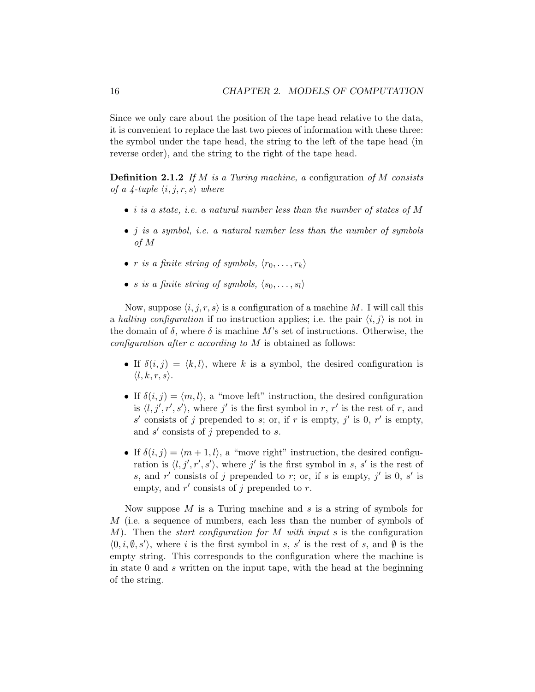Since we only care about the position of the tape head relative to the data, it is convenient to replace the last two pieces of information with these three: the symbol under the tape head, the string to the left of the tape head (in reverse order), and the string to the right of the tape head.

**Definition 2.1.2** If M is a Turing machine, a configuration of M consists of a 4-tuple  $\langle i, j, r, s \rangle$  where

- i is a state, i.e. a natural number less than the number of states of  $M$
- $\bullet$  *j* is a symbol, *i.e.* a natural number less than the number of symbols of M
- r is a finite string of symbols,  $\langle r_0, \ldots, r_k \rangle$
- s is a finite string of symbols,  $\langle s_0, \ldots, s_l \rangle$

Now, suppose  $\langle i, j, r, s \rangle$  is a configuration of a machine M. I will call this a halting configuration if no instruction applies; i.e. the pair  $\langle i, j \rangle$  is not in the domain of  $\delta$ , where  $\delta$  is machine M's set of instructions. Otherwise, the configuration after c according to  $M$  is obtained as follows:

- If  $\delta(i, j) = \langle k, l \rangle$ , where k is a symbol, the desired configuration is  $\langle l, k, r, s \rangle$ .
- If  $\delta(i, j) = \langle m, l \rangle$ , a "move left" instruction, the desired configuration is  $\langle l, j', r', s' \rangle$ , where j' is the first symbol in r, r' is the rest of r, and s' consists of j prepended to s; or, if r is empty, j' is 0, r' is empty, and  $s'$  consists of j prepended to  $s$ .
- If  $\delta(i, j) = \langle m + 1, l \rangle$ , a "move right" instruction, the desired configuration is  $\langle l, j', r', s' \rangle$ , where j' is the first symbol in s, s' is the rest of s, and r' consists of j prepended to r; or, if s is empty, j' is 0, s' is empty, and  $r'$  consists of j prepended to r.

Now suppose  $M$  is a Turing machine and  $s$  is a string of symbols for M (i.e. a sequence of numbers, each less than the number of symbols of M). Then the *start configuration for*  $M$  with input  $s$  is the configuration  $\langle 0, i, \emptyset, s' \rangle$ , where i is the first symbol in s, s' is the rest of s, and  $\emptyset$  is the empty string. This corresponds to the configuration where the machine is in state 0 and s written on the input tape, with the head at the beginning of the string.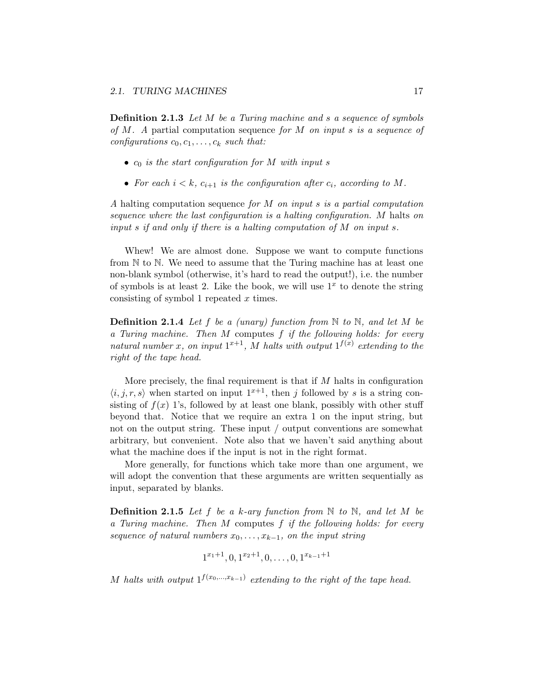**Definition 2.1.3** Let M be a Turing machine and s a sequence of symbols of  $M$ . A partial computation sequence for  $M$  on input  $s$  is a sequence of configurations  $c_0, c_1, \ldots, c_k$  such that:

- $c_0$  is the start configuration for M with input s
- For each  $i < k$ ,  $c_{i+1}$  is the configuration after  $c_i$ , according to M.

A halting computation sequence for M on input s is a partial computation sequence where the last configuration is a halting configuration. M halts on input s if and only if there is a halting computation of M on input s.

Whew! We are almost done. Suppose we want to compute functions from N to N. We need to assume that the Turing machine has at least one non-blank symbol (otherwise, it's hard to read the output!), i.e. the number of symbols is at least 2. Like the book, we will use  $1<sup>x</sup>$  to denote the string consisting of symbol 1 repeated x times.

**Definition 2.1.4** Let f be a (unary) function from  $\mathbb N$  to  $\mathbb N$ , and let M be a Turing machine. Then M computes f if the following holds: for every natural number x, on input  $1^{x+1}$ , M halts with output  $1^{f(x)}$  extending to the right of the tape head.

More precisely, the final requirement is that if  $M$  halts in configuration  $\langle i, j, r, s \rangle$  when started on input  $1^{x+1}$ , then j followed by s is a string consisting of  $f(x)$  1's, followed by at least one blank, possibly with other stuff beyond that. Notice that we require an extra 1 on the input string, but not on the output string. These input / output conventions are somewhat arbitrary, but convenient. Note also that we haven't said anything about what the machine does if the input is not in the right format.

More generally, for functions which take more than one argument, we will adopt the convention that these arguments are written sequentially as input, separated by blanks.

**Definition 2.1.5** Let f be a k-ary function from  $\mathbb N$  to  $\mathbb N$ , and let M be a Turing machine. Then  $M$  computes  $f$  if the following holds: for every sequence of natural numbers  $x_0, \ldots, x_{k-1}$ , on the input string

$$
1^{x_1+1}, 0, 1^{x_2+1}, 0, \ldots, 0, 1^{x_{k-1}+1}
$$

M halts with output  $1^{f(x_0,...,x_{k-1})}$  extending to the right of the tape head.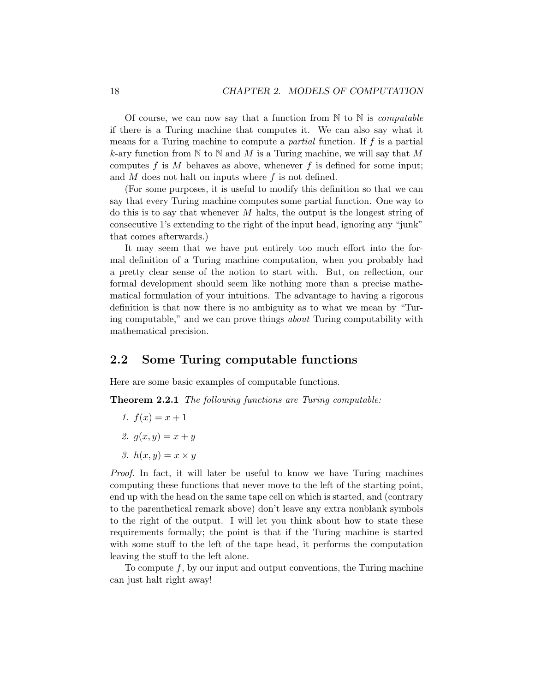Of course, we can now say that a function from  $\mathbb N$  to  $\mathbb N$  is *computable* if there is a Turing machine that computes it. We can also say what it means for a Turing machine to compute a *partial* function. If  $f$  is a partial k-ary function from  $\mathbb N$  to  $\mathbb N$  and  $M$  is a Turing machine, we will say that  $M$ computes f is M behaves as above, whenever f is defined for some input; and  $M$  does not halt on inputs where  $f$  is not defined.

(For some purposes, it is useful to modify this definition so that we can say that every Turing machine computes some partial function. One way to do this is to say that whenever  $M$  halts, the output is the longest string of consecutive 1's extending to the right of the input head, ignoring any "junk" that comes afterwards.)

It may seem that we have put entirely too much effort into the formal definition of a Turing machine computation, when you probably had a pretty clear sense of the notion to start with. But, on reflection, our formal development should seem like nothing more than a precise mathematical formulation of your intuitions. The advantage to having a rigorous definition is that now there is no ambiguity as to what we mean by "Turing computable," and we can prove things about Turing computability with mathematical precision.

### 2.2 Some Turing computable functions

Here are some basic examples of computable functions.

**Theorem 2.2.1** The following functions are Turing computable:

- 1.  $f(x) = x + 1$
- 2.  $g(x, y) = x + y$
- 3.  $h(x, y) = x \times y$

Proof. In fact, it will later be useful to know we have Turing machines computing these functions that never move to the left of the starting point, end up with the head on the same tape cell on which is started, and (contrary to the parenthetical remark above) don't leave any extra nonblank symbols to the right of the output. I will let you think about how to state these requirements formally; the point is that if the Turing machine is started with some stuff to the left of the tape head, it performs the computation leaving the stuff to the left alone.

To compute f, by our input and output conventions, the Turing machine can just halt right away!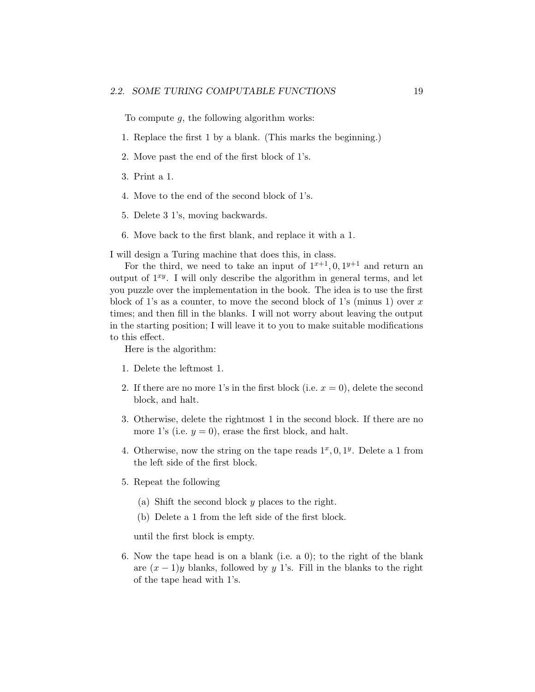To compute g, the following algorithm works:

- 1. Replace the first 1 by a blank. (This marks the beginning.)
- 2. Move past the end of the first block of 1's.
- 3. Print a 1.
- 4. Move to the end of the second block of 1's.
- 5. Delete 3 1's, moving backwards.
- 6. Move back to the first blank, and replace it with a 1.

I will design a Turing machine that does this, in class.

For the third, we need to take an input of  $1^{x+1}$ ,  $0$ ,  $1^{y+1}$  and return an output of  $1^{xy}$ . I will only describe the algorithm in general terms, and let you puzzle over the implementation in the book. The idea is to use the first block of 1's as a counter, to move the second block of 1's (minus 1) over  $x$ times; and then fill in the blanks. I will not worry about leaving the output in the starting position; I will leave it to you to make suitable modifications to this effect.

Here is the algorithm:

- 1. Delete the leftmost 1.
- 2. If there are no more 1's in the first block (i.e.  $x = 0$ ), delete the second block, and halt.
- 3. Otherwise, delete the rightmost 1 in the second block. If there are no more 1's (i.e.  $y = 0$ ), erase the first block, and halt.
- 4. Otherwise, now the string on the tape reads  $1^x, 0, 1^y$ . Delete a 1 from the left side of the first block.
- 5. Repeat the following
	- (a) Shift the second block y places to the right.
	- (b) Delete a 1 from the left side of the first block.

until the first block is empty.

6. Now the tape head is on a blank (i.e. a 0); to the right of the blank are  $(x - 1)y$  blanks, followed by y 1's. Fill in the blanks to the right of the tape head with 1's.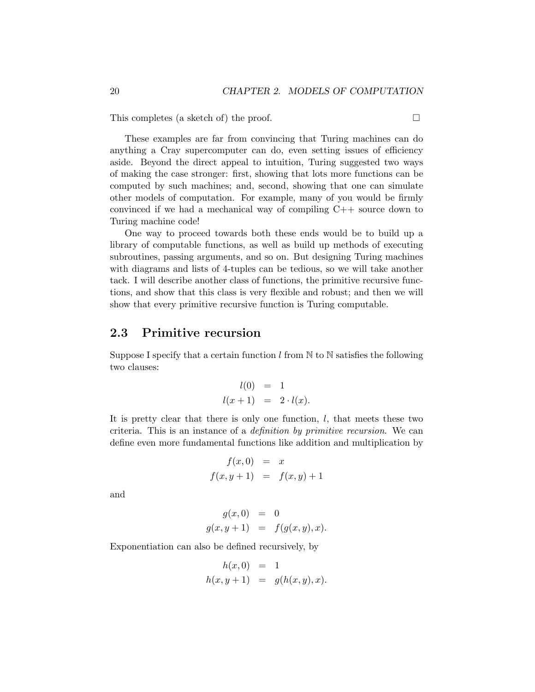This completes (a sketch of) the proof.  $\Box$ 

These examples are far from convincing that Turing machines can do anything a Cray supercomputer can do, even setting issues of efficiency aside. Beyond the direct appeal to intuition, Turing suggested two ways of making the case stronger: first, showing that lots more functions can be computed by such machines; and, second, showing that one can simulate other models of computation. For example, many of you would be firmly convinced if we had a mechanical way of compiling C++ source down to Turing machine code!

One way to proceed towards both these ends would be to build up a library of computable functions, as well as build up methods of executing subroutines, passing arguments, and so on. But designing Turing machines with diagrams and lists of 4-tuples can be tedious, so we will take another tack. I will describe another class of functions, the primitive recursive functions, and show that this class is very flexible and robust; and then we will show that every primitive recursive function is Turing computable.

#### 2.3 Primitive recursion

Suppose I specify that a certain function  $l$  from  $\mathbb N$  to  $\mathbb N$  satisfies the following two clauses:

$$
l(0) = 1 l(x+1) = 2 \cdot l(x).
$$

It is pretty clear that there is only one function,  $l$ , that meets these two criteria. This is an instance of a definition by primitive recursion. We can define even more fundamental functions like addition and multiplication by

$$
f(x, 0) = x
$$
  

$$
f(x, y+1) = f(x, y) + 1
$$

and

$$
g(x, 0) = 0
$$
  

$$
g(x, y + 1) = f(g(x, y), x).
$$

Exponentiation can also be defined recursively, by

$$
h(x, 0) = 1 h(x, y + 1) = g(h(x, y), x).
$$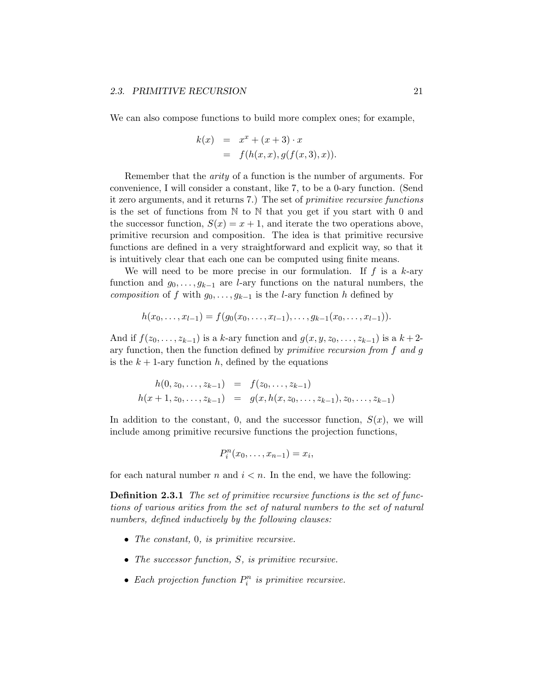We can also compose functions to build more complex ones; for example,

$$
k(x) = x^{x} + (x+3) \cdot x
$$
  
=  $f(h(x, x), g(f(x, 3), x)).$ 

Remember that the arity of a function is the number of arguments. For convenience, I will consider a constant, like 7, to be a 0-ary function. (Send it zero arguments, and it returns 7.) The set of primitive recursive functions is the set of functions from  $\mathbb N$  to  $\mathbb N$  that you get if you start with 0 and the successor function,  $S(x) = x + 1$ , and iterate the two operations above, primitive recursion and composition. The idea is that primitive recursive functions are defined in a very straightforward and explicit way, so that it is intuitively clear that each one can be computed using finite means.

We will need to be more precise in our formulation. If  $f$  is a  $k$ -ary function and  $g_0, \ldots, g_{k-1}$  are *l*-ary functions on the natural numbers, the composition of f with  $g_0, \ldots, g_{k-1}$  is the l-ary function h defined by

$$
h(x_0,\ldots,x_{l-1})=f(g_0(x_0,\ldots,x_{l-1}),\ldots,g_{k-1}(x_0,\ldots,x_{l-1})).
$$

And if  $f(z_0, \ldots, z_{k-1})$  is a k-ary function and  $g(x, y, z_0, \ldots, z_{k-1})$  is a  $k+2$ ary function, then the function defined by primitive recursion from f and g is the  $k + 1$ -ary function h, defined by the equations

$$
h(0, z_0, \ldots, z_{k-1}) = f(z_0, \ldots, z_{k-1})
$$
  

$$
h(x+1, z_0, \ldots, z_{k-1}) = g(x, h(x, z_0, \ldots, z_{k-1}), z_0, \ldots, z_{k-1})
$$

In addition to the constant, 0, and the successor function,  $S(x)$ , we will include among primitive recursive functions the projection functions,

$$
P_i^n(x_0,\ldots,x_{n-1})=x_i,
$$

for each natural number n and  $i < n$ . In the end, we have the following:

**Definition 2.3.1** The set of primitive recursive functions is the set of functions of various arities from the set of natural numbers to the set of natural numbers, defined inductively by the following clauses:

- The constant, 0, is primitive recursive.
- The successor function, S, is primitive recursive.
- Each projection function  $P_i^n$  is primitive recursive.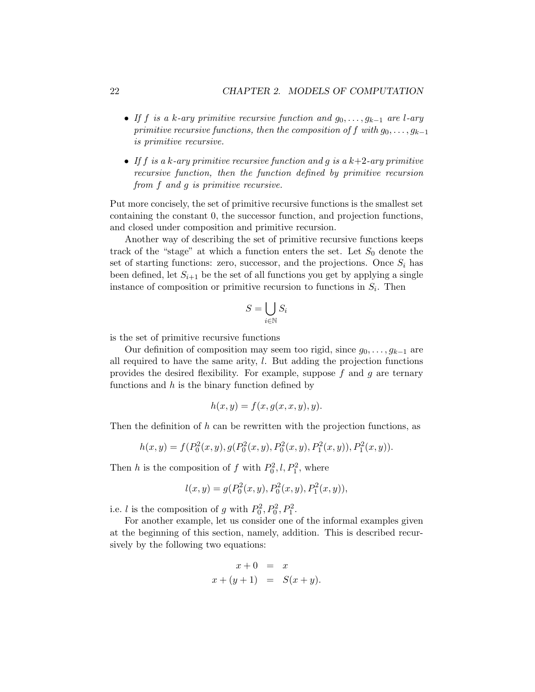- If f is a k-ary primitive recursive function and  $g_0, \ldots, g_{k-1}$  are l-ary primitive recursive functions, then the composition of f with  $g_0, \ldots, g_{k-1}$ is primitive recursive.
- If f is a k-ary primitive recursive function and g is a  $k+2$ -ary primitive recursive function, then the function defined by primitive recursion from f and g is primitive recursive.

Put more concisely, the set of primitive recursive functions is the smallest set containing the constant 0, the successor function, and projection functions, and closed under composition and primitive recursion.

Another way of describing the set of primitive recursive functions keeps track of the "stage" at which a function enters the set. Let  $S_0$  denote the set of starting functions: zero, successor, and the projections. Once  $S_i$  has been defined, let  $S_{i+1}$  be the set of all functions you get by applying a single instance of composition or primitive recursion to functions in  $S_i$ . Then

$$
S = \bigcup_{i \in \mathbb{N}} S_i
$$

is the set of primitive recursive functions

Our definition of composition may seem too rigid, since  $g_0, \ldots, g_{k-1}$  are all required to have the same arity,  $l$ . But adding the projection functions provides the desired flexibility. For example, suppose  $f$  and  $g$  are ternary functions and  $h$  is the binary function defined by

$$
h(x, y) = f(x, g(x, x, y), y).
$$

Then the definition of h can be rewritten with the projection functions, as

$$
h(x,y) = f(P_0^2(x,y), g(P_0^2(x,y), P_0^2(x,y), P_1^2(x,y)), P_1^2(x,y)).
$$

Then h is the composition of f with  $P_0^2$ , l,  $P_1^2$ , where

$$
l(x, y) = g(P_0^2(x, y), P_0^2(x, y), P_1^2(x, y)),
$$

i.e. l is the composition of g with  $P_0^2, P_0^2, P_1^2$ .

For another example, let us consider one of the informal examples given at the beginning of this section, namely, addition. This is described recursively by the following two equations:

$$
x + 0 = x
$$
  

$$
x + (y + 1) = S(x + y).
$$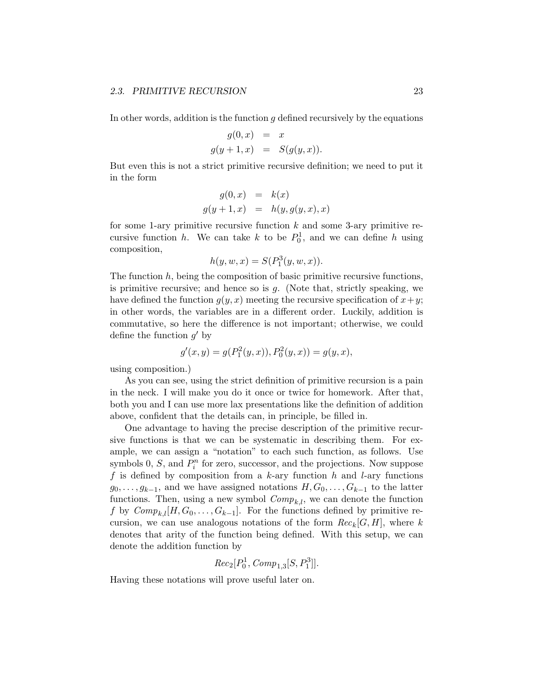In other words, addition is the function  $g$  defined recursively by the equations

$$
g(0, x) = x
$$
  

$$
g(y+1, x) = S(g(y, x)).
$$

But even this is not a strict primitive recursive definition; we need to put it in the form

$$
g(0,x) = k(x)
$$
  

$$
g(y+1,x) = h(y,g(y,x),x)
$$

for some 1-ary primitive recursive function  $k$  and some 3-ary primitive recursive function h. We can take k to be  $P_0^1$ , and we can define h using composition,

$$
h(y, w, x) = S(P13(y, w, x)).
$$

The function  $h$ , being the composition of basic primitive recursive functions, is primitive recursive; and hence so is  $q$ . (Note that, strictly speaking, we have defined the function  $q(y, x)$  meeting the recursive specification of  $x + y$ ; in other words, the variables are in a different order. Luckily, addition is commutative, so here the difference is not important; otherwise, we could define the function  $g'$  by

$$
g'(x, y) = g(P_1^2(y, x)), P_0^2(y, x)) = g(y, x),
$$

using composition.)

As you can see, using the strict definition of primitive recursion is a pain in the neck. I will make you do it once or twice for homework. After that, both you and I can use more lax presentations like the definition of addition above, confident that the details can, in principle, be filled in.

One advantage to having the precise description of the primitive recursive functions is that we can be systematic in describing them. For example, we can assign a "notation" to each such function, as follows. Use symbols 0,  $S$ , and  $P_i^n$  for zero, successor, and the projections. Now suppose f is defined by composition from a k-ary function h and l-ary functions  $g_0, \ldots, g_{k-1}$ , and we have assigned notations  $H, G_0, \ldots, G_{k-1}$  to the latter functions. Then, using a new symbol  $Comp_{k,l}$ , we can denote the function f by  $Comp_{k,l}[H, G_0, \ldots, G_{k-1}].$  For the functions defined by primitive recursion, we can use analogous notations of the form  $Rec_k[G, H]$ , where k denotes that arity of the function being defined. With this setup, we can denote the addition function by

$$
Rec_2[P_0^1, Comp_{1,3}[S, P_1^3]].
$$

Having these notations will prove useful later on.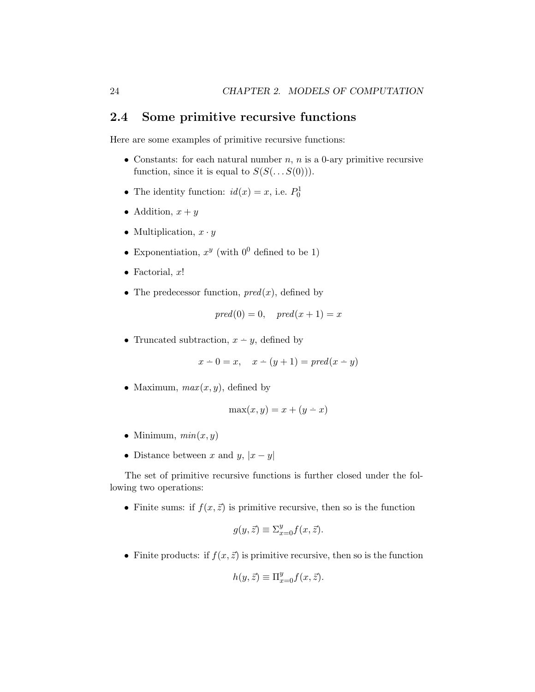#### 2.4 Some primitive recursive functions

Here are some examples of primitive recursive functions:

- Constants: for each natural number  $n, n$  is a 0-ary primitive recursive function, since it is equal to  $S(S(\ldots S(0)))$ .
- The identity function:  $id(x) = x$ , i.e.  $P_0^1$
- Addition,  $x + y$
- Multiplication,  $x \cdot y$
- Exponentiation,  $x^y$  (with  $0^0$  defined to be 1)
- Factorial,  $x!$
- The predecessor function,  $pred(x)$ , defined by

$$
pred(0) = 0, \quad pred(x + 1) = x
$$

• Truncated subtraction,  $x \div y$ , defined by

$$
x - 0 = x, \quad x - (y + 1) = pred(x - y)
$$

• Maximum,  $max(x, y)$ , defined by

$$
\max(x, y) = x + (y - x)
$$

- Minimum,  $min(x, y)$
- Distance between x and y,  $|x-y|$

The set of primitive recursive functions is further closed under the following two operations:

• Finite sums: if  $f(x, \vec{z})$  is primitive recursive, then so is the function

$$
g(y, \vec{z}) \equiv \Sigma_{x=0}^{y} f(x, \vec{z}).
$$

• Finite products: if  $f(x, \vec{z})$  is primitive recursive, then so is the function

$$
h(y, \vec{z}) \equiv \Pi_{x=0}^{y} f(x, \vec{z}).
$$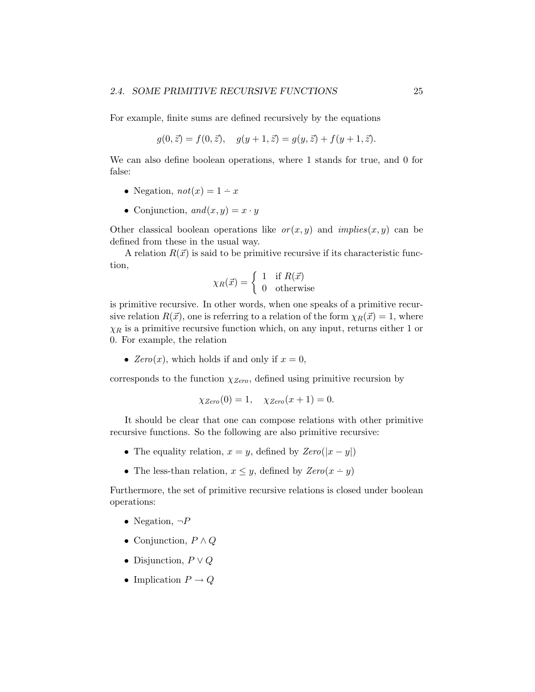For example, finite sums are defined recursively by the equations

$$
g(0, \vec{z}) = f(0, \vec{z}), \quad g(y+1, \vec{z}) = g(y, \vec{z}) + f(y+1, \vec{z}).
$$

We can also define boolean operations, where 1 stands for true, and 0 for false:

- Negation,  $not(x) = 1 x$
- Conjunction,  $and(x, y) = x \cdot y$

Other classical boolean operations like  $or(x, y)$  and  $implies(x, y)$  can be defined from these in the usual way.

A relation  $R(\vec{x})$  is said to be primitive recursive if its characteristic function,

$$
\chi_R(\vec{x}) = \begin{cases} 1 & \text{if } R(\vec{x}) \\ 0 & \text{otherwise} \end{cases}
$$

is primitive recursive. In other words, when one speaks of a primitive recursive relation  $R(\vec{x})$ , one is referring to a relation of the form  $\chi_R(\vec{x}) = 1$ , where  $\chi_R$  is a primitive recursive function which, on any input, returns either 1 or 0. For example, the relation

• Zero $(x)$ , which holds if and only if  $x = 0$ ,

corresponds to the function  $\chi_{Zero}$ , defined using primitive recursion by

$$
\chi_{Zero}(0) = 1, \quad \chi_{Zero}(x+1) = 0.
$$

It should be clear that one can compose relations with other primitive recursive functions. So the following are also primitive recursive:

- The equality relation,  $x = y$ , defined by  $Zero(|x y|)$
- The less-than relation,  $x \leq y$ , defined by  $Zero(x y)$

Furthermore, the set of primitive recursive relations is closed under boolean operations:

- Negation,  $\neg P$
- Conjunction,  $P \wedge Q$
- Disjunction,  $P \vee Q$
- Implication  $P \to Q$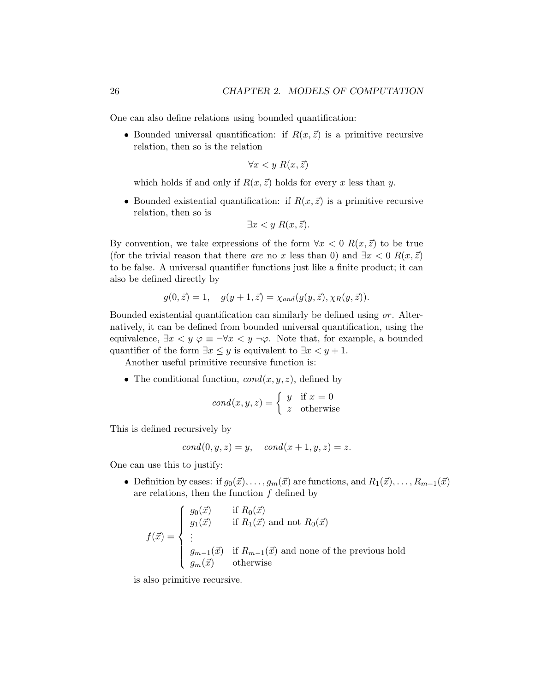One can also define relations using bounded quantification:

• Bounded universal quantification: if  $R(x, \vec{z})$  is a primitive recursive relation, then so is the relation

$$
\forall x < y \; R(x, \vec{z})
$$

which holds if and only if  $R(x, \vec{z})$  holds for every x less than y.

• Bounded existential quantification: if  $R(x, \vec{z})$  is a primitive recursive relation, then so is

$$
\exists x < y \; R(x, \vec{z}).
$$

By convention, we take expressions of the form  $\forall x < 0 \ R(x, \vec{z})$  to be true (for the trivial reason that there are no x less than 0) and  $\exists x < 0 \ R(x, \vec{z})$ to be false. A universal quantifier functions just like a finite product; it can also be defined directly by

$$
g(0, \vec{z}) = 1
$$
,  $g(y + 1, \vec{z}) = \chi_{and}(g(y, \vec{z}), \chi_R(y, \vec{z}))$ .

Bounded existential quantification can similarly be defined using or . Alternatively, it can be defined from bounded universal quantification, using the equivalence,  $\exists x \leq y \varphi \equiv \neg \forall x \leq y \neg \varphi$ . Note that, for example, a bounded quantifier of the form  $\exists x \leq y$  is equivalent to  $\exists x \leq y + 1$ .

Another useful primitive recursive function is:

• The conditional function,  $cond(x, y, z)$ , defined by

$$
cond(x, y, z) = \begin{cases} y & \text{if } x = 0\\ z & \text{otherwise} \end{cases}
$$

This is defined recursively by

$$
cond(0, y, z) = y, cond(x + 1, y, z) = z.
$$

One can use this to justify:

• Definition by cases: if  $g_0(\vec{x}), \ldots, g_m(\vec{x})$  are functions, and  $R_1(\vec{x}), \ldots, R_{m-1}(\vec{x})$ are relations, then the function  $f$  defined by

$$
f(\vec{x}) = \begin{cases} g_0(\vec{x}) & \text{if } R_0(\vec{x}) \\ g_1(\vec{x}) & \text{if } R_1(\vec{x}) \text{ and not } R_0(\vec{x}) \\ \vdots & \\ g_{m-1}(\vec{x}) & \text{if } R_{m-1}(\vec{x}) \text{ and none of the previous hold} \\ g_m(\vec{x}) & \text{otherwise} \end{cases}
$$

is also primitive recursive.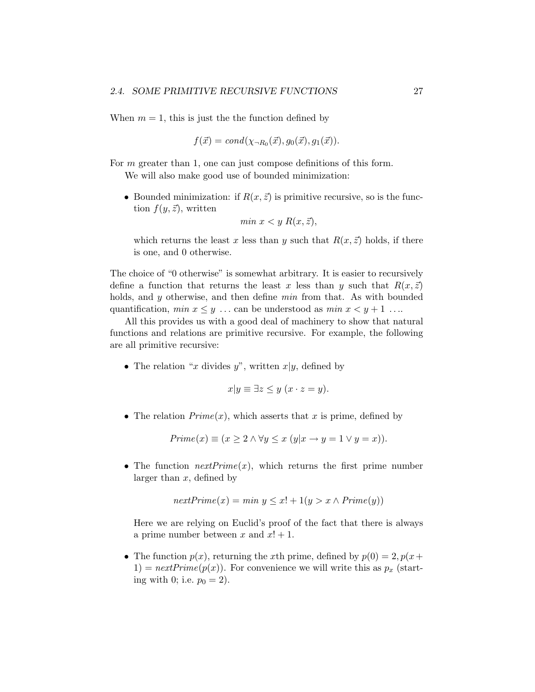When  $m = 1$ , this is just the the function defined by

$$
f(\vec{x}) = cond(\chi_{\neg R_0}(\vec{x}), g_0(\vec{x}), g_1(\vec{x})).
$$

For m greater than 1, one can just compose definitions of this form. We will also make good use of bounded minimization:

• Bounded minimization: if  $R(x, \vec{z})$  is primitive recursive, so is the function  $f(y, \vec{z})$ , written

$$
min x < y R(x, \vec{z}),
$$

which returns the least x less than y such that  $R(x, \vec{z})$  holds, if there is one, and 0 otherwise.

The choice of "0 otherwise" is somewhat arbitrary. It is easier to recursively define a function that returns the least x less than y such that  $R(x, \vec{z})$ holds, and y otherwise, and then define min from that. As with bounded quantification, min  $x \leq y$ ... can be understood as min  $x \leq y+1$ ...

All this provides us with a good deal of machinery to show that natural functions and relations are primitive recursive. For example, the following are all primitive recursive:

• The relation "x divides y", written  $x|y$ , defined by

$$
x|y \equiv \exists z \le y \ (x \cdot z = y).
$$

• The relation  $Prime(x)$ , which asserts that x is prime, defined by

$$
Prime(x) \equiv (x \ge 2 \land \forall y \le x \ (y|x \to y = 1 \lor y = x)).
$$

• The function  $nextPrime(x)$ , which returns the first prime number larger than  $x$ , defined by

$$
nextPrime(x) = min y \leq x! + 1(y > x \land Prime(y))
$$

Here we are relying on Euclid's proof of the fact that there is always a prime number between x and  $x! + 1$ .

• The function  $p(x)$ , returning the x<sup>th</sup> prime, defined by  $p(0) = 2$ ,  $p(x+)$ 1) =  $nextPrime(p(x))$ . For convenience we will write this as  $p_x$  (starting with 0; i.e.  $p_0 = 2$ ).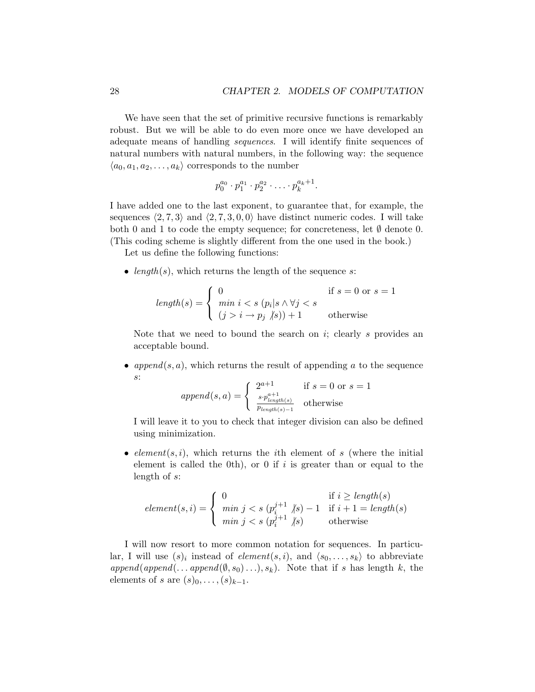We have seen that the set of primitive recursive functions is remarkably robust. But we will be able to do even more once we have developed an adequate means of handling sequences. I will identify finite sequences of natural numbers with natural numbers, in the following way: the sequence  $\langle a_0, a_1, a_2, \ldots, a_k \rangle$  corresponds to the number

$$
p_0^{a_0} \cdot p_1^{a_1} \cdot p_2^{a_2} \cdot \ldots \cdot p_k^{a_k+1}.
$$

I have added one to the last exponent, to guarantee that, for example, the sequences  $\langle 2, 7, 3 \rangle$  and  $\langle 2, 7, 3, 0, 0 \rangle$  have distinct numeric codes. I will take both 0 and 1 to code the empty sequence; for concreteness, let  $\emptyset$  denote 0. (This coding scheme is slightly different from the one used in the book.)

Let us define the following functions:

• length(s), which returns the length of the sequence s:

$$
length(s) = \begin{cases} 0 & \text{if } s = 0 \text{ or } s = 1\\ min \ i < s \ (p_i | s \land \forall j < s \\ (j > i \rightarrow p_j \ j s)) + 1 & \text{otherwise} \end{cases}
$$

Note that we need to bound the search on  $i$ ; clearly s provides an acceptable bound.

• append(s, a), which returns the result of appending a to the sequence s:

$$
append(s, a) = \begin{cases} 2^{a+1} & \text{if } s = 0 \text{ or } s = 1\\ \frac{s \cdot p_{length(s)}^{a+1}}{p_{length(s)-1}} & \text{otherwise} \end{cases}
$$

I will leave it to you to check that integer division can also be defined using minimization.

• element(s, i), which returns the i<sup>th</sup> element of s (where the initial element is called the 0th), or 0 if  $i$  is greater than or equal to the length of s:

$$
element(s, i) = \begin{cases} 0 & \text{if } i \geq length(s) \\ min \ j < s \ (p_i^{j+1} \ / s) - 1 & \text{if } i+1 = length(s) \\ min \ j < s \ (p_i^{j+1} \ / s) & \text{otherwise} \end{cases}
$$

I will now resort to more common notation for sequences. In particular, I will use  $(s)_i$  instead of *element* $(s, i)$ , and  $\langle s_0, \ldots, s_k \rangle$  to abbreviate  $append(append(...append(\emptyset,s_0)...),s_k).$  Note that if s has length k, the elements of s are  $(s)_0, \ldots, (s)_{k-1}$ .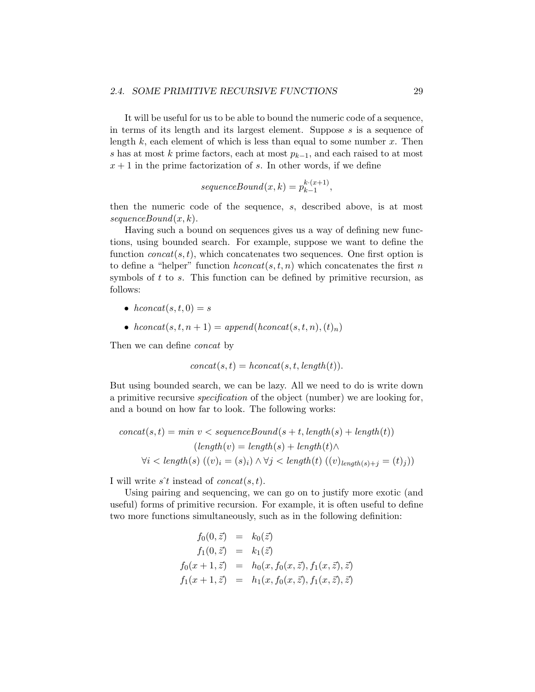It will be useful for us to be able to bound the numeric code of a sequence, in terms of its length and its largest element. Suppose s is a sequence of length  $k$ , each element of which is less than equal to some number  $x$ . Then s has at most k prime factors, each at most  $p_{k-1}$ , and each raised to at most  $x + 1$  in the prime factorization of s. In other words, if we define

$$
sequenceBound(x,k) = p_{k-1}^{k \cdot (x+1)},
$$

then the numeric code of the sequence, s, described above, is at most  $sequenceBound(x, k).$ 

Having such a bound on sequences gives us a way of defining new functions, using bounded search. For example, suppose we want to define the function  $concat(s, t)$ , which concatenates two sequences. One first option is to define a "helper" function  $hconcat(s, t, n)$  which concatenates the first n symbols of  $t$  to  $s$ . This function can be defined by primitive recursion, as follows:

- $hconcat(s, t, 0) = s$
- hconcat(s, t, n + 1) = append(hconcat(s, t, n),  $(t)_n$ )

Then we can define concat by

$$
concat(s, t) = hconcat(s, t, length(t)).
$$

But using bounded search, we can be lazy. All we need to do is write down a primitive recursive specification of the object (number) we are looking for, and a bound on how far to look. The following works:

$$
concat(s, t) = min \ v < sequenceBound(s + t, length(s) + length(t))
$$
\n
$$
(length(v) = length(s) + length(t) \land
$$
\n
$$
\forall i < length(s) \ ((v)_i = (s)_i) \land \forall j < length(t) \ ((v)_{length(s)+j} = (t)_j))
$$

I will write  $\hat{s}$ <sup>t</sup> instead of *concat*( $s$ ,  $t$ ).

Using pairing and sequencing, we can go on to justify more exotic (and useful) forms of primitive recursion. For example, it is often useful to define two more functions simultaneously, such as in the following definition:

$$
f_0(0, \vec{z}) = k_0(\vec{z})
$$
  
\n
$$
f_1(0, \vec{z}) = k_1(\vec{z})
$$
  
\n
$$
f_0(x+1, \vec{z}) = h_0(x, f_0(x, \vec{z}), f_1(x, \vec{z}), \vec{z})
$$
  
\n
$$
f_1(x+1, \vec{z}) = h_1(x, f_0(x, \vec{z}), f_1(x, \vec{z}), \vec{z})
$$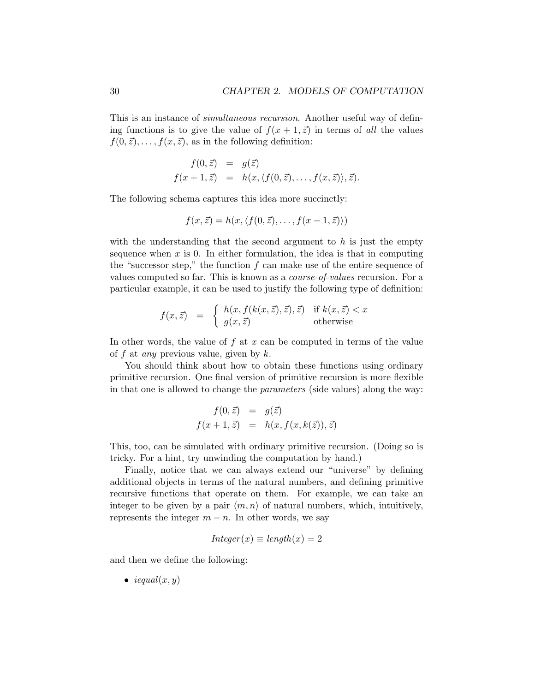This is an instance of simultaneous recursion. Another useful way of defining functions is to give the value of  $f(x + 1, \vec{z})$  in terms of all the values  $f(0, \vec{z}), \ldots, f(x, \vec{z})$ , as in the following definition:

$$
f(0, \vec{z}) = g(\vec{z})
$$
  

$$
f(x+1, \vec{z}) = h(x, \langle f(0, \vec{z}), \dots, f(x, \vec{z}) \rangle, \vec{z}).
$$

The following schema captures this idea more succinctly:

$$
f(x, \vec{z}) = h(x, \langle f(0, \vec{z}), \dots, f(x - 1, \vec{z}) \rangle)
$$

with the understanding that the second argument to h is just the empty sequence when  $x$  is 0. In either formulation, the idea is that in computing the "successor step," the function  $f$  can make use of the entire sequence of values computed so far. This is known as a course-of-values recursion. For a particular example, it can be used to justify the following type of definition:

$$
f(x, \vec{z}) = \begin{cases} h(x, f(k(x, \vec{z}), \vec{z}), \vec{z}) & \text{if } k(x, \vec{z}) < x \\ g(x, \vec{z}) & \text{otherwise} \end{cases}
$$

In other words, the value of  $f$  at  $x$  can be computed in terms of the value of f at any previous value, given by  $k$ .

You should think about how to obtain these functions using ordinary primitive recursion. One final version of primitive recursion is more flexible in that one is allowed to change the parameters (side values) along the way:

$$
f(0, \vec{z}) = g(\vec{z})
$$
  

$$
f(x+1, \vec{z}) = h(x, f(x, k(\vec{z})), \vec{z})
$$

This, too, can be simulated with ordinary primitive recursion. (Doing so is tricky. For a hint, try unwinding the computation by hand.)

Finally, notice that we can always extend our "universe" by defining additional objects in terms of the natural numbers, and defining primitive recursive functions that operate on them. For example, we can take an integer to be given by a pair  $\langle m, n \rangle$  of natural numbers, which, intuitively, represents the integer  $m - n$ . In other words, we say

$$
Integer(x) \equiv length(x) = 2
$$

and then we define the following:

• iequal $(x, y)$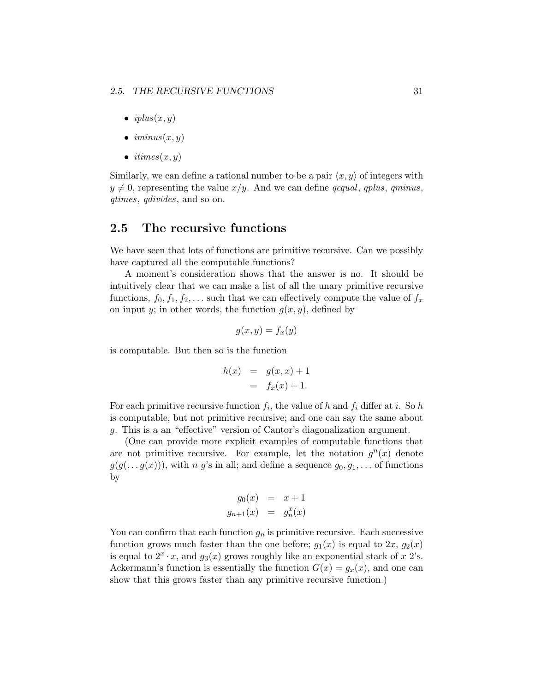- $\text{ } iplus(x, y)$
- $\bullet$  iminus $(x, y)$
- $i$ times $(x, y)$

Similarly, we can define a rational number to be a pair  $\langle x, y \rangle$  of integers with  $y \neq 0$ , representing the value  $x/y$ . And we can define *qequal*, *qplus*, *qminus*, qtimes, qdivides, and so on.

### 2.5 The recursive functions

We have seen that lots of functions are primitive recursive. Can we possibly have captured all the computable functions?

A moment's consideration shows that the answer is no. It should be intuitively clear that we can make a list of all the unary primitive recursive functions,  $f_0, f_1, f_2, \ldots$  such that we can effectively compute the value of  $f_x$ on input y; in other words, the function  $g(x, y)$ , defined by

$$
g(x, y) = f_x(y)
$$

is computable. But then so is the function

$$
h(x) = g(x, x) + 1
$$

$$
= f_x(x) + 1.
$$

For each primitive recursive function  $f_i$ , the value of h and  $f_i$  differ at i. So h is computable, but not primitive recursive; and one can say the same about g. This is a an "effective" version of Cantor's diagonalization argument.

(One can provide more explicit examples of computable functions that are not primitive recursive. For example, let the notation  $g^{n}(x)$  denote  $g(g(\ldots g(x)))$ , with n g's in all; and define a sequence  $g_0, g_1, \ldots$  of functions by

$$
g_0(x) = x + 1
$$
  

$$
g_{n+1}(x) = g_n^x(x)
$$

You can confirm that each function  $g_n$  is primitive recursive. Each successive function grows much faster than the one before;  $g_1(x)$  is equal to  $2x, g_2(x)$ is equal to  $2^x \cdot x$ , and  $g_3(x)$  grows roughly like an exponential stack of x 2's. Ackermann's function is essentially the function  $G(x) = g_x(x)$ , and one can show that this grows faster than any primitive recursive function.)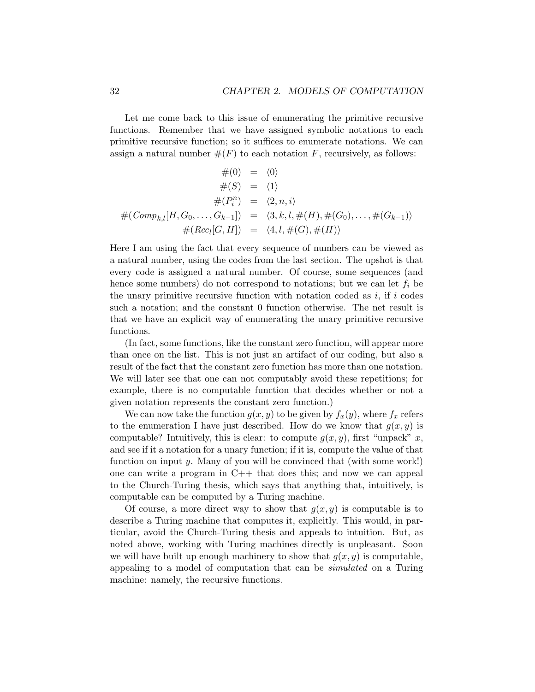Let me come back to this issue of enumerating the primitive recursive functions. Remember that we have assigned symbolic notations to each primitive recursive function; so it suffices to enumerate notations. We can assign a natural number  $#(F)$  to each notation F, recursively, as follows:

$$
\#(0) = \langle 0 \rangle
$$
  
\n
$$
\#(S) = \langle 1 \rangle
$$
  
\n
$$
\#(P_i^n) = \langle 2, n, i \rangle
$$
  
\n
$$
\#(Comp_{k,l}[H, G_0, \dots, G_{k-1}]) = \langle 3, k, l, \#(H), \#(G_0), \dots, \#(G_{k-1}) \rangle
$$
  
\n
$$
\#(Rec_l[G, H]) = \langle 4, l, \#(G), \#(H) \rangle
$$

Here I am using the fact that every sequence of numbers can be viewed as a natural number, using the codes from the last section. The upshot is that every code is assigned a natural number. Of course, some sequences (and hence some numbers) do not correspond to notations; but we can let  $f_i$  be the unary primitive recursive function with notation coded as  $i$ , if  $i$  codes such a notation; and the constant 0 function otherwise. The net result is that we have an explicit way of enumerating the unary primitive recursive functions.

(In fact, some functions, like the constant zero function, will appear more than once on the list. This is not just an artifact of our coding, but also a result of the fact that the constant zero function has more than one notation. We will later see that one can not computably avoid these repetitions; for example, there is no computable function that decides whether or not a given notation represents the constant zero function.)

We can now take the function  $g(x, y)$  to be given by  $f_x(y)$ , where  $f_x$  refers to the enumeration I have just described. How do we know that  $g(x, y)$  is computable? Intuitively, this is clear: to compute  $q(x, y)$ , first "unpack" x, and see if it a notation for a unary function; if it is, compute the value of that function on input y. Many of you will be convinced that (with some work!) one can write a program in  $C++$  that does this; and now we can appeal to the Church-Turing thesis, which says that anything that, intuitively, is computable can be computed by a Turing machine.

Of course, a more direct way to show that  $g(x, y)$  is computable is to describe a Turing machine that computes it, explicitly. This would, in particular, avoid the Church-Turing thesis and appeals to intuition. But, as noted above, working with Turing machines directly is unpleasant. Soon we will have built up enough machinery to show that  $q(x, y)$  is computable, appealing to a model of computation that can be simulated on a Turing machine: namely, the recursive functions.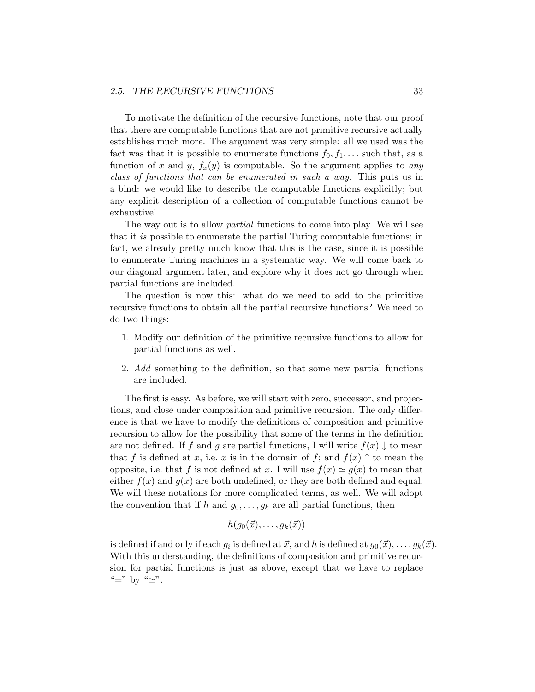#### 2.5. THE RECURSIVE FUNCTIONS 33

To motivate the definition of the recursive functions, note that our proof that there are computable functions that are not primitive recursive actually establishes much more. The argument was very simple: all we used was the fact was that it is possible to enumerate functions  $f_0, f_1, \ldots$  such that, as a function of x and y,  $f_x(y)$  is computable. So the argument applies to any class of functions that can be enumerated in such a way. This puts us in a bind: we would like to describe the computable functions explicitly; but any explicit description of a collection of computable functions cannot be exhaustive!

The way out is to allow *partial* functions to come into play. We will see that it is possible to enumerate the partial Turing computable functions; in fact, we already pretty much know that this is the case, since it is possible to enumerate Turing machines in a systematic way. We will come back to our diagonal argument later, and explore why it does not go through when partial functions are included.

The question is now this: what do we need to add to the primitive recursive functions to obtain all the partial recursive functions? We need to do two things:

- 1. Modify our definition of the primitive recursive functions to allow for partial functions as well.
- 2. Add something to the definition, so that some new partial functions are included.

The first is easy. As before, we will start with zero, successor, and projections, and close under composition and primitive recursion. The only difference is that we have to modify the definitions of composition and primitive recursion to allow for the possibility that some of the terms in the definition are not defined. If f and g are partial functions, I will write  $f(x) \downarrow$  to mean that f is defined at x, i.e. x is in the domain of f; and  $f(x) \uparrow$  to mean the opposite, i.e. that f is not defined at x. I will use  $f(x) \simeq g(x)$  to mean that either  $f(x)$  and  $g(x)$  are both undefined, or they are both defined and equal. We will these notations for more complicated terms, as well. We will adopt the convention that if h and  $g_0, \ldots, g_k$  are all partial functions, then

$$
h(g_0(\vec{x}),\ldots,g_k(\vec{x}))
$$

is defined if and only if each  $g_i$  is defined at  $\vec{x}$ , and h is defined at  $g_0(\vec{x}), \ldots, g_k(\vec{x})$ . With this understanding, the definitions of composition and primitive recursion for partial functions is just as above, except that we have to replace "=" by " $\simeq$ ".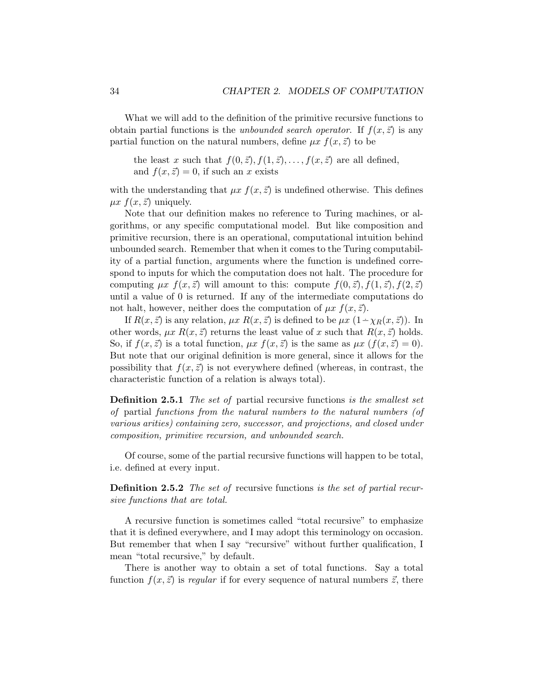What we will add to the definition of the primitive recursive functions to obtain partial functions is the unbounded search operator. If  $f(x, \vec{z})$  is any partial function on the natural numbers, define  $\mu x f(x, \vec{z})$  to be

the least x such that  $f(0, \vec{z}), f(1, \vec{z}), \ldots, f(x, \vec{z})$  are all defined, and  $f(x, \vec{z}) = 0$ , if such an x exists

with the understanding that  $\mu x f(x, \vec{z})$  is undefined otherwise. This defines  $\mu x f(x, \vec{z})$  uniquely.

Note that our definition makes no reference to Turing machines, or algorithms, or any specific computational model. But like composition and primitive recursion, there is an operational, computational intuition behind unbounded search. Remember that when it comes to the Turing computability of a partial function, arguments where the function is undefined correspond to inputs for which the computation does not halt. The procedure for computing  $\mu x \, f(x, \vec{z})$  will amount to this: compute  $f(0, \vec{z}), f(1, \vec{z}), f(2, \vec{z})$ until a value of 0 is returned. If any of the intermediate computations do not halt, however, neither does the computation of  $\mu x f(x, \vec{z})$ .

If  $R(x, \vec{z})$  is any relation,  $\mu x R(x, \vec{z})$  is defined to be  $\mu x (1-\chi_R(x, \vec{z}))$ . In other words,  $\mu x R(x, \vec{z})$  returns the least value of x such that  $R(x, \vec{z})$  holds. So, if  $f(x, \vec{z})$  is a total function,  $\mu x$   $f(x, \vec{z})$  is the same as  $\mu x$   $(f(x, \vec{z}) = 0)$ . But note that our original definition is more general, since it allows for the possibility that  $f(x, \vec{z})$  is not everywhere defined (whereas, in contrast, the characteristic function of a relation is always total).

Definition 2.5.1 The set of partial recursive functions is the smallest set of partial functions from the natural numbers to the natural numbers (of various arities) containing zero, successor, and projections, and closed under composition, primitive recursion, and unbounded search.

Of course, some of the partial recursive functions will happen to be total, i.e. defined at every input.

**Definition 2.5.2** The set of recursive functions is the set of partial recursive functions that are total.

A recursive function is sometimes called "total recursive" to emphasize that it is defined everywhere, and I may adopt this terminology on occasion. But remember that when I say "recursive" without further qualification, I mean "total recursive," by default.

There is another way to obtain a set of total functions. Say a total function  $f(x, \vec{z})$  is regular if for every sequence of natural numbers  $\vec{z}$ , there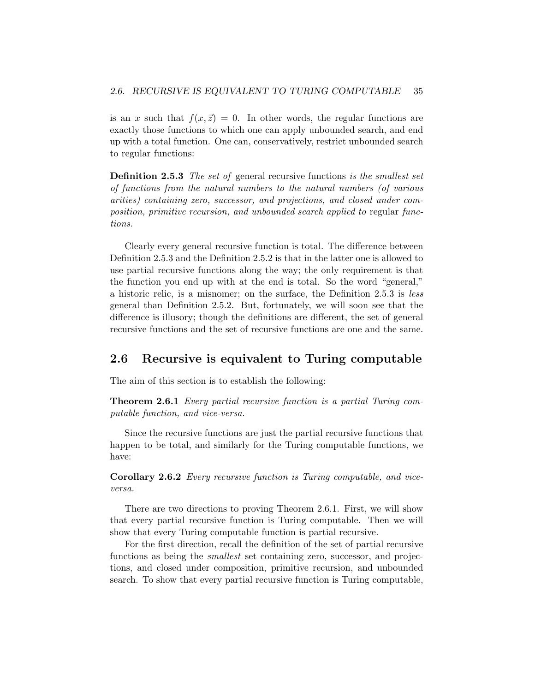is an x such that  $f(x, \vec{z}) = 0$ . In other words, the regular functions are exactly those functions to which one can apply unbounded search, and end up with a total function. One can, conservatively, restrict unbounded search to regular functions:

Definition 2.5.3 The set of general recursive functions is the smallest set of functions from the natural numbers to the natural numbers (of various arities) containing zero, successor, and projections, and closed under composition, primitive recursion, and unbounded search applied to regular functions.

Clearly every general recursive function is total. The difference between Definition 2.5.3 and the Definition 2.5.2 is that in the latter one is allowed to use partial recursive functions along the way; the only requirement is that the function you end up with at the end is total. So the word "general," a historic relic, is a misnomer; on the surface, the Definition 2.5.3 is less general than Definition 2.5.2. But, fortunately, we will soon see that the difference is illusory; though the definitions are different, the set of general recursive functions and the set of recursive functions are one and the same.

## 2.6 Recursive is equivalent to Turing computable

The aim of this section is to establish the following:

**Theorem 2.6.1** Every partial recursive function is a partial Turing computable function, and vice-versa.

Since the recursive functions are just the partial recursive functions that happen to be total, and similarly for the Turing computable functions, we have:

Corollary 2.6.2 Every recursive function is Turing computable, and viceversa.

There are two directions to proving Theorem 2.6.1. First, we will show that every partial recursive function is Turing computable. Then we will show that every Turing computable function is partial recursive.

For the first direction, recall the definition of the set of partial recursive functions as being the *smallest* set containing zero, successor, and projections, and closed under composition, primitive recursion, and unbounded search. To show that every partial recursive function is Turing computable,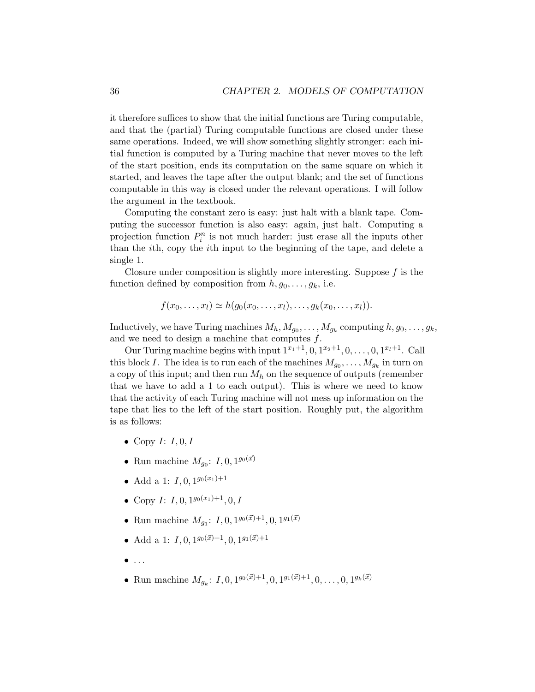it therefore suffices to show that the initial functions are Turing computable, and that the (partial) Turing computable functions are closed under these same operations. Indeed, we will show something slightly stronger: each initial function is computed by a Turing machine that never moves to the left of the start position, ends its computation on the same square on which it started, and leaves the tape after the output blank; and the set of functions computable in this way is closed under the relevant operations. I will follow the argument in the textbook.

Computing the constant zero is easy: just halt with a blank tape. Computing the successor function is also easy: again, just halt. Computing a projection function  $P_i^n$  is not much harder: just erase all the inputs other than the ith, copy the ith input to the beginning of the tape, and delete a single 1.

Closure under composition is slightly more interesting. Suppose  $f$  is the function defined by composition from  $h, g_0, \ldots, g_k$ , i.e.

$$
f(x_0,\ldots,x_l)\simeq h(g_0(x_0,\ldots,x_l),\ldots,g_k(x_0,\ldots,x_l)).
$$

Inductively, we have Turing machines  $M_h, M_{g_0}, \ldots, M_{g_k}$  computing  $h, g_0, \ldots, g_k$ , and we need to design a machine that computes  $f$ .

Our Turing machine begins with input  $1^{x_1+1}$ ,  $0, 1^{x_2+1}$ ,  $0, \ldots, 0, 1^{x_l+1}$ . Call this block I. The idea is to run each of the machines  $M_{g_0}, \ldots, M_{g_k}$  in turn on a copy of this input; and then run  $M_h$  on the sequence of outputs (remember that we have to add a 1 to each output). This is where we need to know that the activity of each Turing machine will not mess up information on the tape that lies to the left of the start position. Roughly put, the algorithm is as follows:

- Copy  $I: I, 0, I$
- Run machine  $M_{g_0}$ :  $I, 0, 1^{g_0(\vec{x})}$
- Add a 1:  $I$ , 0,  $1^{g_0(x_1)+1}$
- Copy  $I: I, 0, 1^{g_0(x_1)+1}, 0, I$
- Run machine  $M_{g_1}: I, 0, 1^{g_0(\vec{x})+1}, 0, 1^{g_1(\vec{x})}$
- Add a 1:  $I$ , 0,  $1^{g_0(\vec{x})+1}$ , 0,  $1^{g_1(\vec{x})+1}$
- $\bullet$  ...
- Run machine  $M_{g_k}: I, 0, 1^{g_0(\vec{x})+1}, 0, 1^{g_1(\vec{x})+1}, 0, \ldots, 0, 1^{g_k(\vec{x})}$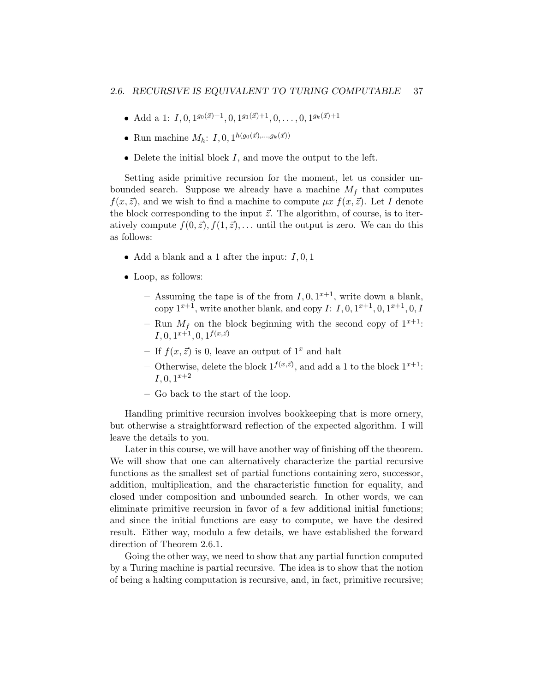- Add a 1:  $I, 0, 1^{g_0(\vec{x})+1}, 0, 1^{g_1(\vec{x})+1}, 0, \ldots, 0, 1^{g_k(\vec{x})+1}$
- Run machine  $M_h$ :  $I, 0, 1^{h(g_0(\vec{x}),...,g_k(\vec{x}))}$
- Delete the initial block  $I$ , and move the output to the left.

Setting aside primitive recursion for the moment, let us consider unbounded search. Suppose we already have a machine  $M_f$  that computes  $f(x, \vec{z})$ , and we wish to find a machine to compute  $\mu x$   $f(x, \vec{z})$ . Let I denote the block corresponding to the input  $\vec{z}$ . The algorithm, of course, is to iteratively compute  $f(0, \vec{z}), f(1, \vec{z}), \dots$  until the output is zero. We can do this as follows:

- Add a blank and a 1 after the input:  $I$ , 0, 1
- Loop, as follows:
	- Assuming the tape is of the from  $I, 0, 1^{x+1}$ , write down a blank, copy  $1^{x+1}$ , write another blank, and copy  $I: I, 0, 1^{x+1}, 0, 1^{x+1}, 0, I$
	- Run  $M_f$  on the block beginning with the second copy of  $1^{x+1}$ :  $I, 0, 1^{x+1}, 0, 1^{f(x,\vec{z})}$
	- If  $f(x, \vec{z})$  is 0, leave an output of  $1^x$  and halt
	- Otherwise, delete the block  $1^{f(x,\vec{z})}$ , and add a 1 to the block  $1^{x+1}$ :  $I, 0, 1^{x+2}$
	- Go back to the start of the loop.

Handling primitive recursion involves bookkeeping that is more ornery, but otherwise a straightforward reflection of the expected algorithm. I will leave the details to you.

Later in this course, we will have another way of finishing off the theorem. We will show that one can alternatively characterize the partial recursive functions as the smallest set of partial functions containing zero, successor, addition, multiplication, and the characteristic function for equality, and closed under composition and unbounded search. In other words, we can eliminate primitive recursion in favor of a few additional initial functions; and since the initial functions are easy to compute, we have the desired result. Either way, modulo a few details, we have established the forward direction of Theorem 2.6.1.

Going the other way, we need to show that any partial function computed by a Turing machine is partial recursive. The idea is to show that the notion of being a halting computation is recursive, and, in fact, primitive recursive;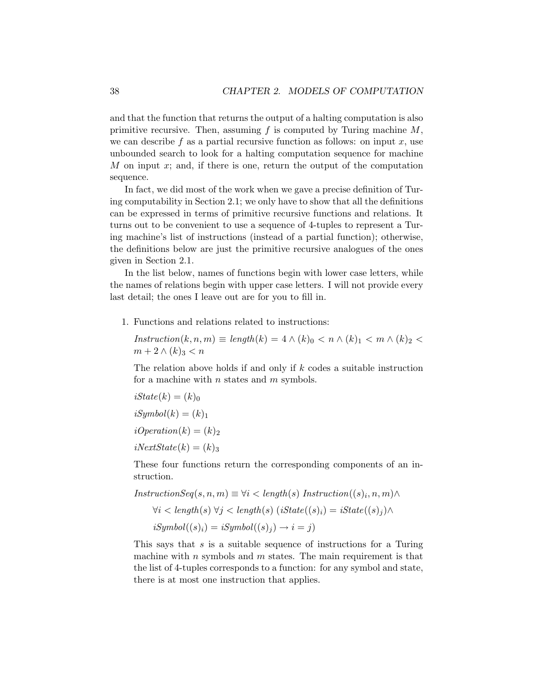and that the function that returns the output of a halting computation is also primitive recursive. Then, assuming  $f$  is computed by Turing machine  $M$ , we can describe f as a partial recursive function as follows: on input  $x$ , use unbounded search to look for a halting computation sequence for machine M on input x; and, if there is one, return the output of the computation sequence.

In fact, we did most of the work when we gave a precise definition of Turing computability in Section 2.1; we only have to show that all the definitions can be expressed in terms of primitive recursive functions and relations. It turns out to be convenient to use a sequence of 4-tuples to represent a Turing machine's list of instructions (instead of a partial function); otherwise, the definitions below are just the primitive recursive analogues of the ones given in Section 2.1.

In the list below, names of functions begin with lower case letters, while the names of relations begin with upper case letters. I will not provide every last detail; the ones I leave out are for you to fill in.

1. Functions and relations related to instructions:

 $Instruction(k, n, m) \equiv length(k) = 4 \wedge (k_0 < n \wedge (k_1 < m \wedge (k_2 <$  $m+2\wedge (k)_3 < n$ 

The relation above holds if and only if  $k$  codes a suitable instruction for a machine with  $n$  states and  $m$  symbols.

$$
iState(k) = (k)0
$$
  

$$
iSymbol(k) = (k)1
$$
  

$$
iOperation(k) = (k)2
$$
  

$$
iNextState(k) = (k)3
$$

These four functions return the corresponding components of an instruction.

$$
InstructionSeq(s, n, m) \equiv \forall i < length(s) \text{ } Instruction((s)_i, n, m) \land
$$
\n
$$
\forall i < length(s) \forall j < length(s) \text{ } (iState((s)_i) = iState((s)_j) \land
$$
\n
$$
iSymbol((s)_i) = iSymbol((s)_j) \rightarrow i = j)
$$

This says that s is a suitable sequence of instructions for a Turing machine with  $n$  symbols and  $m$  states. The main requirement is that the list of 4-tuples corresponds to a function: for any symbol and state, there is at most one instruction that applies.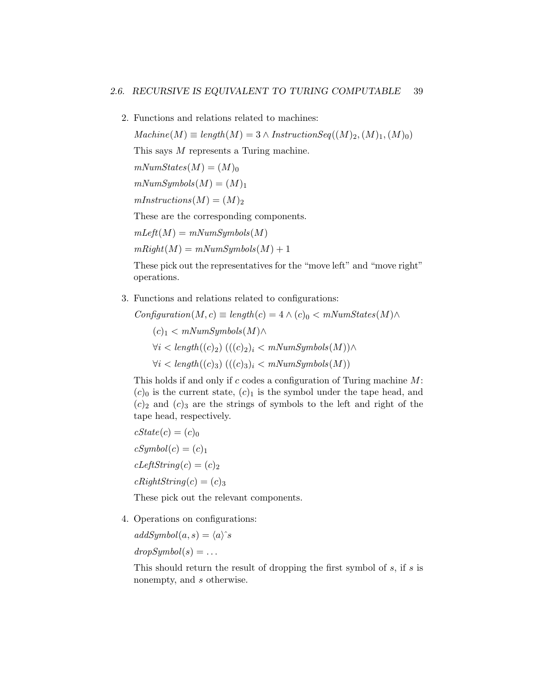2. Functions and relations related to machines:

 $Machine(M) \equiv length(M) = 3 \land InstructionSeq((M)_2, (M)_1, (M)_0)$ 

This says M represents a Turing machine.

 $mNumStates(M) = (M)_0$ 

 $mNumSymbols(M) = (M)<sub>1</sub>$ 

 $mInstructions(M) = (M)_2$ 

These are the corresponding components.

 $mLeft(M) = mNumSymbols(M)$ 

$$
mRight(M) = mNum Symbols(M) + 1
$$

These pick out the representatives for the "move left" and "move right" operations.

3. Functions and relations related to configurations:

 $Configuration(M, c) \equiv length(c) = 4 \wedge (c)_0 < mNumStates(M) \wedge$  $(c)_1 < mNumSymbols(M) \wedge$  $\forall i < length((c)_2)(((c)_2)_i < mNumSymbols(M)) \wedge$  $\forall i < length((c)_3)((c)_3)_i < mNumSymbols(M))$ 

This holds if and only if c codes a configuration of Turing machine  $M$ :  $(c)_0$  is the current state,  $(c)_1$  is the symbol under the tape head, and  $(c)_2$  and  $(c)_3$  are the strings of symbols to the left and right of the tape head, respectively.

$$
cState(c) = (c)0
$$
  
\n
$$
cSymbol(c) = (c)1
$$
  
\n
$$
cLeftString(c) = (c)2
$$
  
\n
$$
cRightString(c) = (c)3
$$

These pick out the relevant components.

4. Operations on configurations:

 $addSumbol(a, s) = \langle a \rangle^s s$  $dropSymbol(s) = \dots$ 

This should return the result of dropping the first symbol of  $s$ , if  $s$  is nonempty, and s otherwise.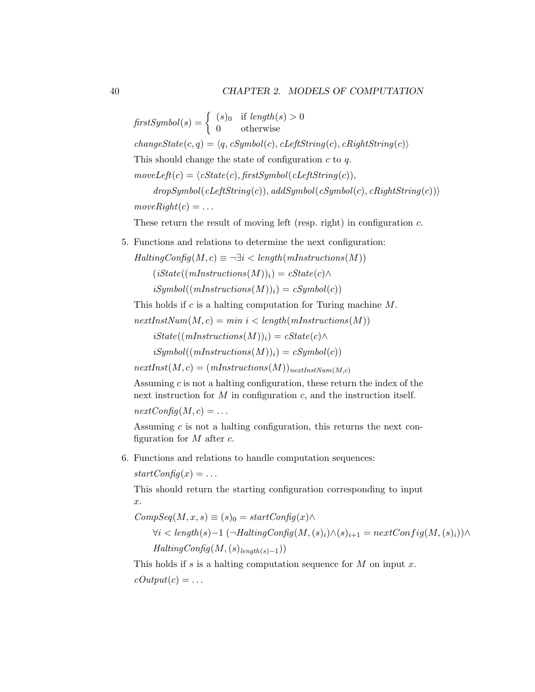$firstSymbol(s) = \begin{cases} (s)_0 & \text{if length}(s) > 0 \ 0 & \text{otherwise} \end{cases}$ 0 otherwise  $changeState(c, q) = \langle q, cSymbol(c), cLeftString(c), cRightString(c)\rangle$ This should change the state of configuration  $c$  to  $q$ .  $moveLeft(c) = \langle cState(c), firstSymbol(cLeftString(c)),$  $dropSymbol(cLeftString(c)), addSymbol(cSymbol(c), cRightString(c)))$  $moveRight(c) = \dots$ 

These return the result of moving left (resp. right) in configuration  $c$ .

5. Functions and relations to determine the next configuration:

 $HaltingConfig(M, c) \equiv \neg \exists i < length(mInstructions(M))$  $(iState((mInstructions(M))_i) = cState(c) \wedge$  $iSymbol((mInstructions(M))_i) = cSymbol(c)$ 

This holds if  $c$  is a halting computation for Turing machine  $M$ .

 $nextInstNum(M, c) = min i < length(mInstructions(M))$ 

 $iState((mInstructions(M))_i) = cState(c) \wedge$ 

 $iSymbol((mInstructions(M))_i) = cSymbol(c)$ 

 $nextInst(M, c) = (mInstructions(M))_{nextInstNum(M, c)}$ 

Assuming  $c$  is not a halting configuration, these return the index of the next instruction for  $M$  in configuration  $c$ , and the instruction itself.

 $nextConfig(M, c) = ...$ 

Assuming c is not a halting configuration, this returns the next configuration for  $M$  after  $c$ .

6. Functions and relations to handle computation sequences:

 $startConfig(x) = \ldots$ 

This should return the starting configuration corresponding to input x.

 $CompSeq(M, x, s) \equiv (s)_0 = startConfig(x) \wedge$ 

 $\forall i < length(s) - 1 \ (\neg HaltungConfig(M, (s)_i) \land (s)_{i+1} = nextConfig(M, (s)_i)) \land$  $HaltungConfig(M, (s)_{length(s)-1}))$ 

This holds if s is a halting computation sequence for  $M$  on input  $x$ .  $cOutput(c) = ...$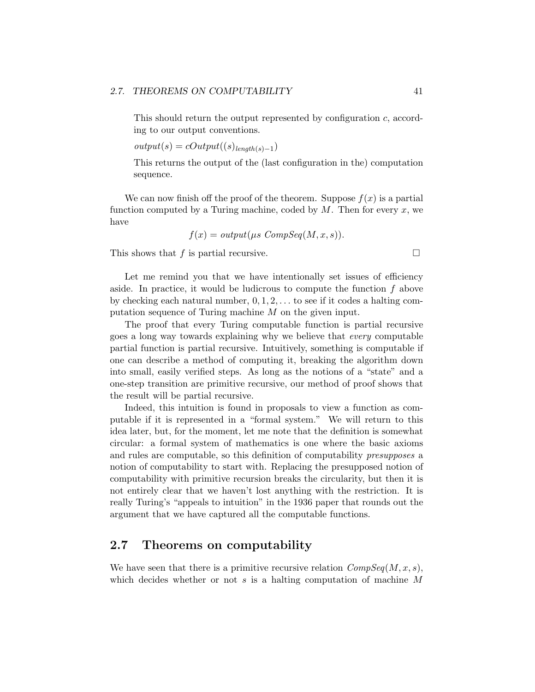This should return the output represented by configuration c, according to our output conventions.

 $output(s) = \text{cOutput}((s)_{\text{length}(s)-1})$ 

This returns the output of the (last configuration in the) computation sequence.

We can now finish off the proof of the theorem. Suppose  $f(x)$  is a partial function computed by a Turing machine, coded by  $M$ . Then for every  $x$ , we have

$$
f(x) = output(\mu s \; CompSeq(M, x, s)).
$$

This shows that f is partial recursive.  $\square$ 

Let me remind you that we have intentionally set issues of efficiency aside. In practice, it would be ludicrous to compute the function  $f$  above by checking each natural number,  $0, 1, 2, \ldots$  to see if it codes a halting computation sequence of Turing machine M on the given input.

The proof that every Turing computable function is partial recursive goes a long way towards explaining why we believe that every computable partial function is partial recursive. Intuitively, something is computable if one can describe a method of computing it, breaking the algorithm down into small, easily verified steps. As long as the notions of a "state" and a one-step transition are primitive recursive, our method of proof shows that the result will be partial recursive.

Indeed, this intuition is found in proposals to view a function as computable if it is represented in a "formal system." We will return to this idea later, but, for the moment, let me note that the definition is somewhat circular: a formal system of mathematics is one where the basic axioms and rules are computable, so this definition of computability presupposes a notion of computability to start with. Replacing the presupposed notion of computability with primitive recursion breaks the circularity, but then it is not entirely clear that we haven't lost anything with the restriction. It is really Turing's "appeals to intuition" in the 1936 paper that rounds out the argument that we have captured all the computable functions.

## 2.7 Theorems on computability

We have seen that there is a primitive recursive relation  $CompSeq(M, x, s)$ , which decides whether or not s is a halting computation of machine  $M$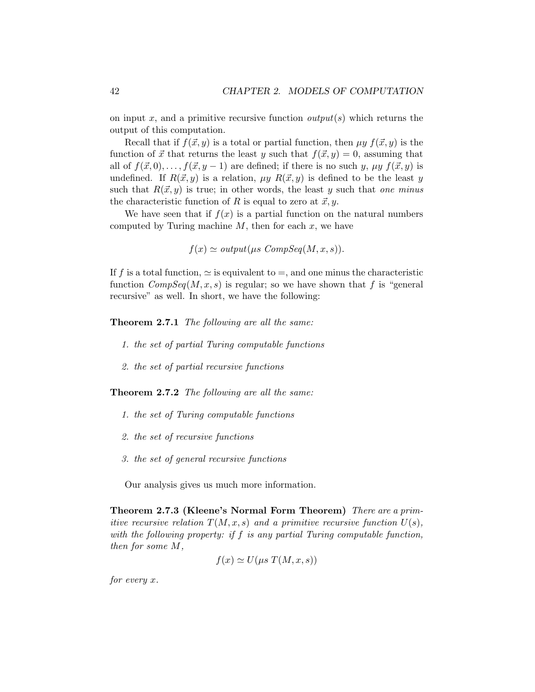on input x, and a primitive recursive function  $output(s)$  which returns the output of this computation.

Recall that if  $f(\vec{x}, y)$  is a total or partial function, then  $\mu y f(\vec{x}, y)$  is the function of  $\vec{x}$  that returns the least y such that  $f(\vec{x}, y) = 0$ , assuming that all of  $f(\vec{x}, 0), \ldots, f(\vec{x}, y - 1)$  are defined; if there is no such y,  $\mu y f(\vec{x}, y)$  is undefined. If  $R(\vec{x}, y)$  is a relation,  $\mu y R(\vec{x}, y)$  is defined to be the least y such that  $R(\vec{x}, y)$  is true; in other words, the least y such that one minus the characteristic function of R is equal to zero at  $\vec{x}, y$ .

We have seen that if  $f(x)$  is a partial function on the natural numbers computed by Turing machine  $M$ , then for each  $x$ , we have

$$
f(x) \simeq output(\mu s \; CompSeq(M, x, s)).
$$

If f is a total function,  $\simeq$  is equivalent to  $=$ , and one minus the characteristic function  $CompSeq(M, x, s)$  is regular; so we have shown that f is "general recursive" as well. In short, we have the following:

**Theorem 2.7.1** The following are all the same:

- 1. the set of partial Turing computable functions
- 2. the set of partial recursive functions

Theorem 2.7.2 The following are all the same:

- 1. the set of Turing computable functions
- 2. the set of recursive functions
- 3. the set of general recursive functions

Our analysis gives us much more information.

Theorem 2.7.3 (Kleene's Normal Form Theorem) There are a primitive recursive relation  $T(M, x, s)$  and a primitive recursive function  $U(s)$ , with the following property: if f is any partial Turing computable function, then for some M,

$$
f(x) \simeq U(\mu s \; T(M, x, s))
$$

for every x.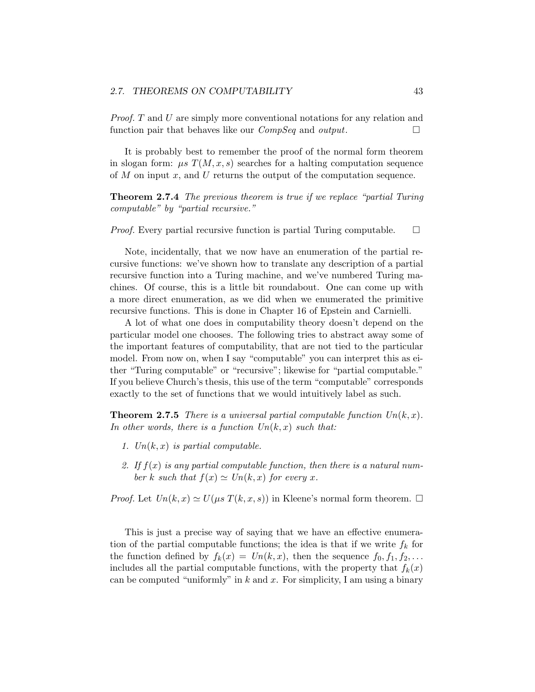Proof. T and U are simply more conventional notations for any relation and function pair that behaves like our  $CompSeq$  and  $output$ .

It is probably best to remember the proof of the normal form theorem in slogan form:  $\mu s T(M, x, s)$  searches for a halting computation sequence of  $M$  on input  $x$ , and  $U$  returns the output of the computation sequence.

**Theorem 2.7.4** The previous theorem is true if we replace "partial Turing" computable" by "partial recursive."

*Proof.* Every partial recursive function is partial Turing computable.  $\Box$ 

Note, incidentally, that we now have an enumeration of the partial recursive functions: we've shown how to translate any description of a partial recursive function into a Turing machine, and we've numbered Turing machines. Of course, this is a little bit roundabout. One can come up with a more direct enumeration, as we did when we enumerated the primitive recursive functions. This is done in Chapter 16 of Epstein and Carnielli.

A lot of what one does in computability theory doesn't depend on the particular model one chooses. The following tries to abstract away some of the important features of computability, that are not tied to the particular model. From now on, when I say "computable" you can interpret this as either "Turing computable" or "recursive"; likewise for "partial computable." If you believe Church's thesis, this use of the term "computable" corresponds exactly to the set of functions that we would intuitively label as such.

**Theorem 2.7.5** There is a universal partial computable function  $Un(k, x)$ . In other words, there is a function  $Un(k, x)$  such that:

- 1. Un $(k, x)$  is partial computable.
- 2. If  $f(x)$  is any partial computable function, then there is a natural number k such that  $f(x) \simeq Un(k, x)$  for every x.

*Proof.* Let  $Un(k, x) \simeq U(\mu s T(k, x, s))$  in Kleene's normal form theorem.  $\Box$ 

This is just a precise way of saying that we have an effective enumeration of the partial computable functions; the idea is that if we write  $f_k$  for the function defined by  $f_k(x) = Un(k, x)$ , then the sequence  $f_0, f_1, f_2, \ldots$ includes all the partial computable functions, with the property that  $f_k(x)$ can be computed "uniformly" in k and x. For simplicity, I am using a binary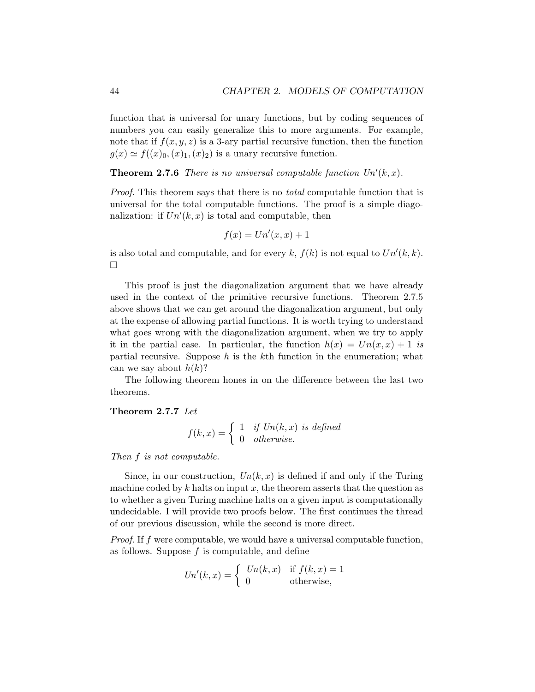function that is universal for unary functions, but by coding sequences of numbers you can easily generalize this to more arguments. For example, note that if  $f(x, y, z)$  is a 3-ary partial recursive function, then the function  $g(x) \simeq f((x)_0,(x)_1,(x)_2)$  is a unary recursive function.

### **Theorem 2.7.6** There is no universal computable function  $Un'(k, x)$ .

Proof. This theorem says that there is no *total* computable function that is universal for the total computable functions. The proof is a simple diagonalization: if  $Un'(k, x)$  is total and computable, then

$$
f(x) = Un'(x, x) + 1
$$

is also total and computable, and for every k,  $f(k)$  is not equal to  $Un'(k, k)$ .  $\Box$ 

This proof is just the diagonalization argument that we have already used in the context of the primitive recursive functions. Theorem 2.7.5 above shows that we can get around the diagonalization argument, but only at the expense of allowing partial functions. It is worth trying to understand what goes wrong with the diagonalization argument, when we try to apply it in the partial case. In particular, the function  $h(x) = Un(x, x) + 1$  is partial recursive. Suppose  $h$  is the kth function in the enumeration; what can we say about  $h(k)$ ?

The following theorem hones in on the difference between the last two theorems.

### Theorem 2.7.7 Let

$$
f(k, x) = \begin{cases} 1 & \text{if } Un(k, x) \text{ is defined} \\ 0 & \text{otherwise.} \end{cases}
$$

Then f is not computable.

Since, in our construction,  $Un(k, x)$  is defined if and only if the Turing machine coded by  $k$  halts on input  $x$ , the theorem asserts that the question as to whether a given Turing machine halts on a given input is computationally undecidable. I will provide two proofs below. The first continues the thread of our previous discussion, while the second is more direct.

Proof. If f were computable, we would have a universal computable function, as follows. Suppose  $f$  is computable, and define

$$
Un'(k, x) = \begin{cases} Un(k, x) & \text{if } f(k, x) = 1\\ 0 & \text{otherwise,} \end{cases}
$$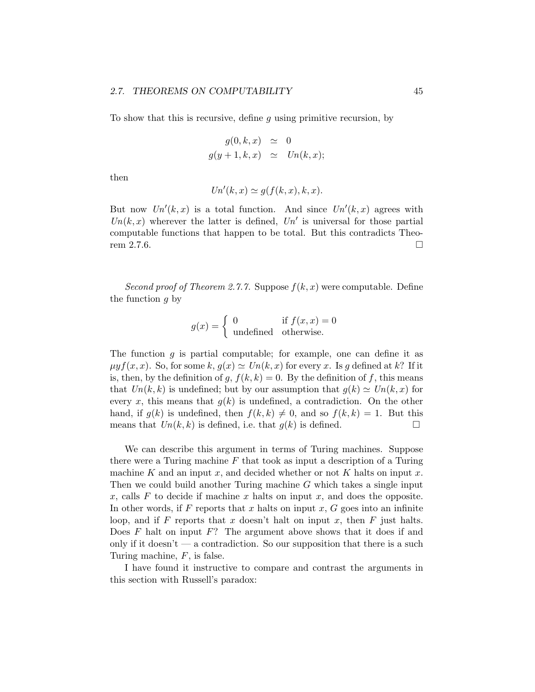To show that this is recursive, define g using primitive recursion, by

$$
g(0, k, x) \simeq 0
$$
  

$$
g(y+1, k, x) \simeq Un(k, x);
$$

then

$$
Un'(k, x) \simeq g(f(k, x), k, x).
$$

But now  $Un'(k, x)$  is a total function. And since  $Un'(k, x)$  agrees with  $Un(k, x)$  wherever the latter is defined,  $Un'$  is universal for those partial computable functions that happen to be total. But this contradicts Theorem 2.7.6.  $\Box$ 

Second proof of Theorem 2.7.7. Suppose  $f(k, x)$  were computable. Define the function  $q$  by

$$
g(x) = \begin{cases} 0 & \text{if } f(x, x) = 0\\ \text{undefined} & \text{otherwise.} \end{cases}
$$

The function  $g$  is partial computable; for example, one can define it as  $\mu y f(x, x)$ . So, for some k,  $q(x) \simeq Un(k, x)$  for every x. Is q defined at k? If it is, then, by the definition of g,  $f(k, k) = 0$ . By the definition of f, this means that  $Un(k, k)$  is undefined; but by our assumption that  $g(k) \simeq Un(k, x)$  for every x, this means that  $g(k)$  is undefined, a contradiction. On the other hand, if  $q(k)$  is undefined, then  $f(k, k) \neq 0$ , and so  $f(k, k) = 1$ . But this means that  $Un(k, k)$  is defined, i.e. that  $g(k)$  is defined.

We can describe this argument in terms of Turing machines. Suppose there were a Turing machine  $F$  that took as input a description of a Turing machine K and an input x, and decided whether or not K halts on input x. Then we could build another Turing machine G which takes a single input x, calls F to decide if machine x halts on input x, and does the opposite. In other words, if F reports that x halts on input  $x$ , G goes into an infinite loop, and if F reports that x doesn't halt on input x, then F just halts. Does  $F$  halt on input  $F$ ? The argument above shows that it does if and only if it doesn't — a contradiction. So our supposition that there is a such Turing machine,  $F$ , is false.

I have found it instructive to compare and contrast the arguments in this section with Russell's paradox: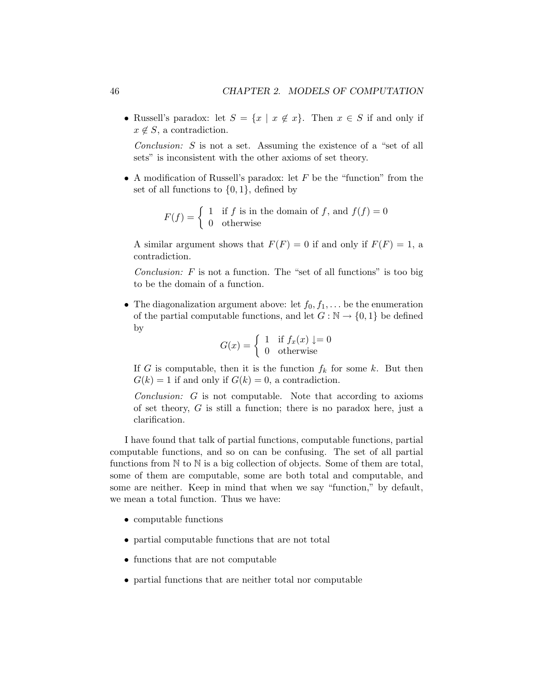• Russell's paradox: let  $S = \{x \mid x \notin x\}$ . Then  $x \in S$  if and only if  $x \notin S$ , a contradiction.

Conclusion:  $S$  is not a set. Assuming the existence of a "set of all sets" is inconsistent with the other axioms of set theory.

• A modification of Russell's paradox: let  $F$  be the "function" from the set of all functions to  $\{0, 1\}$ , defined by

$$
F(f) = \begin{cases} 1 & \text{if } f \text{ is in the domain of } f, \text{ and } f(f) = 0\\ 0 & \text{otherwise} \end{cases}
$$

A similar argument shows that  $F(F) = 0$  if and only if  $F(F) = 1$ , a contradiction.

*Conclusion:*  $F$  is not a function. The "set of all functions" is too big to be the domain of a function.

• The diagonalization argument above: let  $f_0, f_1, \ldots$  be the enumeration of the partial computable functions, and let  $G : \mathbb{N} \to \{0,1\}$  be defined by

$$
G(x) = \begin{cases} 1 & \text{if } f_x(x) \downarrow = 0 \\ 0 & \text{otherwise} \end{cases}
$$

If G is computable, then it is the function  $f_k$  for some k. But then  $G(k) = 1$  if and only if  $G(k) = 0$ , a contradiction.

Conclusion: G is not computable. Note that according to axioms of set theory, G is still a function; there is no paradox here, just a clarification.

I have found that talk of partial functions, computable functions, partial computable functions, and so on can be confusing. The set of all partial functions from N to N is a big collection of objects. Some of them are total, some of them are computable, some are both total and computable, and some are neither. Keep in mind that when we say "function," by default, we mean a total function. Thus we have:

- computable functions
- partial computable functions that are not total
- functions that are not computable
- partial functions that are neither total nor computable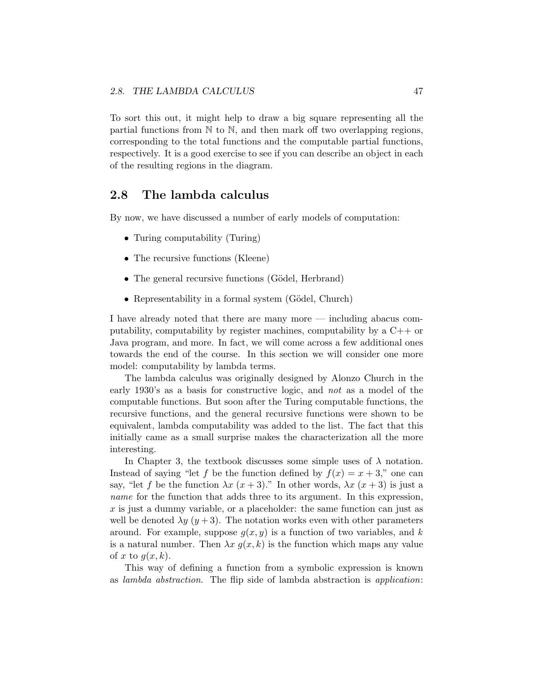To sort this out, it might help to draw a big square representing all the partial functions from  $\mathbb N$  to  $\mathbb N$ , and then mark off two overlapping regions, corresponding to the total functions and the computable partial functions, respectively. It is a good exercise to see if you can describe an object in each of the resulting regions in the diagram.

### 2.8 The lambda calculus

By now, we have discussed a number of early models of computation:

- Turing computability (Turing)
- The recursive functions (Kleene)
- The general recursive functions (Gödel, Herbrand)
- Representability in a formal system (Gödel, Church)

I have already noted that there are many more — including abacus computability, computability by register machines, computability by a C++ or Java program, and more. In fact, we will come across a few additional ones towards the end of the course. In this section we will consider one more model: computability by lambda terms.

The lambda calculus was originally designed by Alonzo Church in the early 1930's as a basis for constructive logic, and not as a model of the computable functions. But soon after the Turing computable functions, the recursive functions, and the general recursive functions were shown to be equivalent, lambda computability was added to the list. The fact that this initially came as a small surprise makes the characterization all the more interesting.

In Chapter 3, the textbook discusses some simple uses of  $\lambda$  notation. Instead of saying "let f be the function defined by  $f(x) = x + 3$ ," one can say, "let f be the function  $\lambda x$   $(x+3)$ ." In other words,  $\lambda x$   $(x+3)$  is just a name for the function that adds three to its argument. In this expression,  $x$  is just a dummy variable, or a placeholder: the same function can just as well be denoted  $\lambda y$  ( $y + 3$ ). The notation works even with other parameters around. For example, suppose  $g(x, y)$  is a function of two variables, and k is a natural number. Then  $\lambda x$   $q(x, k)$  is the function which maps any value of x to  $g(x, k)$ .

This way of defining a function from a symbolic expression is known as lambda abstraction. The flip side of lambda abstraction is application: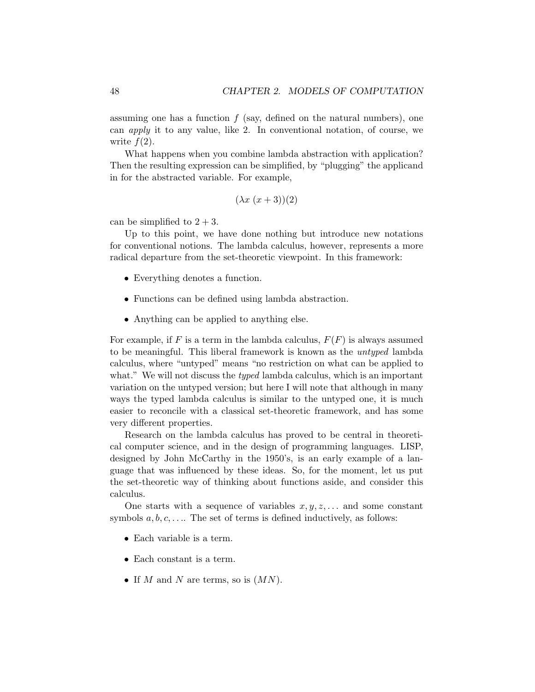assuming one has a function  $f$  (say, defined on the natural numbers), one can apply it to any value, like 2. In conventional notation, of course, we write  $f(2)$ .

What happens when you combine lambda abstraction with application? Then the resulting expression can be simplified, by "plugging" the applicand in for the abstracted variable. For example,

$$
(\lambda x\ (x+3))(2)
$$

can be simplified to  $2 + 3$ .

Up to this point, we have done nothing but introduce new notations for conventional notions. The lambda calculus, however, represents a more radical departure from the set-theoretic viewpoint. In this framework:

- Everything denotes a function.
- Functions can be defined using lambda abstraction.
- Anything can be applied to anything else.

For example, if F is a term in the lambda calculus,  $F(F)$  is always assumed to be meaningful. This liberal framework is known as the untyped lambda calculus, where "untyped" means "no restriction on what can be applied to what." We will not discuss the *typed* lambda calculus, which is an important variation on the untyped version; but here I will note that although in many ways the typed lambda calculus is similar to the untyped one, it is much easier to reconcile with a classical set-theoretic framework, and has some very different properties.

Research on the lambda calculus has proved to be central in theoretical computer science, and in the design of programming languages. LISP, designed by John McCarthy in the 1950's, is an early example of a language that was influenced by these ideas. So, for the moment, let us put the set-theoretic way of thinking about functions aside, and consider this calculus.

One starts with a sequence of variables  $x, y, z, \ldots$  and some constant symbols  $a, b, c, \ldots$ . The set of terms is defined inductively, as follows:

- Each variable is a term.
- Each constant is a term.
- If M and N are terms, so is  $(MN)$ .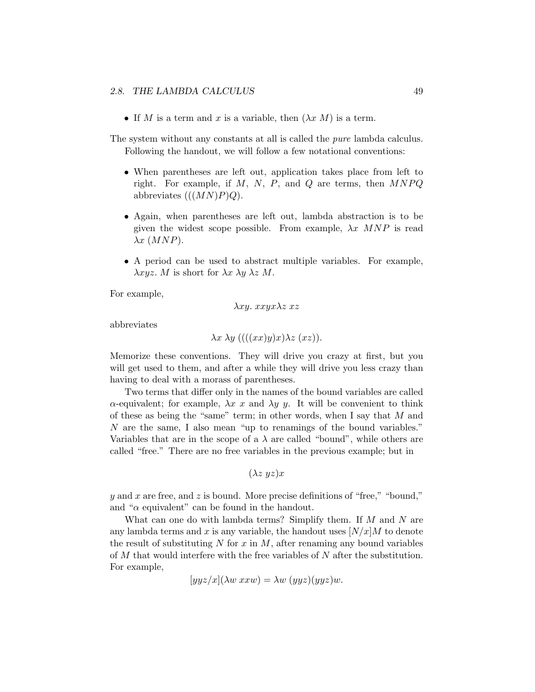• If M is a term and x is a variable, then  $(\lambda x \, M)$  is a term.

The system without any constants at all is called the *pure* lambda calculus. Following the handout, we will follow a few notational conventions:

- When parentheses are left out, application takes place from left to right. For example, if  $M$ ,  $N$ ,  $P$ , and  $Q$  are terms, then  $MNPQ$ abbreviates  $((MNP)Q)$ .
- Again, when parentheses are left out, lambda abstraction is to be given the widest scope possible. From example,  $\lambda x$  MNP is read  $\lambda x$  (*MNP*).
- A period can be used to abstract multiple variables. For example,  $\lambda xyz$ . *M* is short for  $\lambda x \lambda y \lambda z M$ .

For example,

$$
\lambda xy. xxyx\lambda z\ xz
$$

abbreviates

$$
\lambda x \lambda y ((((xx)y)x) \lambda z (xz)).
$$

Memorize these conventions. They will drive you crazy at first, but you will get used to them, and after a while they will drive you less crazy than having to deal with a morass of parentheses.

Two terms that differ only in the names of the bound variables are called  $\alpha$ -equivalent; for example,  $\lambda x$  x and  $\lambda y$  y. It will be convenient to think of these as being the "same" term; in other words, when I say that M and N are the same, I also mean "up to renamings of the bound variables." Variables that are in the scope of a  $\lambda$  are called "bound", while others are called "free." There are no free variables in the previous example; but in

$$
(\lambda z \, yz)x
$$

 $y$  and  $x$  are free, and  $z$  is bound. More precise definitions of "free," "bound," and " $\alpha$  equivalent" can be found in the handout.

What can one do with lambda terms? Simplify them. If  $M$  and  $N$  are any lambda terms and x is any variable, the handout uses  $[N/x]M$  to denote the result of substituting  $N$  for  $x$  in  $M$ , after renaming any bound variables of M that would interfere with the free variables of N after the substitution. For example,

$$
[yyz/x](\lambda w\ x x w) = \lambda w\ (yyz)(yyz) w.
$$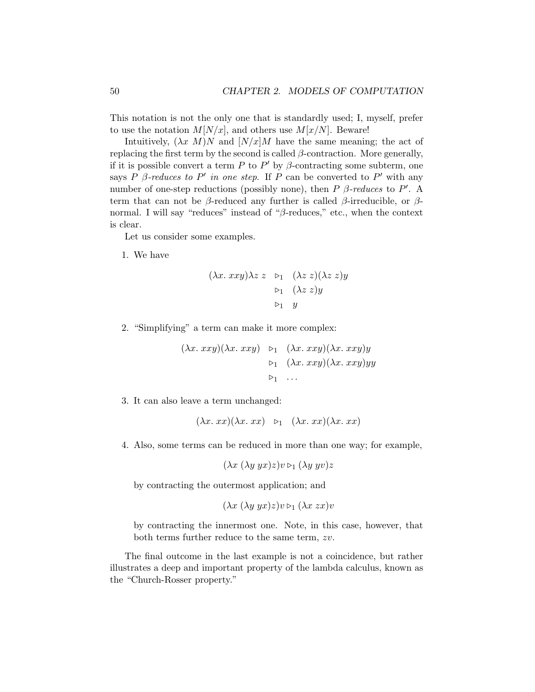This notation is not the only one that is standardly used; I, myself, prefer to use the notation  $M[N/x]$ , and others use  $M[x/N]$ . Beware!

Intuitively,  $(\lambda x \ M)N$  and  $[N/x]M$  have the same meaning; the act of replacing the first term by the second is called  $\beta$ -contraction. More generally, if it is possible convert a term P to P' by  $\beta$ -contracting some subterm, one says P  $\beta$ -reduces to P' in one step. If P can be converted to P' with any number of one-step reductions (possibly none), then  $P \beta$ -reduces to  $P'$ . A term that can not be β-reduced any further is called β-irreducible, or  $\beta$ normal. I will say "reduces" instead of " $\beta$ -reduces," etc., when the context is clear.

Let us consider some examples.

1. We have

$$
(\lambda x. xxy)\lambda z \underset{\triangleright_1}{\sim} (\lambda z z)(\lambda z z)y
$$
  
\n
$$
\underset{\triangleright_1}{\sim} (\lambda z z)y
$$

2. "Simplifying" a term can make it more complex:

$$
(\lambda x. xxy)(\lambda x. xxy) \rightarrow_1 (\lambda x. xxy)(\lambda x. xxy)y
$$
  

$$
\rightarrow_1 (\lambda x. xxy)(\lambda x. xxy)yy
$$
  

$$
\rightarrow_1 \dots
$$

3. It can also leave a term unchanged:

$$
(\lambda x. xx)(\lambda x. xx) \Rightarrow_1 (\lambda x. xx)(\lambda x. xx)
$$

4. Also, some terms can be reduced in more than one way; for example,

 $(\lambda x \, (\lambda y \, yx)z)v \triangleright_1 (\lambda y \, yy)z$ 

by contracting the outermost application; and

$$
(\lambda x \; (\lambda y \; yx)z)v \triangleright_1 (\lambda x \; zx)v
$$

by contracting the innermost one. Note, in this case, however, that both terms further reduce to the same term, zv.

The final outcome in the last example is not a coincidence, but rather illustrates a deep and important property of the lambda calculus, known as the "Church-Rosser property."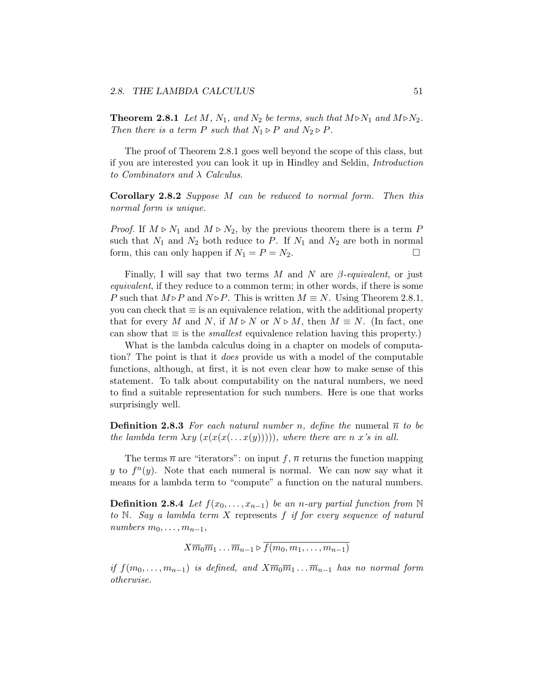**Theorem 2.8.1** Let M, N<sub>1</sub>, and N<sub>2</sub> be terms, such that  $M \triangleright N_1$  and  $M \triangleright N_2$ . Then there is a term P such that  $N_1 \triangleright P$  and  $N_2 \triangleright P$ .

The proof of Theorem 2.8.1 goes well beyond the scope of this class, but if you are interested you can look it up in Hindley and Seldin, Introduction to Combinators and  $\lambda$  Calculus.

Corollary 2.8.2 Suppose M can be reduced to normal form. Then this normal form is unique.

*Proof.* If  $M \triangleright N_1$  and  $M \triangleright N_2$ , by the previous theorem there is a term P such that  $N_1$  and  $N_2$  both reduce to P. If  $N_1$  and  $N_2$  are both in normal form, this can only happen if  $N_1 = P = N_2$ .

Finally, I will say that two terms M and N are  $\beta$ -equivalent, or just equivalent, if they reduce to a common term; in other words, if there is some P such that  $M \triangleright P$  and  $N \triangleright P$ . This is written  $M \equiv N$ . Using Theorem 2.8.1, you can check that  $\equiv$  is an equivalence relation, with the additional property that for every M and N, if  $M \triangleright N$  or  $N \triangleright M$ , then  $M \equiv N$ . (In fact, one can show that  $\equiv$  is the *smallest* equivalence relation having this property.)

What is the lambda calculus doing in a chapter on models of computation? The point is that it does provide us with a model of the computable functions, although, at first, it is not even clear how to make sense of this statement. To talk about computability on the natural numbers, we need to find a suitable representation for such numbers. Here is one that works surprisingly well.

**Definition 2.8.3** For each natural number n, define the numeral  $\overline{n}$  to be the lambda term  $\lambda xy \left( x(x(x(x \ldots x(y)))) \right)$ , where there are n x's in all.

The terms  $\bar{n}$  are "iterators": on input  $f, \bar{n}$  returns the function mapping y to  $f^{n}(y)$ . Note that each numeral is normal. We can now say what it means for a lambda term to "compute" a function on the natural numbers.

**Definition 2.8.4** Let  $f(x_0, \ldots, x_{n-1})$  be an n-ary partial function from N to  $\mathbb N$ . Say a lambda term X represents f if for every sequence of natural numbers  $m_0, \ldots, m_{n-1}$ ,

 $X\overline{m}_0\overline{m}_1 \ldots \overline{m}_{n-1} \triangleright \overline{f(m_0, m_1, \ldots, m_{n-1})}$ 

if  $f(m_0, \ldots, m_{n-1})$  is defined, and  $X \overline{m}_0 \overline{m}_1 \ldots \overline{m}_{n-1}$  has no normal form otherwise.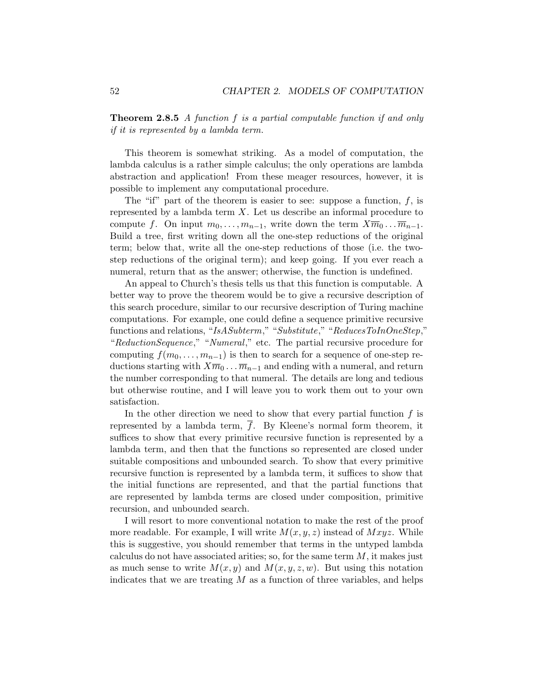**Theorem 2.8.5** A function f is a partial computable function if and only if it is represented by a lambda term.

This theorem is somewhat striking. As a model of computation, the lambda calculus is a rather simple calculus; the only operations are lambda abstraction and application! From these meager resources, however, it is possible to implement any computational procedure.

The "if" part of the theorem is easier to see: suppose a function,  $f$ , is represented by a lambda term X. Let us describe an informal procedure to compute f. On input  $m_0, \ldots, m_{n-1}$ , write down the term  $X\overline{m}_0 \ldots \overline{m}_{n-1}$ . Build a tree, first writing down all the one-step reductions of the original term; below that, write all the one-step reductions of those (i.e. the twostep reductions of the original term); and keep going. If you ever reach a numeral, return that as the answer; otherwise, the function is undefined.

An appeal to Church's thesis tells us that this function is computable. A better way to prove the theorem would be to give a recursive description of this search procedure, similar to our recursive description of Turing machine computations. For example, one could define a sequence primitive recursive functions and relations, "IsASubterm," "Substitute," "ReducesToInOneStep," "ReductionSequence," "Numeral," etc. The partial recursive procedure for computing  $f(m_0, \ldots, m_{n-1})$  is then to search for a sequence of one-step reductions starting with  $X\overline{m}_0 \dots \overline{m}_{n-1}$  and ending with a numeral, and return the number corresponding to that numeral. The details are long and tedious but otherwise routine, and I will leave you to work them out to your own satisfaction.

In the other direction we need to show that every partial function  $f$  is represented by a lambda term,  $\overline{f}$ . By Kleene's normal form theorem, it suffices to show that every primitive recursive function is represented by a lambda term, and then that the functions so represented are closed under suitable compositions and unbounded search. To show that every primitive recursive function is represented by a lambda term, it suffices to show that the initial functions are represented, and that the partial functions that are represented by lambda terms are closed under composition, primitive recursion, and unbounded search.

I will resort to more conventional notation to make the rest of the proof more readable. For example, I will write  $M(x, y, z)$  instead of  $Mxyz$ . While this is suggestive, you should remember that terms in the untyped lambda calculus do not have associated arities; so, for the same term  $M$ , it makes just as much sense to write  $M(x, y)$  and  $M(x, y, z, w)$ . But using this notation indicates that we are treating  $M$  as a function of three variables, and helps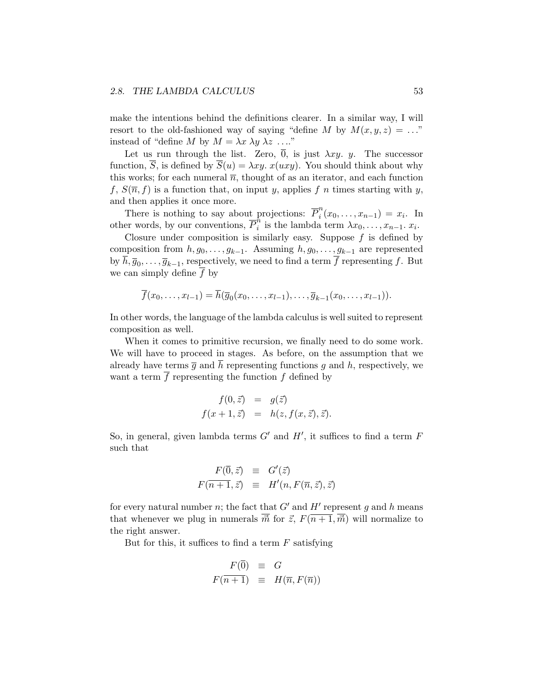make the intentions behind the definitions clearer. In a similar way, I will resort to the old-fashioned way of saying "define M by  $M(x, y, z) = ...$ " instead of "define M by  $M = \lambda x \lambda y \lambda z \ldots$ "

Let us run through the list. Zero,  $\overline{0}$ , is just  $\lambda xy$ . *y*. The successor function,  $\overline{S}$ , is defined by  $\overline{S}(u) = \lambda xy$ .  $x(uxy)$ . You should think about why this works; for each numeral  $\bar{n}$ , thought of as an iterator, and each function  $f, S(\overline{n}, f)$  is a function that, on input y, applies f n times starting with y, and then applies it once more.

There is nothing to say about projections:  $\overline{P}_i^n$  $i<sup>n</sup>(x_0,...,x_{n-1}) = x_i$ . In other words, by our conventions,  $\overline{P}_i^{\hbar}$  $i_i$  is the lambda term  $\lambda x_0, \ldots, x_{n-1}$ .  $x_i$ .

Closure under composition is similarly easy. Suppose  $f$  is defined by composition from  $h, g_0, \ldots, g_{k-1}$ . Assuming  $h, g_0, \ldots, g_{k-1}$  are represented by  $h, \overline{g}_0, \ldots, \overline{g}_{k-1}$ , respectively, we need to find a term f representing f. But we can simply define  $\overline{f}$  by

$$
\overline{f}(x_0,\ldots,x_{l-1})=\overline{h}(\overline{g}_0(x_0,\ldots,x_{l-1}),\ldots,\overline{g}_{k-1}(x_0,\ldots,x_{l-1})).
$$

In other words, the language of the lambda calculus is well suited to represent composition as well.

When it comes to primitive recursion, we finally need to do some work. We will have to proceed in stages. As before, on the assumption that we already have terms  $\overline{g}$  and  $\overline{h}$  representing functions g and h, respectively, we want a term  $\overline{f}$  representing the function f defined by

$$
f(0, \vec{z}) = g(\vec{z})
$$
  

$$
f(x+1, \vec{z}) = h(z, f(x, \vec{z}), \vec{z}).
$$

So, in general, given lambda terms  $G'$  and  $H'$ , it suffices to find a term  $F$ such that

$$
F(\overline{0}, \overline{z}) \equiv G'(\overline{z})
$$
  

$$
F(\overline{n+1}, \overline{z}) \equiv H'(n, F(\overline{n}, \overline{z}), \overline{z})
$$

for every natural number n; the fact that  $G'$  and  $H'$  represent g and h means that whenever we plug in numerals  $\overline{\vec{m}}$  for  $\vec{z}$ ,  $F(\overline{n+1}, \overline{\vec{m}})$  will normalize to the right answer.

But for this, it suffices to find a term  $F$  satisfying

$$
F(\overline{0}) \equiv G
$$
  

$$
F(\overline{n+1}) \equiv H(\overline{n}, F(\overline{n}))
$$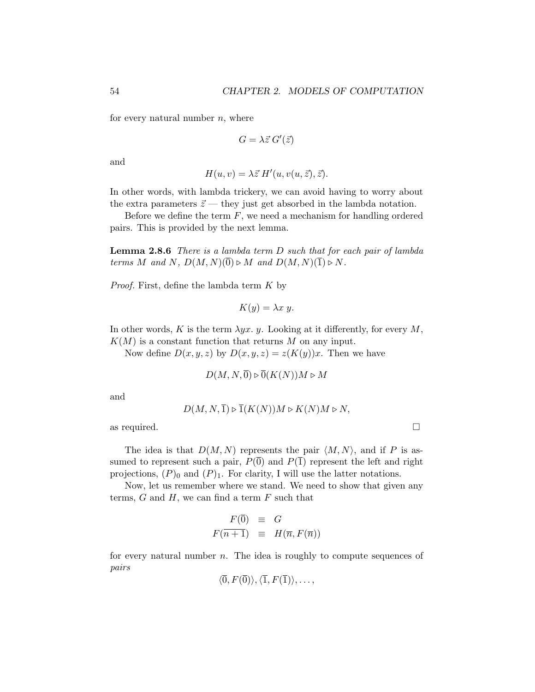for every natural number  $n$ , where

$$
G=\lambda \vec{z}\; G'(\vec{z})
$$

and

$$
H(u, v) = \lambda \vec{z} H'(u, v(u, \vec{z}), \vec{z}).
$$

In other words, with lambda trickery, we can avoid having to worry about the extra parameters  $\vec{z}$  — they just get absorbed in the lambda notation.

Before we define the term  $F$ , we need a mechanism for handling ordered pairs. This is provided by the next lemma.

Lemma 2.8.6 There is a lambda term D such that for each pair of lambda terms M and N,  $D(M, N)(\overline{0}) \triangleright M$  and  $D(M, N)(\overline{1}) \triangleright N$ .

Proof. First, define the lambda term K by

$$
K(y) = \lambda x \ y
$$

In other words, K is the term  $\lambda yx$ . y. Looking at it differently, for every M,  $K(M)$  is a constant function that returns M on any input.

Now define  $D(x, y, z)$  by  $D(x, y, z) = z(K(y))x$ . Then we have

$$
D(M, N, \overline{0}) \triangleright \overline{0}(K(N))M \triangleright M
$$

and

$$
D(M, N, \overline{1}) \triangleright \overline{1}(K(N))M \triangleright K(N)M \triangleright N,
$$

as required.  $\Box$ 

The idea is that  $D(M, N)$  represents the pair  $\langle M, N \rangle$ , and if P is assumed to represent such a pair,  $P(\overline{0})$  and  $P(\overline{1})$  represent the left and right projections,  $(P)_0$  and  $(P)_1$ . For clarity, I will use the latter notations.

Now, let us remember where we stand. We need to show that given any terms,  $G$  and  $H$ , we can find a term  $F$  such that

$$
F(\overline{0}) \equiv G
$$
  

$$
F(\overline{n+1}) \equiv H(\overline{n}, F(\overline{n}))
$$

for every natural number  $n$ . The idea is roughly to compute sequences of pairs

$$
\langle \overline{0}, F(\overline{0}) \rangle, \langle \overline{1}, F(\overline{1}) \rangle, \ldots,
$$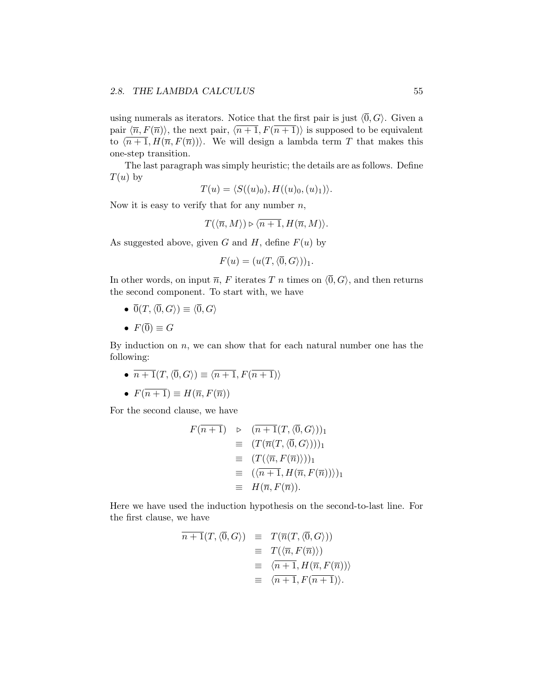using numerals as iterators. Notice that the first pair is just  $\langle 0, G \rangle$ . Given a pair  $\langle \overline{n}, F(\overline{n}) \rangle$ , the next pair,  $\langle \overline{n+1}, F(\overline{n+1}) \rangle$  is supposed to be equivalent to  $\langle \overline{n+1}, H(\overline{n}, F(\overline{n})) \rangle$ . We will design a lambda term T that makes this one-step transition.

The last paragraph was simply heuristic; the details are as follows. Define  $T(u)$  by

$$
T(u) = \langle S((u)_0), H((u)_0, (u)_1) \rangle.
$$

Now it is easy to verify that for any number  $n$ ,

$$
T(\langle \overline{n}, M \rangle) \triangleright \langle \overline{n+1}, H(\overline{n}, M) \rangle.
$$

As suggested above, given G and H, define  $F(u)$  by

$$
F(u) = (u(T, \langle \overline{0}, G \rangle))_1.
$$

In other words, on input  $\overline{n}$ , F iterates T n times on  $\langle \overline{0}, G \rangle$ , and then returns the second component. To start with, we have

- $\overline{0}(T,\langle \overline{0}, G\rangle) \equiv \langle \overline{0}, G\rangle$
- $F(\overline{0}) \equiv G$

By induction on  $n$ , we can show that for each natural number one has the following:

- $\overline{n+1}(T,\langle \overline{0},G\rangle) \equiv \langle \overline{n+1}, F(\overline{n+1})\rangle$
- $F(\overline{n+1}) \equiv H(\overline{n}, F(\overline{n}))$

For the second clause, we have

$$
F(\overline{n+1}) \quad \triangleright \quad (\overline{n+1}(T,\langle \overline{0},G \rangle))_1
$$
  
\n
$$
\equiv \quad (T(\overline{n}(T,\langle \overline{0},G \rangle)))_1
$$
  
\n
$$
\equiv \quad (T(\langle \overline{n},F(\overline{n}) \rangle))_1
$$
  
\n
$$
\equiv \quad (\langle \overline{n+1},H(\overline{n},F(\overline{n})) \rangle)_1
$$
  
\n
$$
\equiv \quad H(\overline{n},F(\overline{n})).
$$

Here we have used the induction hypothesis on the second-to-last line. For the first clause, we have

$$
\begin{array}{rcl}\n n+1(T,\langle \overline{0},G\rangle) & \equiv & T(\overline{n}(T,\langle \overline{0},G\rangle)) \\
& \equiv & T(\langle \overline{n},F(\overline{n})\rangle) \\
& \equiv & \langle \overline{n+1},H(\overline{n},F(\overline{n}))\rangle \\
& \equiv & \langle \overline{n+1},F(\overline{n+1})\rangle.\n \end{array}
$$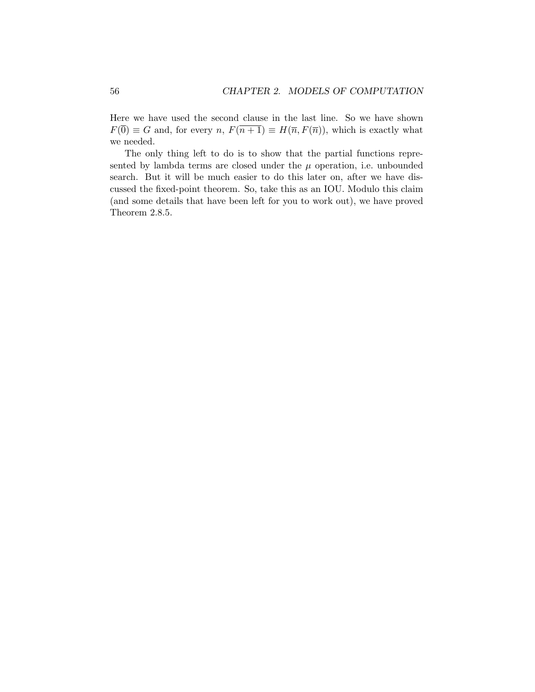Here we have used the second clause in the last line. So we have shown  $F(\overline{0}) \equiv G$  and, for every n,  $F(\overline{n+1}) \equiv H(\overline{n}, F(\overline{n}))$ , which is exactly what we needed.

The only thing left to do is to show that the partial functions represented by lambda terms are closed under the  $\mu$  operation, i.e. unbounded search. But it will be much easier to do this later on, after we have discussed the fixed-point theorem. So, take this as an IOU. Modulo this claim (and some details that have been left for you to work out), we have proved Theorem 2.8.5.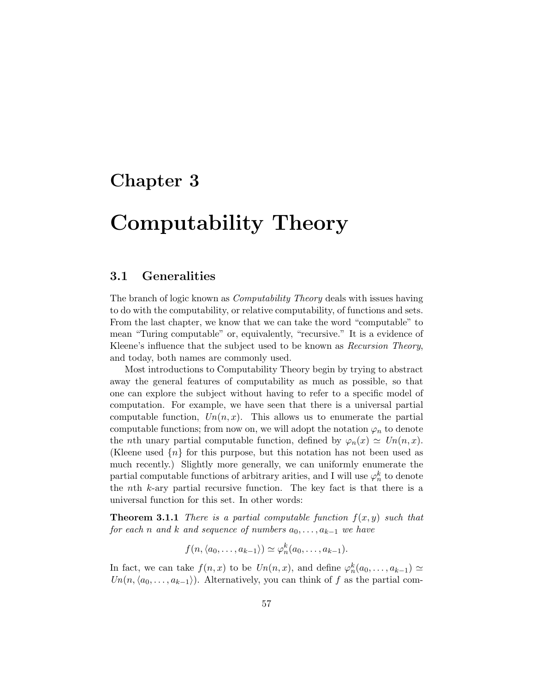# Chapter 3

# Computability Theory

### 3.1 Generalities

The branch of logic known as Computability Theory deals with issues having to do with the computability, or relative computability, of functions and sets. From the last chapter, we know that we can take the word "computable" to mean "Turing computable" or, equivalently, "recursive." It is a evidence of Kleene's influence that the subject used to be known as Recursion Theory, and today, both names are commonly used.

Most introductions to Computability Theory begin by trying to abstract away the general features of computability as much as possible, so that one can explore the subject without having to refer to a specific model of computation. For example, we have seen that there is a universal partial computable function,  $Un(n, x)$ . This allows us to enumerate the partial computable functions; from now on, we will adopt the notation  $\varphi_n$  to denote the *n*th unary partial computable function, defined by  $\varphi_n(x) \simeq Un(n, x)$ . (Kleene used  $\{n\}$  for this purpose, but this notation has not been used as much recently.) Slightly more generally, we can uniformly enumerate the partial computable functions of arbitrary arities, and I will use  $\varphi_n^k$  to denote the nth k-ary partial recursive function. The key fact is that there is a universal function for this set. In other words:

**Theorem 3.1.1** There is a partial computable function  $f(x, y)$  such that for each n and k and sequence of numbers  $a_0, \ldots, a_{k-1}$  we have

$$
f(n, \langle a_0, \ldots, a_{k-1} \rangle) \simeq \varphi_n^k(a_0, \ldots, a_{k-1}).
$$

In fact, we can take  $f(n,x)$  to be  $Un(n,x)$ , and define  $\varphi_n^k(a_0,\ldots,a_{k-1}) \simeq$  $Un(n, \langle a_0, \ldots, a_{k-1} \rangle)$ . Alternatively, you can think of f as the partial com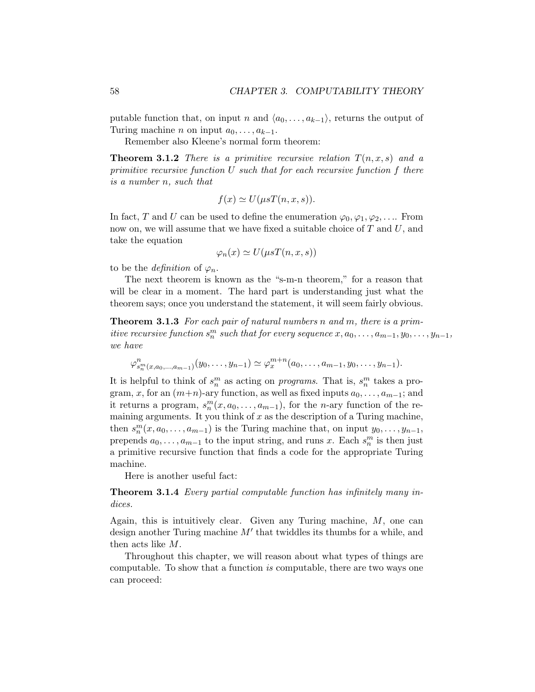putable function that, on input n and  $\langle a_0, \ldots, a_{k-1} \rangle$ , returns the output of Turing machine *n* on input  $a_0, \ldots, a_{k-1}$ .

Remember also Kleene's normal form theorem:

**Theorem 3.1.2** There is a primitive recursive relation  $T(n, x, s)$  and a primitive recursive function U such that for each recursive function f there is a number n, such that

$$
f(x) \simeq U(\mu s T(n, x, s)).
$$

In fact, T and U can be used to define the enumeration  $\varphi_0, \varphi_1, \varphi_2, \ldots$  From now on, we will assume that we have fixed a suitable choice of  $T$  and  $U$ , and take the equation

$$
\varphi_n(x) \simeq U(\mu s T(n, x, s))
$$

to be the *definition* of  $\varphi_n$ .

The next theorem is known as the "s-m-n theorem," for a reason that will be clear in a moment. The hard part is understanding just what the theorem says; once you understand the statement, it will seem fairly obvious.

**Theorem 3.1.3** For each pair of natural numbers n and m, there is a primitive recursive function  $s_n^m$  such that for every sequence  $x, a_0, \ldots, a_{m-1}, y_0, \ldots, y_{n-1}$ , we have

$$
\varphi_{s_n^m(x, a_0, \dots, a_{m-1})}^{n}(y_0, \dots, y_{n-1}) \simeq \varphi_x^{m+n}(a_0, \dots, a_{m-1}, y_0, \dots, y_{n-1}).
$$

It is helpful to think of  $s_n^m$  as acting on *programs*. That is,  $s_n^m$  takes a program, x, for an  $(m+n)$ -ary function, as well as fixed inputs  $a_0, \ldots, a_{m-1}$ ; and it returns a program,  $s_n^m(x, a_0, \ldots, a_{m-1})$ , for the *n*-ary function of the remaining arguments. It you think of  $x$  as the description of a Turing machine, then  $s_n^m(x, a_0, \ldots, a_{m-1})$  is the Turing machine that, on input  $y_0, \ldots, y_{n-1}$ , prepends  $a_0, \ldots, a_{m-1}$  to the input string, and runs x. Each  $s_n^m$  is then just a primitive recursive function that finds a code for the appropriate Turing machine.

Here is another useful fact:

Theorem 3.1.4 Every partial computable function has infinitely many indices.

Again, this is intuitively clear. Given any Turing machine,  $M$ , one can design another Turing machine  $M'$  that twiddles its thumbs for a while, and then acts like M.

Throughout this chapter, we will reason about what types of things are computable. To show that a function is computable, there are two ways one can proceed: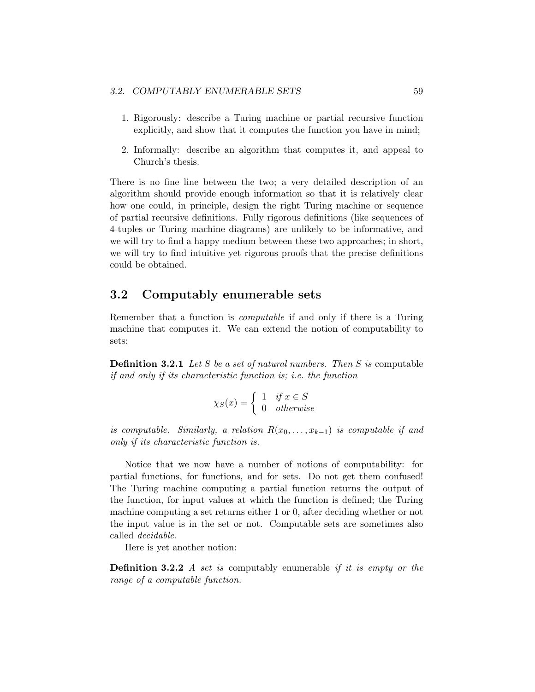- 1. Rigorously: describe a Turing machine or partial recursive function explicitly, and show that it computes the function you have in mind;
- 2. Informally: describe an algorithm that computes it, and appeal to Church's thesis.

There is no fine line between the two; a very detailed description of an algorithm should provide enough information so that it is relatively clear how one could, in principle, design the right Turing machine or sequence of partial recursive definitions. Fully rigorous definitions (like sequences of 4-tuples or Turing machine diagrams) are unlikely to be informative, and we will try to find a happy medium between these two approaches; in short, we will try to find intuitive yet rigorous proofs that the precise definitions could be obtained.

# 3.2 Computably enumerable sets

Remember that a function is computable if and only if there is a Turing machine that computes it. We can extend the notion of computability to sets:

**Definition 3.2.1** Let S be a set of natural numbers. Then S is computable if and only if its characteristic function is; i.e. the function

$$
\chi_S(x) = \begin{cases} 1 & \text{if } x \in S \\ 0 & \text{otherwise} \end{cases}
$$

is computable. Similarly, a relation  $R(x_0, \ldots, x_{k-1})$  is computable if and only if its characteristic function is.

Notice that we now have a number of notions of computability: for partial functions, for functions, and for sets. Do not get them confused! The Turing machine computing a partial function returns the output of the function, for input values at which the function is defined; the Turing machine computing a set returns either 1 or 0, after deciding whether or not the input value is in the set or not. Computable sets are sometimes also called decidable.

Here is yet another notion:

Definition 3.2.2 A set is computably enumerable if it is empty or the range of a computable function.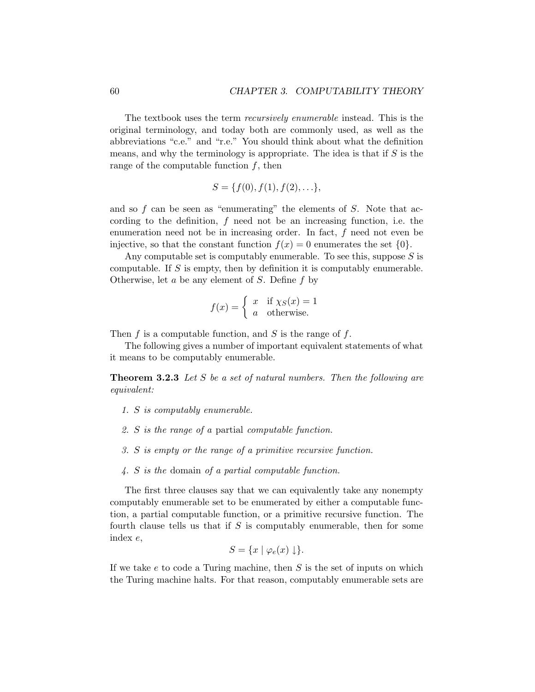The textbook uses the term recursively enumerable instead. This is the original terminology, and today both are commonly used, as well as the abbreviations "c.e." and "r.e." You should think about what the definition means, and why the terminology is appropriate. The idea is that if  $S$  is the range of the computable function  $f$ , then

$$
S = \{f(0), f(1), f(2), \ldots\},\
$$

and so f can be seen as "enumerating" the elements of  $S$ . Note that according to the definition,  $f$  need not be an increasing function, i.e. the enumeration need not be in increasing order. In fact, f need not even be injective, so that the constant function  $f(x) = 0$  enumerates the set  $\{0\}$ .

Any computable set is computably enumerable. To see this, suppose  $S$  is computable. If S is empty, then by definition it is computably enumerable. Otherwise, let  $a$  be any element of  $S$ . Define  $f$  by

$$
f(x) = \begin{cases} x & \text{if } \chi_S(x) = 1 \\ a & \text{otherwise.} \end{cases}
$$

Then f is a computable function, and S is the range of f.

The following gives a number of important equivalent statements of what it means to be computably enumerable.

**Theorem 3.2.3** Let S be a set of natural numbers. Then the following are equivalent:

- 1. S is computably enumerable.
- 2. S is the range of a partial computable function.
- 3. S is empty or the range of a primitive recursive function.
- 4. S is the domain of a partial computable function.

The first three clauses say that we can equivalently take any nonempty computably enumerable set to be enumerated by either a computable function, a partial computable function, or a primitive recursive function. The fourth clause tells us that if  $S$  is computably enumerable, then for some index e,

$$
S = \{x \mid \varphi_e(x) \downarrow \}.
$$

If we take  $e$  to code a Turing machine, then  $S$  is the set of inputs on which the Turing machine halts. For that reason, computably enumerable sets are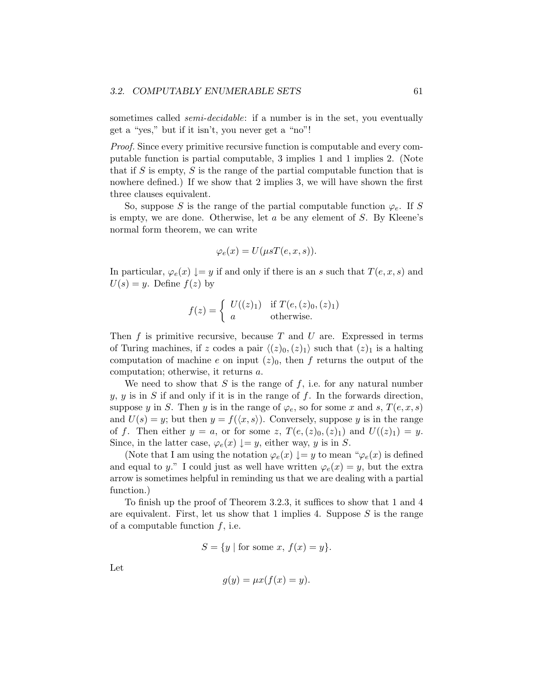sometimes called *semi-decidable*: if a number is in the set, you eventually get a "yes," but if it isn't, you never get a "no"!

Proof. Since every primitive recursive function is computable and every computable function is partial computable, 3 implies 1 and 1 implies 2. (Note that if  $S$  is empty,  $S$  is the range of the partial computable function that is nowhere defined.) If we show that 2 implies 3, we will have shown the first three clauses equivalent.

So, suppose S is the range of the partial computable function  $\varphi_e$ . If S is empty, we are done. Otherwise, let a be any element of S. By Kleene's normal form theorem, we can write

$$
\varphi_e(x) = U(\mu s T(e, x, s)).
$$

In particular,  $\varphi_e(x) \downarrow = y$  if and only if there is an s such that  $T(e, x, s)$  and  $U(s) = y$ . Define  $f(z)$  by

$$
f(z) = \begin{cases} U((z)_1) & \text{if } T(e, (z)_0, (z)_1) \\ a & \text{otherwise.} \end{cases}
$$

Then f is primitive recursive, because T and U are. Expressed in terms of Turing machines, if z codes a pair  $\langle (z)_0,(z)_1 \rangle$  such that  $(z)_1$  is a halting computation of machine e on input  $(z)_0$ , then f returns the output of the computation; otherwise, it returns a.

We need to show that  $S$  is the range of  $f$ , i.e. for any natural number  $y, y$  is in S if and only if it is in the range of f. In the forwards direction, suppose y in S. Then y is in the range of  $\varphi_e$ , so for some x and s,  $T(e, x, s)$ and  $U(s) = y$ ; but then  $y = f(\langle x, s \rangle)$ . Conversely, suppose y is in the range of f. Then either  $y = a$ , or for some z,  $T(e,(z)_0,(z)_1)$  and  $U((z)_1) = y$ . Since, in the latter case,  $\varphi_e(x) \downarrow = y$ , either way, y is in S.

(Note that I am using the notation  $\varphi_e(x) \downarrow = y$  to mean " $\varphi_e(x)$  is defined and equal to y." I could just as well have written  $\varphi_e(x) = y$ , but the extra arrow is sometimes helpful in reminding us that we are dealing with a partial function.)

To finish up the proof of Theorem 3.2.3, it suffices to show that 1 and 4 are equivalent. First, let us show that 1 implies 4. Suppose  $S$  is the range of a computable function  $f$ , i.e.

$$
S = \{ y \mid \text{for some } x, f(x) = y \}.
$$

Let

$$
g(y) = \mu x(f(x) = y).
$$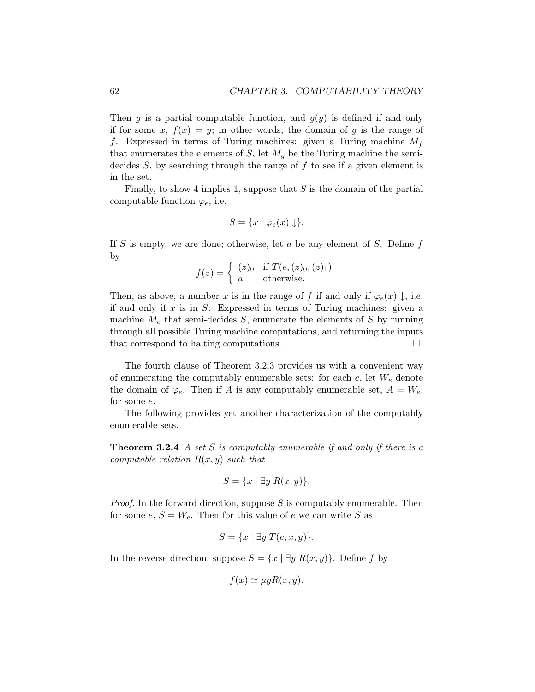Then g is a partial computable function, and  $g(y)$  is defined if and only if for some x,  $f(x) = y$ ; in other words, the domain of g is the range of f. Expressed in terms of Turing machines: given a Turing machine  $M_f$ that enumerates the elements of S, let  $M_q$  be the Turing machine the semidecides  $S$ , by searching through the range of  $f$  to see if a given element is in the set.

Finally, to show 4 implies 1, suppose that  $S$  is the domain of the partial computable function  $\varphi_e$ , i.e.

$$
S = \{x \mid \varphi_e(x) \downarrow \}.
$$

If S is empty, we are done; otherwise, let a be any element of S. Define f by

$$
f(z) = \begin{cases} (z)_0 & \text{if } T(e, (z)_0, (z)_1) \\ a & \text{otherwise.} \end{cases}
$$

Then, as above, a number x is in the range of f if and only if  $\varphi_e(x) \downarrow$ , i.e. if and only if  $x$  is in  $S$ . Expressed in terms of Turing machines: given a machine  $M_e$  that semi-decides S, enumerate the elements of S by running through all possible Turing machine computations, and returning the inputs that correspond to halting computations.

The fourth clause of Theorem 3.2.3 provides us with a convenient way of enumerating the computably enumerable sets: for each  $e$ , let  $W_e$  denote the domain of  $\varphi_e$ . Then if A is any computably enumerable set,  $A = W_e$ , for some e.

The following provides yet another characterization of the computably enumerable sets.

**Theorem 3.2.4** A set S is computably enumerable if and only if there is a computable relation  $R(x, y)$  such that

$$
S = \{x \mid \exists y \; R(x, y)\}.
$$

*Proof.* In the forward direction, suppose  $S$  is computably enumerable. Then for some  $e, S = W_e$ . Then for this value of e we can write S as

$$
S = \{x \mid \exists y \ T(e, x, y)\}.
$$

In the reverse direction, suppose  $S = \{x \mid \exists y \; R(x, y)\}\.$  Define f by

$$
f(x) \simeq \mu y R(x, y).
$$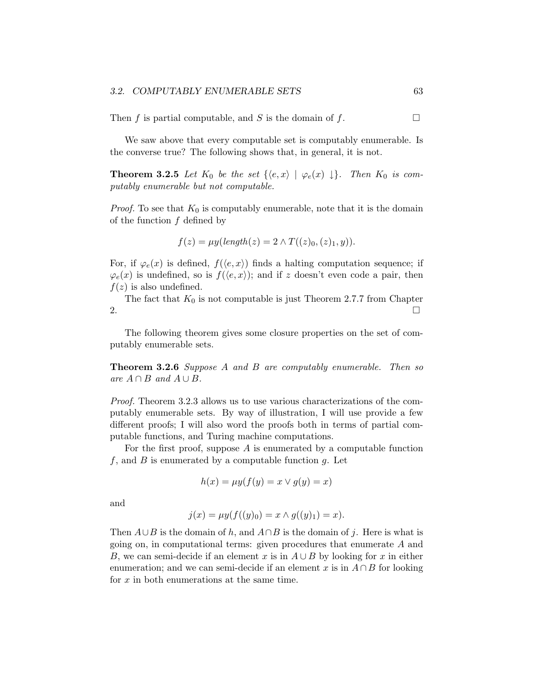Then f is partial computable, and S is the domain of f.  $\Box$ 

We saw above that every computable set is computably enumerable. Is the converse true? The following shows that, in general, it is not.

**Theorem 3.2.5** Let  $K_0$  be the set  $\{\langle e, x \rangle \mid \varphi_e(x) \}$ . Then  $K_0$  is computably enumerable but not computable.

*Proof.* To see that  $K_0$  is computably enumerable, note that it is the domain of the function  $f$  defined by

$$
f(z) = \mu y(\text{length}(z) = 2 \land T((z)_0, (z)_1, y)).
$$

For, if  $\varphi_e(x)$  is defined,  $f(\langle e, x \rangle)$  finds a halting computation sequence; if  $\varphi_e(x)$  is undefined, so is  $f(\langle e, x \rangle)$ ; and if z doesn't even code a pair, then  $f(z)$  is also undefined.

The fact that  $K_0$  is not computable is just Theorem 2.7.7 from Chapter 2.

The following theorem gives some closure properties on the set of computably enumerable sets.

Theorem 3.2.6 Suppose A and B are computably enumerable. Then so are  $A \cap B$  and  $A \cup B$ .

Proof. Theorem 3.2.3 allows us to use various characterizations of the computably enumerable sets. By way of illustration, I will use provide a few different proofs; I will also word the proofs both in terms of partial computable functions, and Turing machine computations.

For the first proof, suppose  $A$  is enumerated by a computable function  $f$ , and  $B$  is enumerated by a computable function  $g$ . Let

$$
h(x) = \mu y(f(y) = x \lor g(y) = x)
$$

and

$$
j(x) = \mu y(f((y)_0) = x \land g((y)_1) = x).
$$

Then  $A\cup B$  is the domain of h, and  $A\cap B$  is the domain of j. Here is what is going on, in computational terms: given procedures that enumerate A and B, we can semi-decide if an element x is in  $A \cup B$  by looking for x in either enumeration; and we can semi-decide if an element x is in  $A \cap B$  for looking for  $x$  in both enumerations at the same time.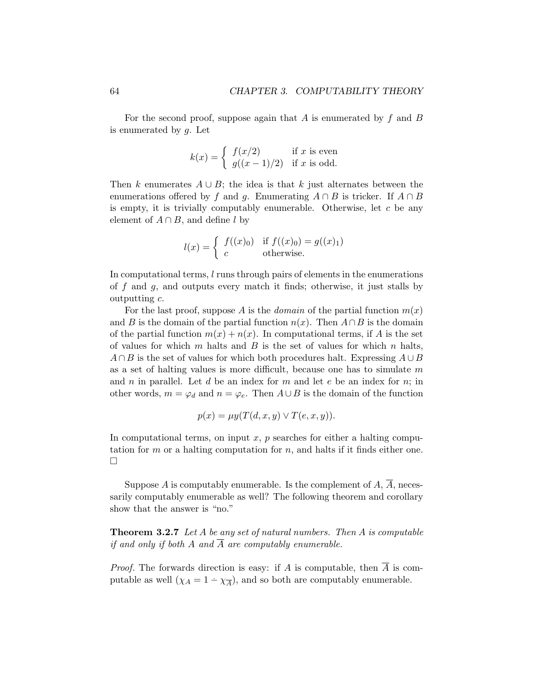For the second proof, suppose again that  $A$  is enumerated by  $f$  and  $B$ is enumerated by  $g$ . Let

$$
k(x) = \begin{cases} f(x/2) & \text{if } x \text{ is even} \\ g((x-1)/2) & \text{if } x \text{ is odd.} \end{cases}
$$

Then k enumerates  $A \cup B$ ; the idea is that k just alternates between the enumerations offered by f and g. Enumerating  $A \cap B$  is tricker. If  $A \cap B$ is empty, it is trivially computably enumerable. Otherwise, let  $c$  be any element of  $A \cap B$ , and define l by

$$
l(x) = \begin{cases} f((x)_0) & \text{if } f((x)_0) = g((x)_1) \\ c & \text{otherwise.} \end{cases}
$$

In computational terms, l runs through pairs of elements in the enumerations of f and g, and outputs every match it finds; otherwise, it just stalls by outputting c.

For the last proof, suppose A is the *domain* of the partial function  $m(x)$ and B is the domain of the partial function  $n(x)$ . Then  $A \cap B$  is the domain of the partial function  $m(x) + n(x)$ . In computational terms, if A is the set of values for which  $m$  halts and  $B$  is the set of values for which  $n$  halts,  $A \cap B$  is the set of values for which both procedures halt. Expressing  $A \cup B$ as a set of halting values is more difficult, because one has to simulate  $m$ and n in parallel. Let d be an index for m and let e be an index for  $n$ ; in other words,  $m = \varphi_d$  and  $n = \varphi_e$ . Then  $A \cup B$  is the domain of the function

$$
p(x) = \mu y(T(d, x, y) \lor T(e, x, y)).
$$

In computational terms, on input  $x, p$  searches for either a halting computation for  $m$  or a halting computation for  $n$ , and halts if it finds either one.  $\Box$ 

Suppose A is computably enumerable. Is the complement of  $A, \overline{A}$ , necessarily computably enumerable as well? The following theorem and corollary show that the answer is "no."

Theorem 3.2.7 Let A be any set of natural numbers. Then A is computable if and only if both A and  $\overline{A}$  are computably enumerable.

*Proof.* The forwards direction is easy: if A is computable, then  $\overline{A}$  is computable as well  $(\chi_A = 1 - \chi_{\overline{A}})$ , and so both are computably enumerable.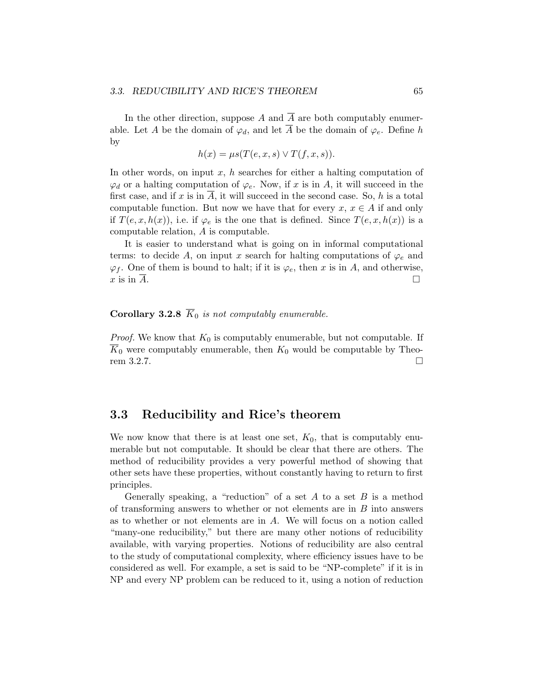In the other direction, suppose A and  $\overline{A}$  are both computably enumerable. Let A be the domain of  $\varphi_d$ , and let  $\overline{A}$  be the domain of  $\varphi_e$ . Define h by

$$
h(x) = \mu s(T(e, x, s) \lor T(f, x, s)).
$$

In other words, on input  $x, h$  searches for either a halting computation of  $\varphi_d$  or a halting computation of  $\varphi_e$ . Now, if x is in A, it will succeed in the first case, and if x is in  $\overline{A}$ , it will succeed in the second case. So, h is a total computable function. But now we have that for every  $x, x \in A$  if and only if  $T(e, x, h(x))$ , i.e. if  $\varphi_e$  is the one that is defined. Since  $T(e, x, h(x))$  is a computable relation, A is computable.

It is easier to understand what is going on in informal computational terms: to decide A, on input x search for halting computations of  $\varphi_e$  and  $\varphi_f$ . One of them is bound to halt; if it is  $\varphi_e$ , then x is in A, and otherwise, x is in  $\overline{A}$ .

### **Corollary 3.2.8**  $\overline{K}_0$  is not computably enumerable.

*Proof.* We know that  $K_0$  is computably enumerable, but not computable. If  $K_0$  were computably enumerable, then  $K_0$  would be computable by Theorem 3.2.7.

## 3.3 Reducibility and Rice's theorem

We now know that there is at least one set,  $K_0$ , that is computably enumerable but not computable. It should be clear that there are others. The method of reducibility provides a very powerful method of showing that other sets have these properties, without constantly having to return to first principles.

Generally speaking, a "reduction" of a set  $A$  to a set  $B$  is a method of transforming answers to whether or not elements are in  $B$  into answers as to whether or not elements are in A. We will focus on a notion called "many-one reducibility," but there are many other notions of reducibility available, with varying properties. Notions of reducibility are also central to the study of computational complexity, where efficiency issues have to be considered as well. For example, a set is said to be "NP-complete" if it is in NP and every NP problem can be reduced to it, using a notion of reduction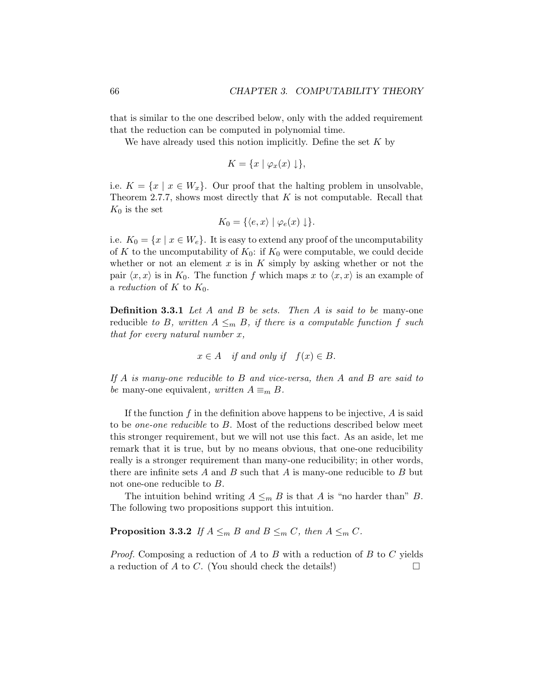that is similar to the one described below, only with the added requirement that the reduction can be computed in polynomial time.

We have already used this notion implicitly. Define the set  $K$  by

$$
K = \{x \mid \varphi_x(x) \downarrow \},
$$

i.e.  $K = \{x \mid x \in W_x\}$ . Our proof that the halting problem in unsolvable, Theorem 2.7.7, shows most directly that  $K$  is not computable. Recall that  $K_0$  is the set

$$
K_0 = \{ \langle e, x \rangle \mid \varphi_e(x) \downarrow \}.
$$

i.e.  $K_0 = \{x \mid x \in W_e\}$ . It is easy to extend any proof of the uncomputability of K to the uncomputability of  $K_0$ : if  $K_0$  were computable, we could decide whether or not an element  $x$  is in  $K$  simply by asking whether or not the pair  $\langle x, x \rangle$  is in  $K_0$ . The function f which maps x to  $\langle x, x \rangle$  is an example of a *reduction* of  $K$  to  $K_0$ .

**Definition 3.3.1** Let A and B be sets. Then A is said to be many-one reducible to B, written  $A \leq_m B$ , if there is a computable function f such that for every natural number  $x$ ,

$$
x \in A
$$
 if and only if  $f(x) \in B$ .

If A is many-one reducible to B and vice-versa, then A and B are said to be many-one equivalent, written  $A \equiv_m B$ .

If the function  $f$  in the definition above happens to be injective,  $A$  is said to be *one-one reducible* to B. Most of the reductions described below meet this stronger requirement, but we will not use this fact. As an aside, let me remark that it is true, but by no means obvious, that one-one reducibility really is a stronger requirement than many-one reducibility; in other words, there are infinite sets A and B such that A is many-one reducible to B but not one-one reducible to B.

The intuition behind writing  $A \leq_m B$  is that A is "no harder than" B. The following two propositions support this intuition.

**Proposition 3.3.2** If  $A \leq_m B$  and  $B \leq_m C$ , then  $A \leq_m C$ .

*Proof.* Composing a reduction of  $A$  to  $B$  with a reduction of  $B$  to  $C$  yields a reduction of A to C. (You should check the details!)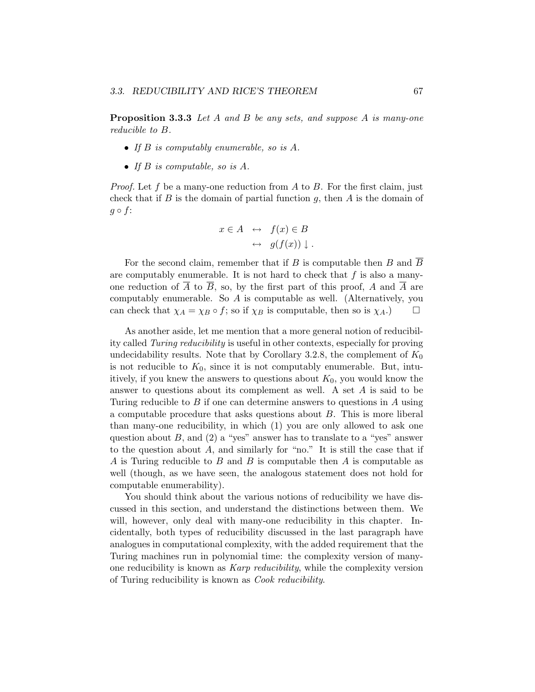**Proposition 3.3.3** Let A and B be any sets, and suppose A is many-one reducible to B.

- If B is computably enumerable, so is A.
- If  $B$  is computable, so is  $A$ .

*Proof.* Let f be a many-one reduction from A to B. For the first claim, just check that if B is the domain of partial function  $q$ , then A is the domain of  $g \circ f$ :

$$
x \in A \iff f(x) \in B
$$
  

$$
\iff g(f(x)) \downarrow.
$$

For the second claim, remember that if  $B$  is computable then  $B$  and  $B$ are computably enumerable. It is not hard to check that  $f$  is also a manyone reduction of  $\overline{A}$  to  $\overline{B}$ , so, by the first part of this proof, A and  $\overline{A}$  are computably enumerable. So A is computable as well. (Alternatively, you can check that  $\chi_A = \chi_B \circ f$ ; so if  $\chi_B$  is computable, then so is  $\chi_A$ .)  $\Box$ 

As another aside, let me mention that a more general notion of reducibility called Turing reducibility is useful in other contexts, especially for proving undecidability results. Note that by Corollary 3.2.8, the complement of  $K_0$ is not reducible to  $K_0$ , since it is not computably enumerable. But, intuitively, if you knew the answers to questions about  $K_0$ , you would know the answer to questions about its complement as well. A set A is said to be Turing reducible to  $B$  if one can determine answers to questions in  $A$  using a computable procedure that asks questions about B. This is more liberal than many-one reducibility, in which (1) you are only allowed to ask one question about  $B$ , and  $(2)$  a "yes" answer has to translate to a "yes" answer to the question about  $A$ , and similarly for "no." It is still the case that if A is Turing reducible to  $B$  and  $B$  is computable then  $A$  is computable as well (though, as we have seen, the analogous statement does not hold for computable enumerability).

You should think about the various notions of reducibility we have discussed in this section, and understand the distinctions between them. We will, however, only deal with many-one reducibility in this chapter. Incidentally, both types of reducibility discussed in the last paragraph have analogues in computational complexity, with the added requirement that the Turing machines run in polynomial time: the complexity version of manyone reducibility is known as Karp reducibility, while the complexity version of Turing reducibility is known as Cook reducibility.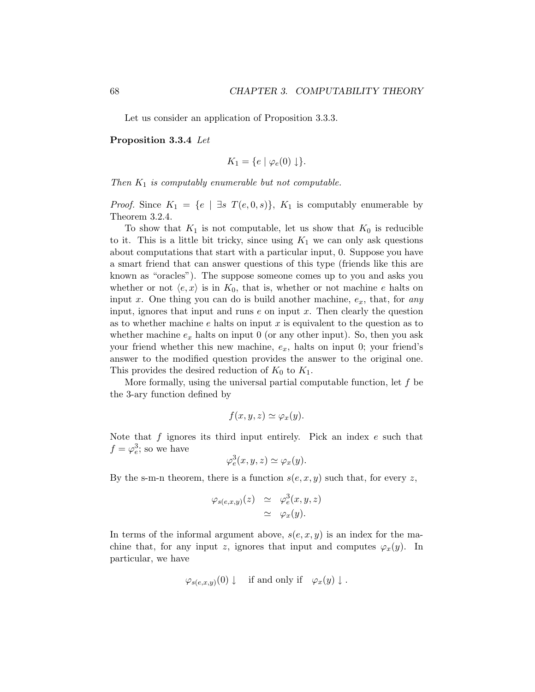Let us consider an application of Proposition 3.3.3.

Proposition 3.3.4 Let

$$
K_1 = \{e \mid \varphi_e(0) \downarrow\}.
$$

Then  $K_1$  is computably enumerable but not computable.

*Proof.* Since  $K_1 = \{e \mid \exists s \ T(e, 0, s)\}, K_1$  is computably enumerable by Theorem 3.2.4.

To show that  $K_1$  is not computable, let us show that  $K_0$  is reducible to it. This is a little bit tricky, since using  $K_1$  we can only ask questions about computations that start with a particular input, 0. Suppose you have a smart friend that can answer questions of this type (friends like this are known as "oracles"). The suppose someone comes up to you and asks you whether or not  $\langle e, x \rangle$  is in  $K_0$ , that is, whether or not machine e halts on input x. One thing you can do is build another machine,  $e_x$ , that, for any input, ignores that input and runs  $e$  on input  $x$ . Then clearly the question as to whether machine  $e$  halts on input  $x$  is equivalent to the question as to whether machine  $e_x$  halts on input 0 (or any other input). So, then you ask your friend whether this new machine,  $e_x$ , halts on input 0; your friend's answer to the modified question provides the answer to the original one. This provides the desired reduction of  $K_0$  to  $K_1$ .

More formally, using the universal partial computable function, let  $f$  be the 3-ary function defined by

$$
f(x, y, z) \simeq \varphi_x(y).
$$

Note that  $f$  ignores its third input entirely. Pick an index  $e$  such that  $f = \varphi_e^3$ ; so we have

$$
\varphi_e^3(x, y, z) \simeq \varphi_x(y).
$$

By the s-m-n theorem, there is a function  $s(e, x, y)$  such that, for every z,

$$
\varphi_{s(e,x,y)}(z) \simeq \varphi_e^3(x,y,z) \simeq \varphi_x(y).
$$

In terms of the informal argument above,  $s(e, x, y)$  is an index for the machine that, for any input z, ignores that input and computes  $\varphi_x(y)$ . In particular, we have

$$
\varphi_{s(e,x,y)}(0) \downarrow
$$
 if and only if  $\varphi_x(y) \downarrow$ .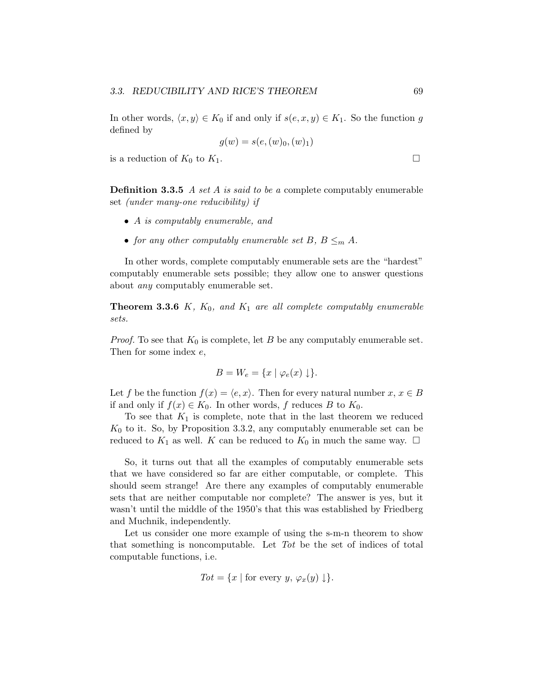In other words,  $\langle x, y \rangle \in K_0$  if and only if  $s(e, x, y) \in K_1$ . So the function g defined by

$$
g(w) = s(e, (w)_0, (w)_1)
$$

is a reduction of  $K_0$  to  $K_1$ .

**Definition 3.3.5** A set A is said to be a complete computably enumerable set (under many-one reducibility) if

- A is computably enumerable, and
- for any other computably enumerable set B,  $B \leq_m A$ .

In other words, complete computably enumerable sets are the "hardest" computably enumerable sets possible; they allow one to answer questions about any computably enumerable set.

**Theorem 3.3.6**  $K$ ,  $K_0$ , and  $K_1$  are all complete computably enumerable sets.

*Proof.* To see that  $K_0$  is complete, let B be any computably enumerable set. Then for some index e,

$$
B = W_e = \{x \mid \varphi_e(x) \downarrow\}.
$$

Let f be the function  $f(x) = \langle e, x \rangle$ . Then for every natural number  $x, x \in B$ if and only if  $f(x) \in K_0$ . In other words, f reduces B to  $K_0$ .

To see that  $K_1$  is complete, note that in the last theorem we reduced  $K_0$  to it. So, by Proposition 3.3.2, any computably enumerable set can be reduced to  $K_1$  as well. K can be reduced to  $K_0$  in much the same way.  $\Box$ 

So, it turns out that all the examples of computably enumerable sets that we have considered so far are either computable, or complete. This should seem strange! Are there any examples of computably enumerable sets that are neither computable nor complete? The answer is yes, but it wasn't until the middle of the 1950's that this was established by Friedberg and Muchnik, independently.

Let us consider one more example of using the s-m-n theorem to show that something is noncomputable. Let Tot be the set of indices of total computable functions, i.e.

$$
Tot = \{x \mid \text{for every } y, \varphi_x(y) \downarrow \}.
$$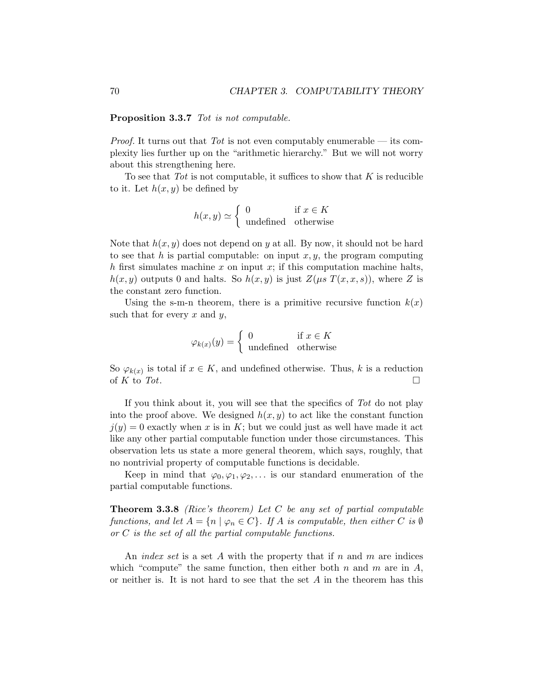#### Proposition 3.3.7 Tot is not computable.

*Proof.* It turns out that Tot is not even computably enumerable — its complexity lies further up on the "arithmetic hierarchy." But we will not worry about this strengthening here.

To see that Tot is not computable, it suffices to show that  $K$  is reducible to it. Let  $h(x, y)$  be defined by

$$
h(x, y) \simeq \begin{cases} 0 & \text{if } x \in K \\ \text{undefined} & \text{otherwise} \end{cases}
$$

Note that  $h(x, y)$  does not depend on y at all. By now, it should not be hard to see that h is partial computable: on input  $x, y$ , the program computing h first simulates machine x on input x; if this computation machine halts,  $h(x, y)$  outputs 0 and halts. So  $h(x, y)$  is just  $Z(\mu s T(x, x, s))$ , where Z is the constant zero function.

Using the s-m-n theorem, there is a primitive recursive function  $k(x)$ such that for every  $x$  and  $y$ ,

$$
\varphi_{k(x)}(y) = \begin{cases} 0 & \text{if } x \in K \\ \text{undefined} & \text{otherwise} \end{cases}
$$

So  $\varphi_{k(x)}$  is total if  $x \in K$ , and undefined otherwise. Thus, k is a reduction of K to Tot.  $\Box$ 

If you think about it, you will see that the specifics of Tot do not play into the proof above. We designed  $h(x, y)$  to act like the constant function  $j(y) = 0$  exactly when x is in K; but we could just as well have made it act like any other partial computable function under those circumstances. This observation lets us state a more general theorem, which says, roughly, that no nontrivial property of computable functions is decidable.

Keep in mind that  $\varphi_0, \varphi_1, \varphi_2, \ldots$  is our standard enumeration of the partial computable functions.

**Theorem 3.3.8** (Rice's theorem) Let C be any set of partial computable functions, and let  $A = \{n \mid \varphi_n \in C\}$ . If A is computable, then either C is  $\emptyset$ or C is the set of all the partial computable functions.

An *index set* is a set A with the property that if n and m are indices which "compute" the same function, then either both n and m are in  $A$ , or neither is. It is not hard to see that the set  $A$  in the theorem has this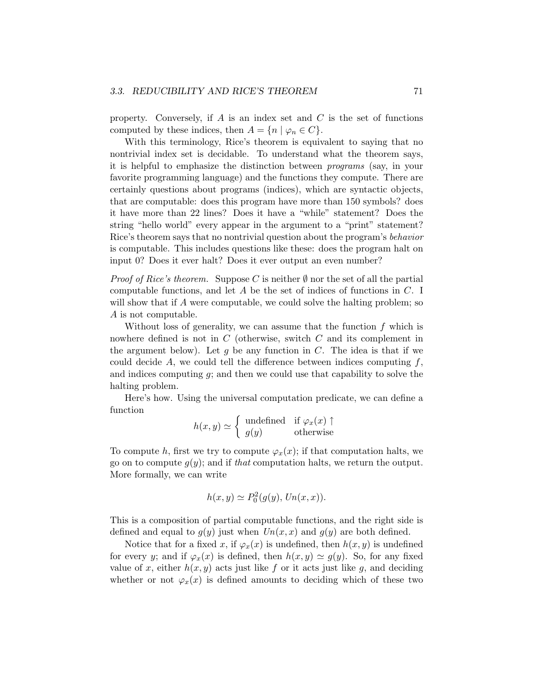property. Conversely, if  $A$  is an index set and  $C$  is the set of functions computed by these indices, then  $A = \{n \mid \varphi_n \in C\}.$ 

With this terminology, Rice's theorem is equivalent to saying that no nontrivial index set is decidable. To understand what the theorem says, it is helpful to emphasize the distinction between programs (say, in your favorite programming language) and the functions they compute. There are certainly questions about programs (indices), which are syntactic objects, that are computable: does this program have more than 150 symbols? does it have more than 22 lines? Does it have a "while" statement? Does the string "hello world" every appear in the argument to a "print" statement? Rice's theorem says that no nontrivial question about the program's behavior is computable. This includes questions like these: does the program halt on input 0? Does it ever halt? Does it ever output an even number?

*Proof of Rice's theorem.* Suppose C is neither  $\emptyset$  nor the set of all the partial computable functions, and let  $A$  be the set of indices of functions in  $C$ . I will show that if  $A$  were computable, we could solve the halting problem; so A is not computable.

Without loss of generality, we can assume that the function  $f$  which is nowhere defined is not in C (otherwise, switch C and its complement in the argument below). Let  $g$  be any function in  $C$ . The idea is that if we could decide  $A$ , we could tell the difference between indices computing  $f$ , and indices computing  $g$ ; and then we could use that capability to solve the halting problem.

Here's how. Using the universal computation predicate, we can define a function

$$
h(x, y) \simeq \begin{cases} \text{ undefined} & \text{if } \varphi_x(x) \uparrow \\ g(y) & \text{otherwise} \end{cases}
$$

To compute h, first we try to compute  $\varphi_x(x)$ ; if that computation halts, we go on to compute  $g(y)$ ; and if that computation halts, we return the output. More formally, we can write

$$
h(x,y) \simeq P_0^2(g(y), Un(x,x)).
$$

This is a composition of partial computable functions, and the right side is defined and equal to  $g(y)$  just when  $Un(x, x)$  and  $g(y)$  are both defined.

Notice that for a fixed x, if  $\varphi_x(x)$  is undefined, then  $h(x, y)$  is undefined for every y; and if  $\varphi_x(x)$  is defined, then  $h(x, y) \simeq g(y)$ . So, for any fixed value of x, either  $h(x, y)$  acts just like f or it acts just like q, and deciding whether or not  $\varphi_x(x)$  is defined amounts to deciding which of these two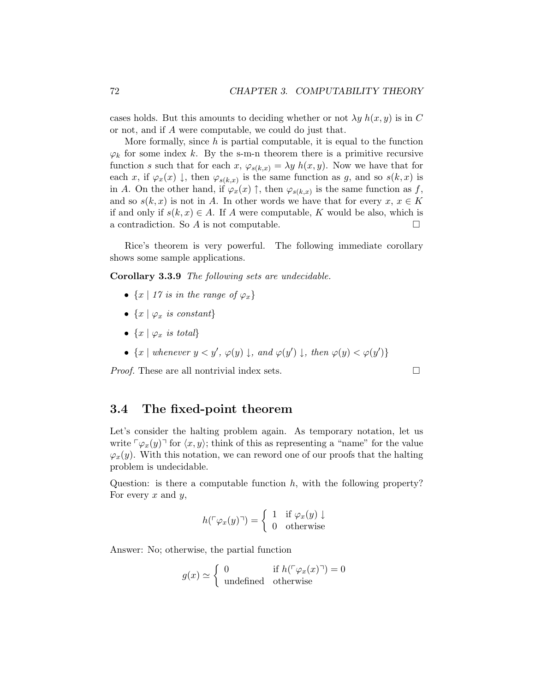cases holds. But this amounts to deciding whether or not  $\lambda y h(x, y)$  is in C or not, and if A were computable, we could do just that.

More formally, since  $h$  is partial computable, it is equal to the function  $\varphi_k$  for some index k. By the s-m-n theorem there is a primitive recursive function s such that for each x,  $\varphi_{s(k,x)} = \lambda y h(x, y)$ . Now we have that for each x, if  $\varphi_x(x) \downarrow$ , then  $\varphi_{s(k,x)}$  is the same function as g, and so  $s(k,x)$  is in A. On the other hand, if  $\varphi_x(x) \uparrow$ , then  $\varphi_{s(k,x)}$  is the same function as f, and so  $s(k, x)$  is not in A. In other words we have that for every  $x, x \in K$ if and only if  $s(k, x) \in A$ . If A were computable, K would be also, which is a contradiction. So A is not computable.  $\Box$ 

Rice's theorem is very powerful. The following immediate corollary shows some sample applications.

Corollary 3.3.9 The following sets are undecidable.

- $\{x \mid 17 \text{ is in the range of } \varphi_x\}$
- $\{x \mid \varphi_x \text{ is constant}\}\$
- $\{x \mid \varphi_x \text{ is total}\}\$
- $\{x \mid whenever \ y < y', \ \varphi(y) \downarrow, \ and \ \varphi(y') \downarrow, \ then \ \varphi(y) < \varphi(y')\}$

*Proof.* These are all nontrivial index sets.  $\Box$ 

## 3.4 The fixed-point theorem

Let's consider the halting problem again. As temporary notation, let us write  $\lceil \varphi_x(y) \rceil$  for  $\langle x, y \rangle$ ; think of this as representing a "name" for the value  $\varphi_x(y)$ . With this notation, we can reword one of our proofs that the halting problem is undecidable.

Question: is there a computable function  $h$ , with the following property? For every  $x$  and  $y$ ,

$$
h(\ulcorner \varphi_x(y)\urcorner) = \begin{cases} 1 & \text{if } \varphi_x(y) \downarrow \\ 0 & \text{otherwise} \end{cases}
$$

Answer: No; otherwise, the partial function

 $g(x) \simeq \begin{cases} 0 & \text{if } h(\ulcorner \varphi_x(x) \urcorner) = 0 \\ 0 & \text{if } h(\ulcorner \varphi_x(x) \urcorner) = 0 \end{cases}$ undefined otherwise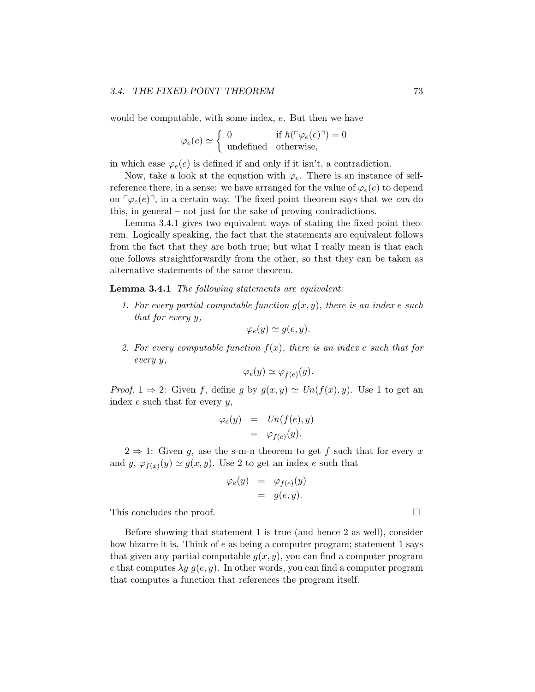would be computable, with some index, e. But then we have

$$
\varphi_e(e) \simeq \begin{cases} 0 & \text{if } h(\ulcorner \varphi_e(e) \urcorner) = 0 \\ \text{undefined} & \text{otherwise,} \end{cases}
$$

in which case  $\varphi_e(e)$  is defined if and only if it isn't, a contradiction.

Now, take a look at the equation with  $\varphi_e$ . There is an instance of selfreference there, in a sense: we have arranged for the value of  $\varphi_e(e)$  to depend on  $\lceil \varphi_e(e) \rceil$ , in a certain way. The fixed-point theorem says that we can do this, in general – not just for the sake of proving contradictions.

Lemma 3.4.1 gives two equivalent ways of stating the fixed-point theorem. Logically speaking, the fact that the statements are equivalent follows from the fact that they are both true; but what I really mean is that each one follows straightforwardly from the other, so that they can be taken as alternative statements of the same theorem.

Lemma 3.4.1 The following statements are equivalent:

1. For every partial computable function  $g(x, y)$ , there is an index e such that for every y,

$$
\varphi_e(y) \simeq g(e, y).
$$

2. For every computable function  $f(x)$ , there is an index e such that for every y,

$$
\varphi_e(y) \simeq \varphi_{f(e)}(y).
$$

*Proof.* 1  $\Rightarrow$  2: Given f, define g by  $g(x, y) \simeq Un(f(x), y)$ . Use 1 to get an index  $e$  such that for every  $y$ ,

$$
\varphi_e(y) = Un(f(e), y) \n= \varphi_{f(e)}(y).
$$

 $2 \Rightarrow 1$ : Given g, use the s-m-n theorem to get f such that for every x and  $y, \varphi_{f(x)}(y) \simeq g(x, y)$ . Use 2 to get an index e such that

$$
\varphi_e(y) = \varphi_{f(e)}(y) \n= g(e, y).
$$

This concludes the proof.

Before showing that statement 1 is true (and hence 2 as well), consider how bizarre it is. Think of  $e$  as being a computer program; statement 1 says that given any partial computable  $q(x, y)$ , you can find a computer program e that computes  $\lambda y g(e, y)$ . In other words, you can find a computer program that computes a function that references the program itself.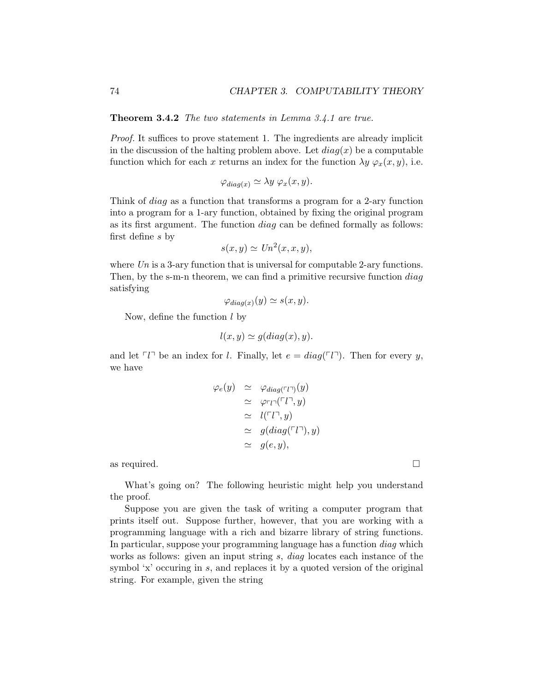**Theorem 3.4.2** The two statements in Lemma 3.4.1 are true.

Proof. It suffices to prove statement 1. The ingredients are already implicit in the discussion of the halting problem above. Let  $diag(x)$  be a computable function which for each x returns an index for the function  $\lambda y \varphi_x(x, y)$ , i.e.

$$
\varphi_{diag(x)} \simeq \lambda y \varphi_x(x, y).
$$

Think of diag as a function that transforms a program for a 2-ary function into a program for a 1-ary function, obtained by fixing the original program as its first argument. The function diag can be defined formally as follows: first define s by

$$
s(x, y) \simeq Un^2(x, x, y),
$$

where  $Un$  is a 3-ary function that is universal for computable 2-ary functions. Then, by the s-m-n theorem, we can find a primitive recursive function diag satisfying

$$
\varphi_{diag(x)}(y) \simeq s(x, y).
$$

Now, define the function  $l$  by

$$
l(x, y) \simeq g(diag(x), y).
$$

and let  $\ulcorner l \urcorner$  be an index for l. Finally, let  $e = diag(\ulcorner l \urcorner)$ . Then for every y, we have

$$
\varphi_e(y) \simeq \varphi_{diag(\ulcorner l \urcorner)}(y)
$$
  
\n
$$
\simeq \varphi_{\ulcorner l \urcorner}(\ulcorner l \urcorner, y)
$$
  
\n
$$
\simeq l(\ulcorner l \urcorner, y)
$$
  
\n
$$
\simeq g(diag(\ulcorner l \urcorner), y)
$$
  
\n
$$
\simeq g(e, y),
$$

as required.  $\Box$ 

What's going on? The following heuristic might help you understand the proof.

Suppose you are given the task of writing a computer program that prints itself out. Suppose further, however, that you are working with a programming language with a rich and bizarre library of string functions. In particular, suppose your programming language has a function diag which works as follows: given an input string s, diag locates each instance of the symbol 'x' occuring in s, and replaces it by a quoted version of the original string. For example, given the string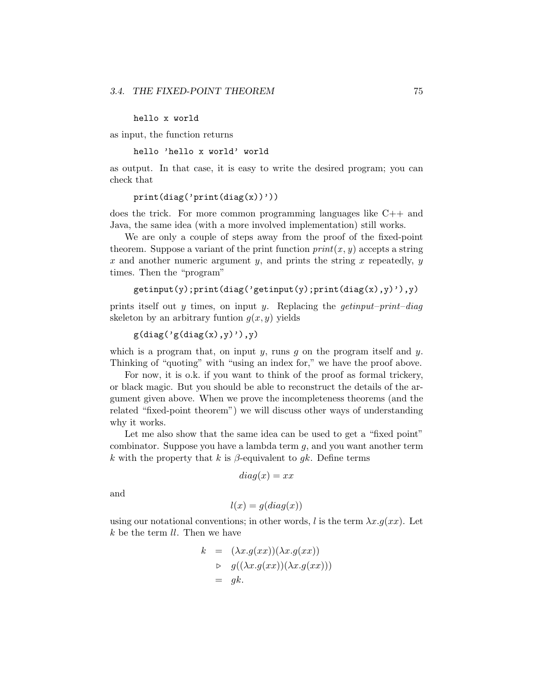hello x world

as input, the function returns

hello 'hello x world' world

as output. In that case, it is easy to write the desired program; you can check that

 $print(diag('print(diag(x))'))$ 

does the trick. For more common programming languages like  $C_{++}$  and Java, the same idea (with a more involved implementation) still works.

We are only a couple of steps away from the proof of the fixed-point theorem. Suppose a variant of the print function  $print(x, y)$  accepts a string x and another numeric argument y, and prints the string x repeatedly,  $y$ times. Then the "program"

```
getinput(y);print(diag('getinput(y);print(diag(x),y)'),y)
```
prints itself out y times, on input y. Replacing the *getinput–print–diag* skeleton by an arbitrary funtion  $q(x, y)$  yields

 $g(diag('g(diag(x),y)');$ 

which is a program that, on input  $y$ , runs q on the program itself and  $y$ . Thinking of "quoting" with "using an index for," we have the proof above.

For now, it is o.k. if you want to think of the proof as formal trickery, or black magic. But you should be able to reconstruct the details of the argument given above. When we prove the incompleteness theorems (and the related "fixed-point theorem") we will discuss other ways of understanding why it works.

Let me also show that the same idea can be used to get a "fixed point" combinator. Suppose you have a lambda term  $q$ , and you want another term k with the property that k is  $\beta$ -equivalent to gk. Define terms

$$
diag(x) = xa
$$

and

$$
l(x) = g(diag(x))
$$

using our notational conventions; in other words, l is the term  $\lambda x. g(xx)$ . Let  $k$  be the term  $ll$ . Then we have

$$
k = (\lambda x. g(xx))(\lambda x. g(xx))
$$
  
\n
$$
\Rightarrow g((\lambda x. g(xx))(\lambda x. g(xx)))
$$
  
\n
$$
= gk.
$$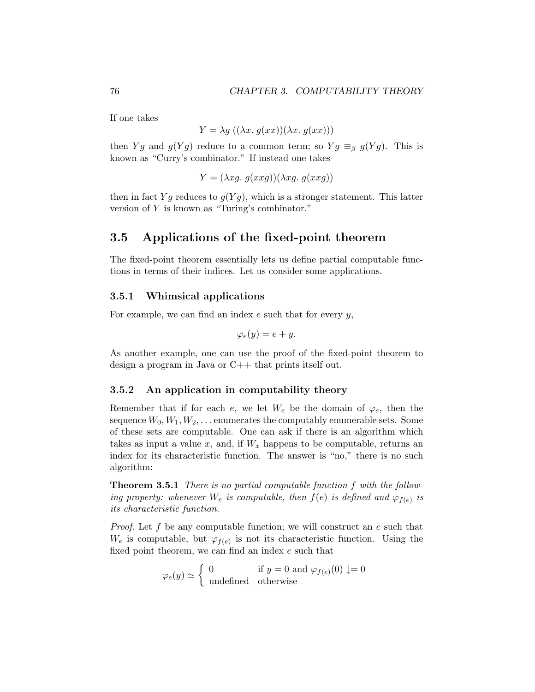If one takes

 $Y = \lambda g \left( (\lambda x. g(xx))(\lambda x. g(xx)) \right)$ 

then Yg and  $g(Yg)$  reduce to a common term; so  $Yg \equiv_{\beta} g(Yg)$ . This is known as "Curry's combinator." If instead one takes

$$
Y = (\lambda xg. g(xxg))(\lambda xg. g(xxg))
$$

then in fact Yg reduces to  $g(Yg)$ , which is a stronger statement. This latter version of Y is known as "Turing's combinator."

## 3.5 Applications of the fixed-point theorem

The fixed-point theorem essentially lets us define partial computable functions in terms of their indices. Let us consider some applications.

### 3.5.1 Whimsical applications

For example, we can find an index e such that for every y,

$$
\varphi_e(y) = e + y.
$$

As another example, one can use the proof of the fixed-point theorem to design a program in Java or C++ that prints itself out.

### 3.5.2 An application in computability theory

Remember that if for each e, we let  $W_e$  be the domain of  $\varphi_e$ , then the sequence  $W_0, W_1, W_2, \ldots$  enumerates the computably enumerable sets. Some of these sets are computable. One can ask if there is an algorithm which takes as input a value x, and, if  $W_x$  happens to be computable, returns an index for its characteristic function. The answer is "no," there is no such algorithm:

Theorem 3.5.1 There is no partial computable function f with the following property: whenever  $W_e$  is computable, then  $f(e)$  is defined and  $\varphi_{f(e)}$  is its characteristic function.

*Proof.* Let f be any computable function; we will construct an e such that  $W_e$  is computable, but  $\varphi_{f(e)}$  is not its characteristic function. Using the fixed point theorem, we can find an index e such that

$$
\varphi_e(y) \simeq \begin{cases} 0 & \text{if } y = 0 \text{ and } \varphi_{f(e)}(0) \downarrow = 0 \\ \text{undefined} & \text{otherwise} \end{cases}
$$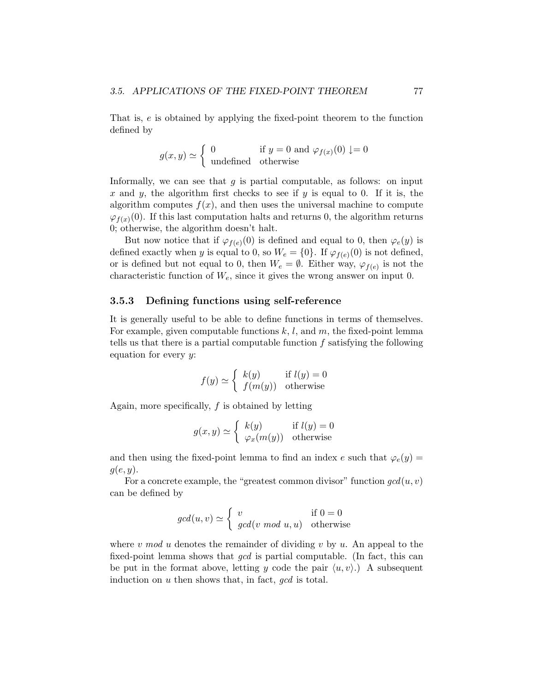That is, e is obtained by applying the fixed-point theorem to the function defined by

$$
g(x, y) \simeq \begin{cases} 0 & \text{if } y = 0 \text{ and } \varphi_{f(x)}(0) \downarrow = 0\\ \text{undefined} & \text{otherwise} \end{cases}
$$

Informally, we can see that  $g$  is partial computable, as follows: on input x and y, the algorithm first checks to see if y is equal to 0. If it is, the algorithm computes  $f(x)$ , and then uses the universal machine to compute  $\varphi_{f(x)}(0)$ . If this last computation halts and returns 0, the algorithm returns 0; otherwise, the algorithm doesn't halt.

But now notice that if  $\varphi_{f(e)}(0)$  is defined and equal to 0, then  $\varphi_e(y)$  is defined exactly when y is equal to 0, so  $W_e = \{0\}$ . If  $\varphi_{f(e)}(0)$  is not defined, or is defined but not equal to 0, then  $W_e = \emptyset$ . Either way,  $\varphi_{f(e)}$  is not the characteristic function of  $W_e$ , since it gives the wrong answer on input 0.

### 3.5.3 Defining functions using self-reference

It is generally useful to be able to define functions in terms of themselves. For example, given computable functions  $k, l$ , and  $m$ , the fixed-point lemma tells us that there is a partial computable function f satisfying the following equation for every  $y$ :

$$
f(y) \simeq \begin{cases} k(y) & \text{if } l(y) = 0\\ f(m(y)) & \text{otherwise} \end{cases}
$$

Again, more specifically,  $f$  is obtained by letting

$$
g(x,y) \simeq \begin{cases} k(y) & \text{if } l(y) = 0\\ \varphi_x(m(y)) & \text{otherwise} \end{cases}
$$

and then using the fixed-point lemma to find an index e such that  $\varphi_e(y) =$  $g(e, y)$ .

For a concrete example, the "greatest common divisor" function  $\gcd(u, v)$ can be defined by

$$
gcd(u, v) \simeq \begin{cases} v & \text{if } 0 = 0 \\ gcd(v \text{ mod } u, u) & \text{otherwise} \end{cases}
$$

where v mod u denotes the remainder of dividing v by u. An appeal to the fixed-point lemma shows that  $\gcd$  is partial computable. (In fact, this can be put in the format above, letting y code the pair  $\langle u, v \rangle$ .) A subsequent induction on  $u$  then shows that, in fact,  $\gcd$  is total.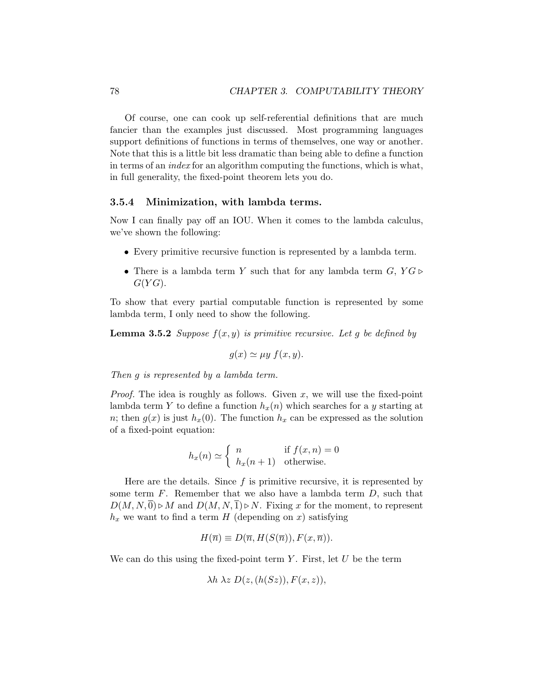Of course, one can cook up self-referential definitions that are much fancier than the examples just discussed. Most programming languages support definitions of functions in terms of themselves, one way or another. Note that this is a little bit less dramatic than being able to define a function in terms of an index for an algorithm computing the functions, which is what, in full generality, the fixed-point theorem lets you do.

### 3.5.4 Minimization, with lambda terms.

Now I can finally pay off an IOU. When it comes to the lambda calculus, we've shown the following:

- Every primitive recursive function is represented by a lambda term.
- There is a lambda term Y such that for any lambda term  $G, YG \triangleright$  $G(YG)$ .

To show that every partial computable function is represented by some lambda term, I only need to show the following.

**Lemma 3.5.2** Suppose  $f(x, y)$  is primitive recursive. Let g be defined by

$$
g(x) \simeq \mu y \ f(x, y).
$$

Then g is represented by a lambda term.

*Proof.* The idea is roughly as follows. Given  $x$ , we will use the fixed-point lambda term Y to define a function  $h_x(n)$  which searches for a y starting at n; then  $g(x)$  is just  $h_x(0)$ . The function  $h_x$  can be expressed as the solution of a fixed-point equation:

$$
h_x(n) \simeq \begin{cases} n & \text{if } f(x,n) = 0\\ h_x(n+1) & \text{otherwise.} \end{cases}
$$

Here are the details. Since  $f$  is primitive recursive, it is represented by some term  $F$ . Remember that we also have a lambda term  $D$ , such that  $D(M, N, 0) \triangleright M$  and  $D(M, N, 1) \triangleright N$ . Fixing x for the moment, to represent  $h_x$  we want to find a term H (depending on x) satisfying

$$
H(\overline{n}) \equiv D(\overline{n}, H(S(\overline{n})), F(x, \overline{n})).
$$

We can do this using the fixed-point term  $Y$ . First, let  $U$  be the term

$$
\lambda h \lambda z D(z, (h(Sz)), F(x, z)),
$$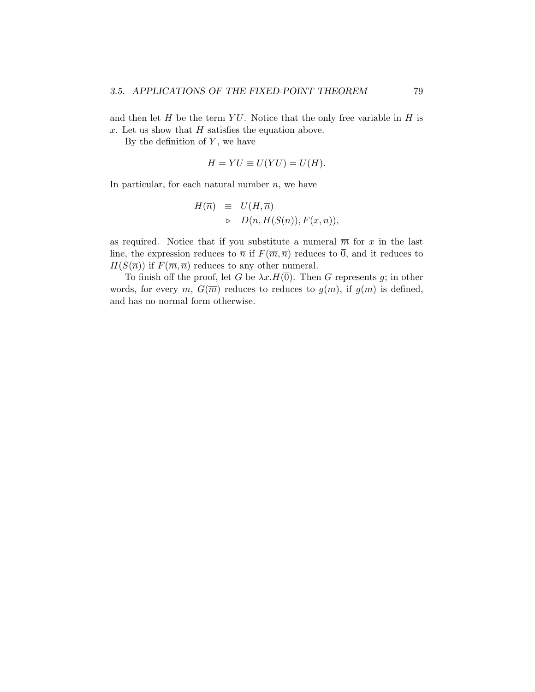and then let  $H$  be the term YU. Notice that the only free variable in  $H$  is  $x$ . Let us show that  $H$  satisfies the equation above.

By the definition of  $Y$ , we have

$$
H = YU \equiv U(YU) = U(H).
$$

In particular, for each natural number  $n$ , we have

$$
H(\overline{n}) \equiv U(H, \overline{n})
$$
  
 
$$
\triangleright \quad D(\overline{n}, H(S(\overline{n})), F(x, \overline{n})),
$$

as required. Notice that if you substitute a numeral  $\overline{m}$  for x in the last line, the expression reduces to  $\bar{n}$  if  $F(\bar{m}, \bar{n})$  reduces to  $\bar{0}$ , and it reduces to  $H(S(\overline{n}))$  if  $F(\overline{m}, \overline{n})$  reduces to any other numeral.

To finish off the proof, let G be  $\lambda x.H(\overline{0})$ . Then G represents g; in other words, for every m,  $G(\overline{m})$  reduces to reduces to  $\overline{g(m)}$ , if  $g(m)$  is defined, and has no normal form otherwise.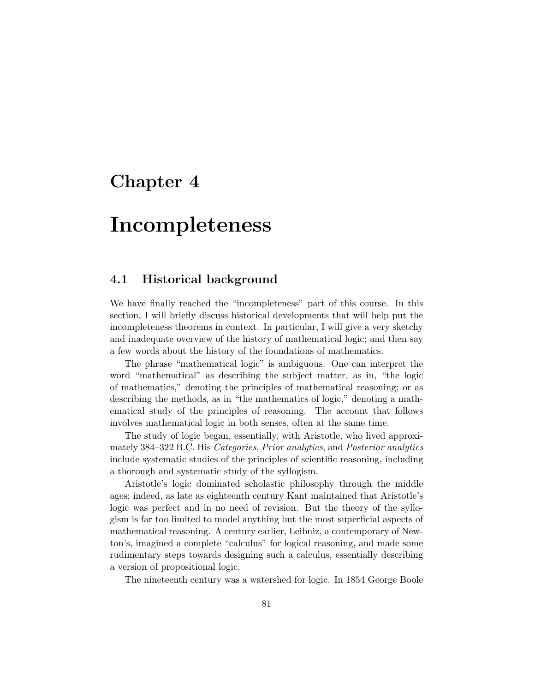## Chapter 4

# Incompleteness

## 4.1 Historical background

We have finally reached the "incompleteness" part of this course. In this section, I will briefly discuss historical developments that will help put the incompleteness theorems in context. In particular, I will give a very sketchy and inadequate overview of the history of mathematical logic; and then say a few words about the history of the foundations of mathematics.

The phrase "mathematical logic" is ambiguous. One can interpret the word "mathematical" as describing the subject matter, as in, "the logic of mathematics," denoting the principles of mathematical reasoning; or as describing the methods, as in "the mathematics of logic," denoting a mathematical study of the principles of reasoning. The account that follows involves mathematical logic in both senses, often at the same time.

The study of logic began, essentially, with Aristotle, who lived approximately 384–322 B.C. His Categories, Prior analytics, and Posterior analytics include systematic studies of the principles of scientific reasoning, including a thorough and systematic study of the syllogism.

Aristotle's logic dominated scholastic philosophy through the middle ages; indeed, as late as eighteenth century Kant maintained that Aristotle's logic was perfect and in no need of revision. But the theory of the syllogism is far too limited to model anything but the most superficial aspects of mathematical reasoning. A century earlier, Leibniz, a contemporary of Newton's, imagined a complete "calculus" for logical reasoning, and made some rudimentary steps towards designing such a calculus, essentially describing a version of propositional logic.

The nineteenth century was a watershed for logic. In 1854 George Boole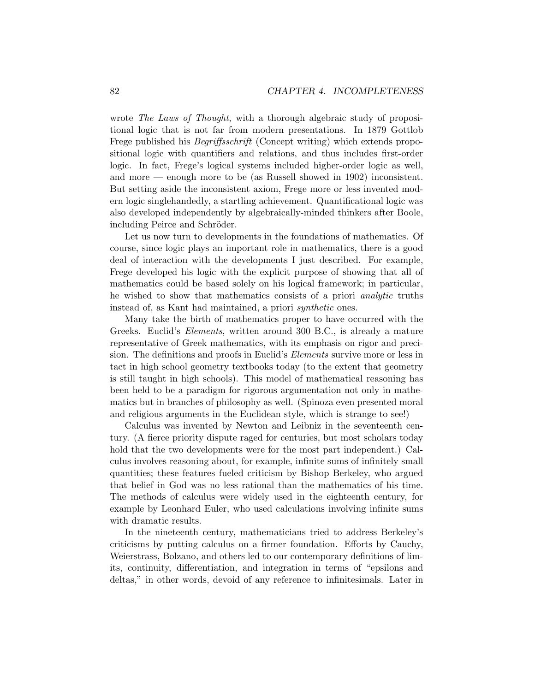wrote The Laws of Thought, with a thorough algebraic study of propositional logic that is not far from modern presentations. In 1879 Gottlob Frege published his Begriffsschrift (Concept writing) which extends propositional logic with quantifiers and relations, and thus includes first-order logic. In fact, Frege's logical systems included higher-order logic as well, and more — enough more to be (as Russell showed in 1902) inconsistent. But setting aside the inconsistent axiom, Frege more or less invented modern logic singlehandedly, a startling achievement. Quantificational logic was also developed independently by algebraically-minded thinkers after Boole, including Peirce and Schröder.

Let us now turn to developments in the foundations of mathematics. Of course, since logic plays an important role in mathematics, there is a good deal of interaction with the developments I just described. For example, Frege developed his logic with the explicit purpose of showing that all of mathematics could be based solely on his logical framework; in particular, he wished to show that mathematics consists of a priori analytic truths instead of, as Kant had maintained, a priori synthetic ones.

Many take the birth of mathematics proper to have occurred with the Greeks. Euclid's Elements, written around 300 B.C., is already a mature representative of Greek mathematics, with its emphasis on rigor and precision. The definitions and proofs in Euclid's *Elements* survive more or less in tact in high school geometry textbooks today (to the extent that geometry is still taught in high schools). This model of mathematical reasoning has been held to be a paradigm for rigorous argumentation not only in mathematics but in branches of philosophy as well. (Spinoza even presented moral and religious arguments in the Euclidean style, which is strange to see!)

Calculus was invented by Newton and Leibniz in the seventeenth century. (A fierce priority dispute raged for centuries, but most scholars today hold that the two developments were for the most part independent.) Calculus involves reasoning about, for example, infinite sums of infinitely small quantities; these features fueled criticism by Bishop Berkeley, who argued that belief in God was no less rational than the mathematics of his time. The methods of calculus were widely used in the eighteenth century, for example by Leonhard Euler, who used calculations involving infinite sums with dramatic results.

In the nineteenth century, mathematicians tried to address Berkeley's criticisms by putting calculus on a firmer foundation. Efforts by Cauchy, Weierstrass, Bolzano, and others led to our contemporary definitions of limits, continuity, differentiation, and integration in terms of "epsilons and deltas," in other words, devoid of any reference to infinitesimals. Later in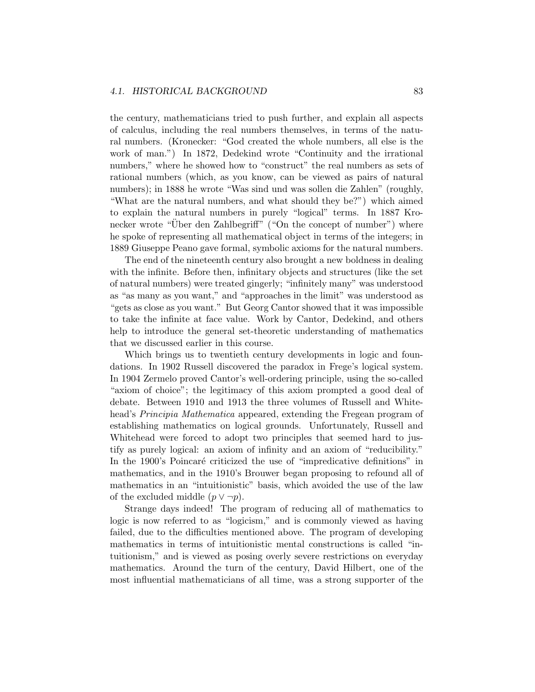the century, mathematicians tried to push further, and explain all aspects of calculus, including the real numbers themselves, in terms of the natural numbers. (Kronecker: "God created the whole numbers, all else is the work of man.") In 1872, Dedekind wrote "Continuity and the irrational numbers," where he showed how to "construct" the real numbers as sets of rational numbers (which, as you know, can be viewed as pairs of natural numbers); in 1888 he wrote "Was sind und was sollen die Zahlen" (roughly, "What are the natural numbers, and what should they be?") which aimed to explain the natural numbers in purely "logical" terms. In 1887 Kronecker wrote "Uber den Zahlbegriff" ("On the concept of number") where he spoke of representing all mathematical object in terms of the integers; in 1889 Giuseppe Peano gave formal, symbolic axioms for the natural numbers.

The end of the nineteenth century also brought a new boldness in dealing with the infinite. Before then, infinitary objects and structures (like the set of natural numbers) were treated gingerly; "infinitely many" was understood as "as many as you want," and "approaches in the limit" was understood as "gets as close as you want." But Georg Cantor showed that it was impossible to take the infinite at face value. Work by Cantor, Dedekind, and others help to introduce the general set-theoretic understanding of mathematics that we discussed earlier in this course.

Which brings us to twentieth century developments in logic and foundations. In 1902 Russell discovered the paradox in Frege's logical system. In 1904 Zermelo proved Cantor's well-ordering principle, using the so-called "axiom of choice"; the legitimacy of this axiom prompted a good deal of debate. Between 1910 and 1913 the three volumes of Russell and Whitehead's Principia Mathematica appeared, extending the Fregean program of establishing mathematics on logical grounds. Unfortunately, Russell and Whitehead were forced to adopt two principles that seemed hard to justify as purely logical: an axiom of infinity and an axiom of "reducibility." In the 1900's Poincaré criticized the use of "impredicative definitions" in mathematics, and in the 1910's Brouwer began proposing to refound all of mathematics in an "intuitionistic" basis, which avoided the use of the law of the excluded middle  $(p \vee \neg p)$ .

Strange days indeed! The program of reducing all of mathematics to logic is now referred to as "logicism," and is commonly viewed as having failed, due to the difficulties mentioned above. The program of developing mathematics in terms of intuitionistic mental constructions is called "intuitionism," and is viewed as posing overly severe restrictions on everyday mathematics. Around the turn of the century, David Hilbert, one of the most influential mathematicians of all time, was a strong supporter of the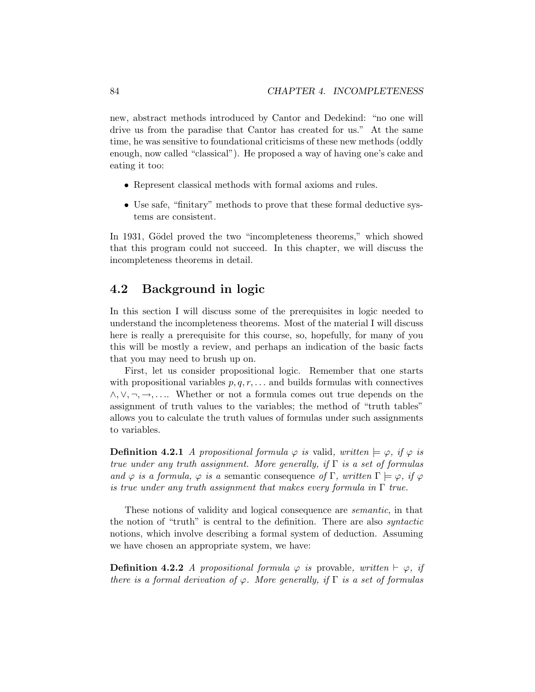new, abstract methods introduced by Cantor and Dedekind: "no one will drive us from the paradise that Cantor has created for us." At the same time, he was sensitive to foundational criticisms of these new methods (oddly enough, now called "classical"). He proposed a way of having one's cake and eating it too:

- Represent classical methods with formal axioms and rules.
- Use safe, "finitary" methods to prove that these formal deductive systems are consistent.

In 1931, Gödel proved the two "incompleteness theorems," which showed that this program could not succeed. In this chapter, we will discuss the incompleteness theorems in detail.

## 4.2 Background in logic

In this section I will discuss some of the prerequisites in logic needed to understand the incompleteness theorems. Most of the material I will discuss here is really a prerequisite for this course, so, hopefully, for many of you this will be mostly a review, and perhaps an indication of the basic facts that you may need to brush up on.

First, let us consider propositional logic. Remember that one starts with propositional variables  $p, q, r, \ldots$  and builds formulas with connectives  $\land, \lor, \neg, \rightarrow, \ldots$  Whether or not a formula comes out true depends on the assignment of truth values to the variables; the method of "truth tables" allows you to calculate the truth values of formulas under such assignments to variables.

**Definition 4.2.1** A propositional formula  $\varphi$  is valid, written  $\models \varphi$ , if  $\varphi$  is true under any truth assignment. More generally, if  $\Gamma$  is a set of formulas and  $\varphi$  is a formula,  $\varphi$  is a semantic consequence of  $\Gamma$ , written  $\Gamma \models \varphi$ , if  $\varphi$ is true under any truth assignment that makes every formula in  $\Gamma$  true.

These notions of validity and logical consequence are semantic, in that the notion of "truth" is central to the definition. There are also *syntactic* notions, which involve describing a formal system of deduction. Assuming we have chosen an appropriate system, we have:

**Definition 4.2.2** A propositional formula  $\varphi$  is provable, written  $\vdash \varphi$ , if there is a formal derivation of  $\varphi$ . More generally, if  $\Gamma$  is a set of formulas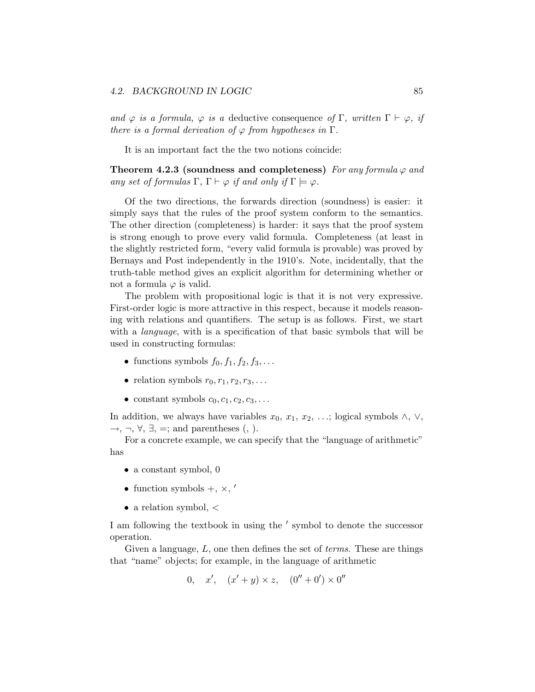and  $\varphi$  is a formula,  $\varphi$  is a deductive consequence of Γ, written  $\Gamma \vdash \varphi$ , if there is a formal derivation of  $\varphi$  from hypotheses in  $\Gamma$ .

It is an important fact the the two notions coincide:

Theorem 4.2.3 (soundness and completeness) For any formula  $\varphi$  and any set of formulas  $\Gamma$ ,  $\Gamma \vdash \varphi$  if and only if  $\Gamma \models \varphi$ .

Of the two directions, the forwards direction (soundness) is easier: it simply says that the rules of the proof system conform to the semantics. The other direction (completeness) is harder: it says that the proof system is strong enough to prove every valid formula. Completeness (at least in the slightly restricted form, "every valid formula is provable) was proved by Bernays and Post independently in the 1910's. Note, incidentally, that the truth-table method gives an explicit algorithm for determining whether or not a formula  $\varphi$  is valid.

The problem with propositional logic is that it is not very expressive. First-order logic is more attractive in this respect, because it models reasoning with relations and quantifiers. The setup is as follows. First, we start with a *language*, with is a specification of that basic symbols that will be used in constructing formulas:

- functions symbols  $f_0, f_1, f_2, f_3, \ldots$
- relation symbols  $r_0, r_1, r_2, r_3, \ldots$
- constant symbols  $c_0, c_1, c_2, c_3, \ldots$

In addition, we always have variables  $x_0, x_1, x_2, \ldots$ ; logical symbols  $\wedge$ ,  $\vee$ ,  $\rightarrow$ ,  $\neg$ ,  $\forall$ ,  $\exists$ , =; and parentheses (, ).

For a concrete example, we can specify that the "language of arithmetic" has

- a constant symbol, 0
- function symbols  $+$ ,  $\times$ ,  $'$
- a relation symbol,  $\lt$

I am following the textbook in using the ' symbol to denote the successor operation.

Given a language,  $L$ , one then defines the set of *terms*. These are things that "name" objects; for example, in the language of arithmetic

$$
0, \quad x', \quad (x'+y) \times z, \quad (0'' + 0') \times 0''
$$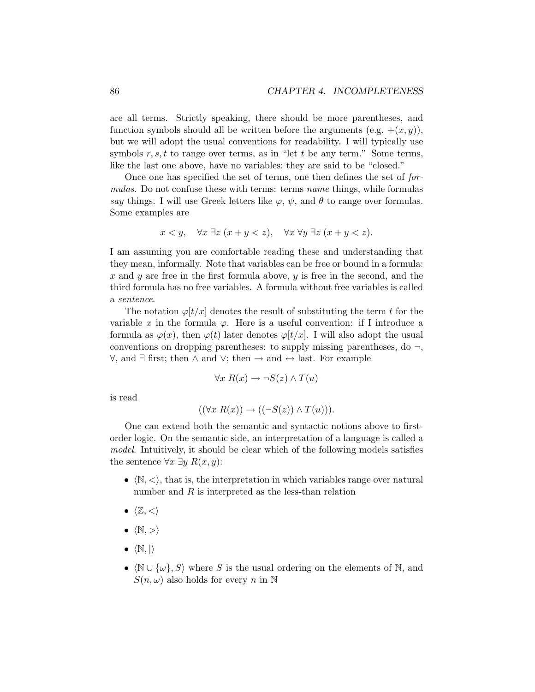are all terms. Strictly speaking, there should be more parentheses, and function symbols should all be written before the arguments (e.g.  $+(x, y)$ ), but we will adopt the usual conventions for readability. I will typically use symbols  $r, s, t$  to range over terms, as in "let t be any term." Some terms, like the last one above, have no variables; they are said to be "closed."

Once one has specified the set of terms, one then defines the set of formulas. Do not confuse these with terms: terms name things, while formulas say things. I will use Greek letters like  $\varphi$ ,  $\psi$ , and  $\theta$  to range over formulas. Some examples are

$$
x < y, \quad \forall x \exists z (x + y < z), \quad \forall x \forall y \exists z (x + y < z).
$$

I am assuming you are comfortable reading these and understanding that they mean, informally. Note that variables can be free or bound in a formula: x and y are free in the first formula above,  $y$  is free in the second, and the third formula has no free variables. A formula without free variables is called a sentence.

The notation  $\varphi[t/x]$  denotes the result of substituting the term t for the variable x in the formula  $\varphi$ . Here is a useful convention: if I introduce a formula as  $\varphi(x)$ , then  $\varphi(t)$  later denotes  $\varphi(t/x)$ . I will also adopt the usual conventions on dropping parentheses: to supply missing parentheses, do  $\neg$ ,  $\forall$ , and  $\exists$  first; then  $\land$  and  $\lor$ ; then  $\rightarrow$  and  $\leftrightarrow$  last. For example

$$
\forall x \ R(x) \to \neg S(z) \land T(u)
$$

is read

$$
((\forall x R(x)) \to ((\neg S(z)) \land T(u))).
$$

One can extend both the semantic and syntactic notions above to firstorder logic. On the semantic side, an interpretation of a language is called a model. Intuitively, it should be clear which of the following models satisfies the sentence  $\forall x \exists y R(x, y)$ :

- $\langle \mathbb{N}, \langle \rangle$ , that is, the interpretation in which variables range over natural number and  $R$  is interpreted as the less-than relation
- $\bullet \langle \mathbb{Z}, < \rangle$
- $\bullet \langle \mathbb{N}, \gt \rangle$
- $\bullet$   $\langle \mathbb{N}, | \rangle$
- $\langle \mathbb{N} \cup {\{\omega\}} , S \rangle$  where S is the usual ordering on the elements of N, and  $S(n,\omega)$  also holds for every n in N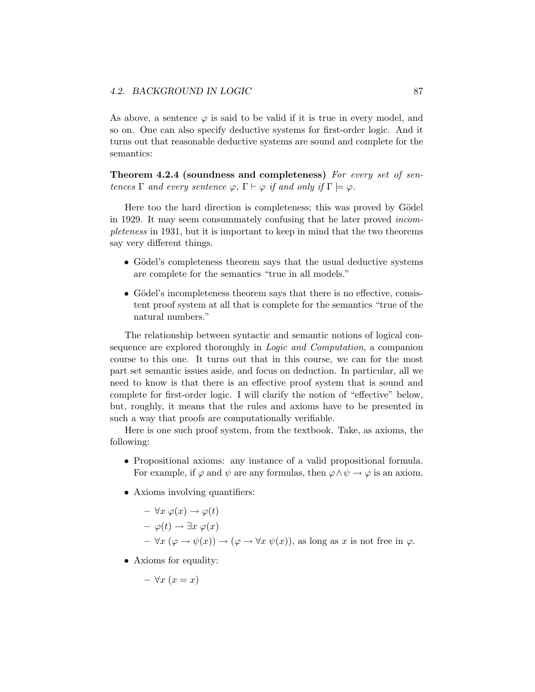As above, a sentence  $\varphi$  is said to be valid if it is true in every model, and so on. One can also specify deductive systems for first-order logic. And it turns out that reasonable deductive systems are sound and complete for the semantics:

Theorem 4.2.4 (soundness and completeness) For every set of sentences  $\Gamma$  and every sentence  $\varphi$ ,  $\Gamma \vdash \varphi$  if and only if  $\Gamma \models \varphi$ .

Here too the hard direction is completeness; this was proved by Gödel in 1929. It may seem consummately confusing that he later proved incompleteness in 1931, but it is important to keep in mind that the two theorems say very different things.

- Gödel's completeness theorem says that the usual deductive systems are complete for the semantics "true in all models."
- Gödel's incompleteness theorem says that there is no effective, consistent proof system at all that is complete for the semantics "true of the natural numbers."

The relationship between syntactic and semantic notions of logical consequence are explored thoroughly in Logic and Computation, a companion course to this one. It turns out that in this course, we can for the most part set semantic issues aside, and focus on deduction. In particular, all we need to know is that there is an effective proof system that is sound and complete for first-order logic. I will clarify the notion of "effective" below, but, roughly, it means that the rules and axioms have to be presented in such a way that proofs are computationally verifiable.

Here is one such proof system, from the textbook. Take, as axioms, the following:

- Propositional axioms: any instance of a valid propositional formula. For example, if  $\varphi$  and  $\psi$  are any formulas, then  $\varphi \land \psi \to \varphi$  is an axiom.
- Axioms involving quantifiers:

$$
- \forall x \varphi(x) \to \varphi(t)
$$
  
\n
$$
- \varphi(t) \to \exists x \varphi(x)
$$
  
\n
$$
- \forall x (\varphi \to \psi(x)) \to (\varphi \to \forall x \psi(x)), \text{ as long as } x \text{ is not free in } \varphi.
$$

• Axioms for equality:

$$
- \forall x (x = x)
$$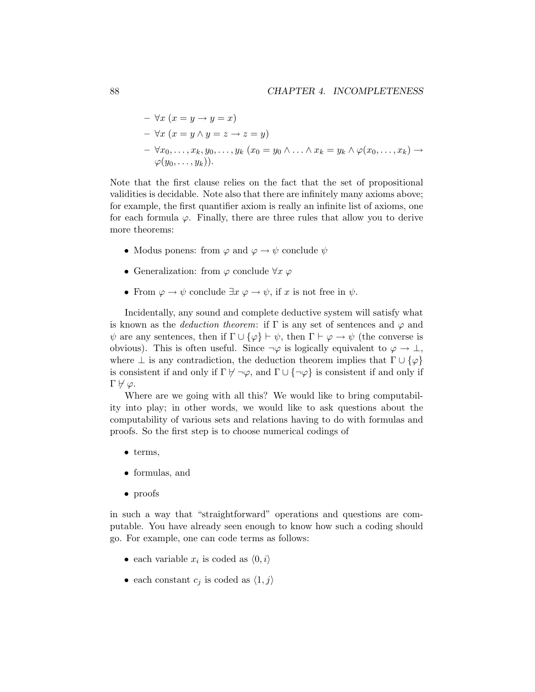$$
- \forall x (x = y \rightarrow y = x)
$$
  
\n
$$
- \forall x (x = y \land y = z \rightarrow z = y)
$$
  
\n
$$
- \forall x_0, \dots, x_k, y_0, \dots, y_k (x_0 = y_0 \land \dots \land x_k = y_k \land \varphi(x_0, \dots, x_k) \rightarrow \varphi(y_0, \dots, y_k)).
$$

Note that the first clause relies on the fact that the set of propositional validities is decidable. Note also that there are infinitely many axioms above; for example, the first quantifier axiom is really an infinite list of axioms, one for each formula  $\varphi$ . Finally, there are three rules that allow you to derive more theorems:

- Modus ponens: from  $\varphi$  and  $\varphi \to \psi$  conclude  $\psi$
- Generalization: from  $\varphi$  conclude  $\forall x \varphi$
- From  $\varphi \to \psi$  conclude  $\exists x \varphi \to \psi$ , if x is not free in  $\psi$ .

Incidentally, any sound and complete deductive system will satisfy what is known as the *deduction theorem*: if  $\Gamma$  is any set of sentences and  $\varphi$  and  $\psi$  are any sentences, then if  $\Gamma \cup {\varphi} \vdash \psi$ , then  $\Gamma \vdash \varphi \rightarrow \psi$  (the converse is obvious). This is often useful. Since  $\neg \varphi$  is logically equivalent to  $\varphi \to \bot$ , where  $\perp$  is any contradiction, the deduction theorem implies that  $\Gamma \cup {\varphi}$ is consistent if and only if  $\Gamma \not\vdash \neg \varphi$ , and  $\Gamma \cup {\neg \varphi}$  is consistent if and only if  $Γ \nvdash \varphi$ .

Where are we going with all this? We would like to bring computability into play; in other words, we would like to ask questions about the computability of various sets and relations having to do with formulas and proofs. So the first step is to choose numerical codings of

- terms,
- formulas, and
- proofs

in such a way that "straightforward" operations and questions are computable. You have already seen enough to know how such a coding should go. For example, one can code terms as follows:

- each variable  $x_i$  is coded as  $\langle 0, i \rangle$
- each constant  $c_j$  is coded as  $\langle 1, j \rangle$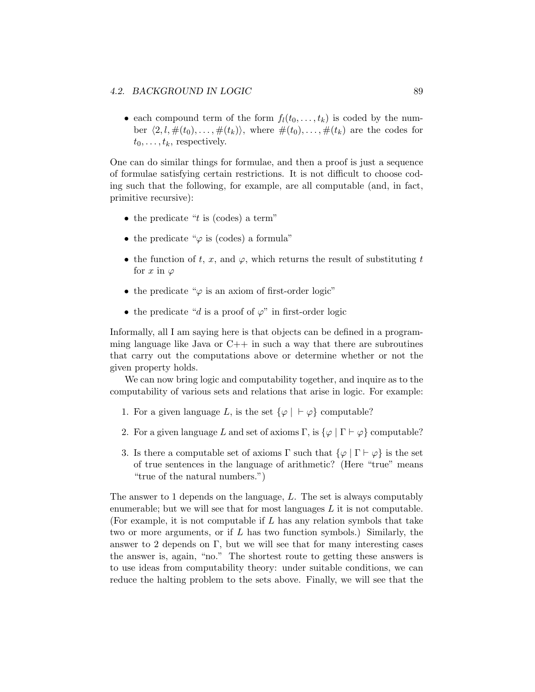• each compound term of the form  $f_l(t_0, \ldots, t_k)$  is coded by the number  $\langle 2, l, \#(t_0), \ldots, \#(t_k)\rangle$ , where  $\#(t_0), \ldots, \#(t_k)$  are the codes for  $t_0, \ldots, t_k$ , respectively.

One can do similar things for formulae, and then a proof is just a sequence of formulae satisfying certain restrictions. It is not difficult to choose coding such that the following, for example, are all computable (and, in fact, primitive recursive):

- the predicate " $t$  is (codes) a term"
- the predicate " $\varphi$  is (codes) a formula"
- the function of t, x, and  $\varphi$ , which returns the result of substituting t for x in  $\varphi$
- the predicate " $\varphi$  is an axiom of first-order logic"
- the predicate "d is a proof of  $\varphi$ " in first-order logic

Informally, all I am saying here is that objects can be defined in a programming language like Java or  $C_{++}$  in such a way that there are subroutines that carry out the computations above or determine whether or not the given property holds.

We can now bring logic and computability together, and inquire as to the computability of various sets and relations that arise in logic. For example:

- 1. For a given language L, is the set  $\{\varphi \mid \vdash \varphi\}$  computable?
- 2. For a given language L and set of axioms Γ, is  $\{\varphi \mid \Gamma \vdash \varphi\}$  computable?
- 3. Is there a computable set of axioms  $\Gamma$  such that  $\{\varphi \mid \Gamma \vdash \varphi\}$  is the set of true sentences in the language of arithmetic? (Here "true" means "true of the natural numbers.")

The answer to  $1$  depends on the language,  $L$ . The set is always computably enumerable; but we will see that for most languages  $L$  it is not computable. (For example, it is not computable if  $L$  has any relation symbols that take two or more arguments, or if  $L$  has two function symbols.) Similarly, the answer to 2 depends on  $\Gamma$ , but we will see that for many interesting cases the answer is, again, "no." The shortest route to getting these answers is to use ideas from computability theory: under suitable conditions, we can reduce the halting problem to the sets above. Finally, we will see that the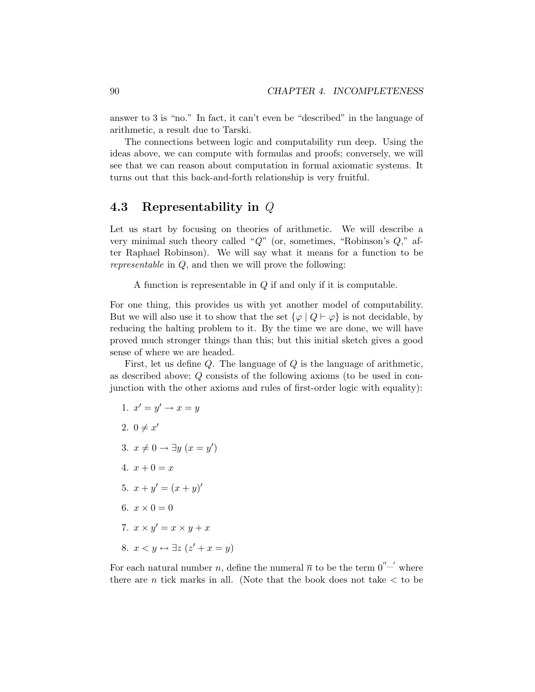answer to 3 is "no." In fact, it can't even be "described" in the language of arithmetic, a result due to Tarski.

The connections between logic and computability run deep. Using the ideas above, we can compute with formulas and proofs; conversely, we will see that we can reason about computation in formal axiomatic systems. It turns out that this back-and-forth relationship is very fruitful.

## 4.3 Representability in Q

Let us start by focusing on theories of arithmetic. We will describe a very minimal such theory called " $Q$ " (or, sometimes, "Robinson's  $Q$ ," after Raphael Robinson). We will say what it means for a function to be representable in  $Q$ , and then we will prove the following:

A function is representable in  $Q$  if and only if it is computable.

For one thing, this provides us with yet another model of computability. But we will also use it to show that the set  $\{\varphi \mid Q \vdash \varphi\}$  is not decidable, by reducing the halting problem to it. By the time we are done, we will have proved much stronger things than this; but this initial sketch gives a good sense of where we are headed.

First, let us define  $Q$ . The language of  $Q$  is the language of arithmetic, as described above; Q consists of the following axioms (to be used in conjunction with the other axioms and rules of first-order logic with equality):

1.  $x' = y' \rightarrow x = y$ 2.  $0 \neq x'$ 3.  $x \neq 0 \rightarrow \exists y \ (x = y')$ 4.  $x + 0 = x$ 5.  $x + y' = (x + y)'$ 6.  $x \times 0 = 0$ 7.  $x \times y' = x \times y + x$ 8.  $x < y \leftrightarrow \exists z (z' + x = y)$ 

For each natural number n, define the numeral  $\overline{n}$  to be the term  $0^{''...'}$  where there are *n* tick marks in all. (Note that the book does not take  $\lt$  to be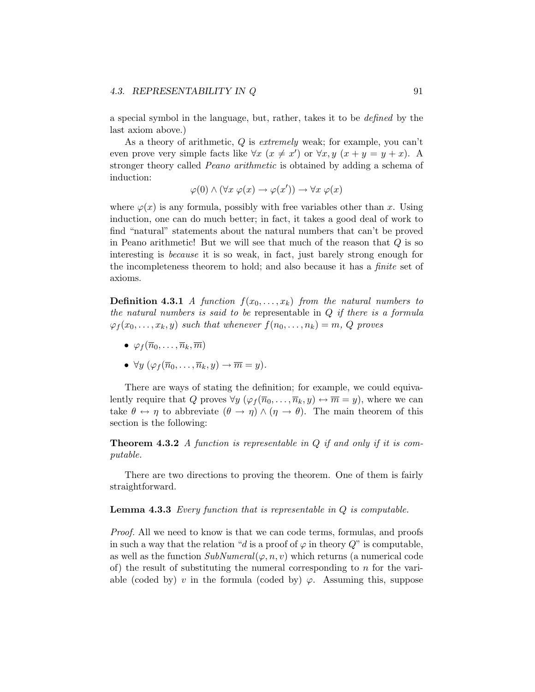a special symbol in the language, but, rather, takes it to be defined by the last axiom above.)

As a theory of arithmetic, Q is *extremely* weak; for example, you can't even prove very simple facts like  $\forall x \ (x \neq x')$  or  $\forall x, y \ (x + y = y + x)$ . A stronger theory called Peano arithmetic is obtained by adding a schema of induction:

$$
\varphi(0) \land (\forall x \ \varphi(x) \to \varphi(x')) \to \forall x \ \varphi(x)
$$

where  $\varphi(x)$  is any formula, possibly with free variables other than x. Using induction, one can do much better; in fact, it takes a good deal of work to find "natural" statements about the natural numbers that can't be proved in Peano arithmetic! But we will see that much of the reason that  $Q$  is so interesting is because it is so weak, in fact, just barely strong enough for the incompleteness theorem to hold; and also because it has a *finite* set of axioms.

**Definition 4.3.1** A function  $f(x_0, \ldots, x_k)$  from the natural numbers to the natural numbers is said to be representable in  $Q$  if there is a formula  $\varphi_f(x_0,\ldots,x_k,y)$  such that whenever  $f(n_0,\ldots,n_k)=m, Q$  proves

- $\bullet$   $\varphi_f(\overline{n}_0,\ldots,\overline{n}_k,\overline{m})$
- $\forall y \ (\varphi_f(\overline{n}_0, \ldots, \overline{n}_k, y) \rightarrow \overline{m} = y).$

There are ways of stating the definition; for example, we could equivalently require that Q proves  $\forall y \ (\varphi_f(\overline{n}_0,\ldots,\overline{n}_k,y) \leftrightarrow \overline{m} = y)$ , where we can take  $\theta \leftrightarrow \eta$  to abbreviate  $(\theta \to \eta) \wedge (\eta \to \theta)$ . The main theorem of this section is the following:

**Theorem 4.3.2** A function is representable in  $Q$  if and only if it is computable.

There are two directions to proving the theorem. One of them is fairly straightforward.

### **Lemma 4.3.3** Every function that is representable in  $Q$  is computable.

Proof. All we need to know is that we can code terms, formulas, and proofs in such a way that the relation "d is a proof of  $\varphi$  in theory  $Q$ " is computable, as well as the function  $SubNumeral(\varphi, n, v)$  which returns (a numerical code of) the result of substituting the numeral corresponding to n for the variable (coded by) v in the formula (coded by)  $\varphi$ . Assuming this, suppose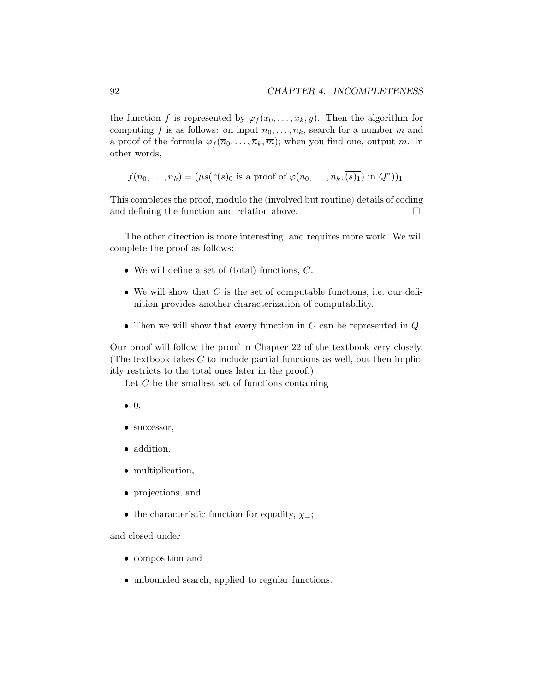the function f is represented by  $\varphi_f(x_0,\ldots,x_k,y)$ . Then the algorithm for computing f is as follows: on input  $n_0, \ldots, n_k$ , search for a number m and a proof of the formula  $\varphi_f(\overline{n}_0,\ldots,\overline{n}_k,\overline{m})$ ; when you find one, output m. In other words,

$$
f(n_0,\ldots,n_k)=(\mu s(\mathcal{C}(s)_0 \text{ is a proof of } \varphi(\overline{n}_0,\ldots,\overline{n}_k,(s)_1) \text{ in } Q^{\prime\prime}))_1.
$$

This completes the proof, modulo the (involved but routine) details of coding and defining the function and relation above.

The other direction is more interesting, and requires more work. We will complete the proof as follows:

- We will define a set of (total) functions,  $C$ .
- We will show that  $C$  is the set of computable functions, i.e. our definition provides another characterization of computability.
- Then we will show that every function in  $C$  can be represented in  $Q$ .

Our proof will follow the proof in Chapter 22 of the textbook very closely. (The textbook takes  $C$  to include partial functions as well, but then implicitly restricts to the total ones later in the proof.)

Let  $C$  be the smallest set of functions containing

- $\bullet$  0,
- successor,
- addition,
- multiplication,
- projections, and
- the characteristic function for equality,  $\chi =$ ;

and closed under

- composition and
- unbounded search, applied to regular functions.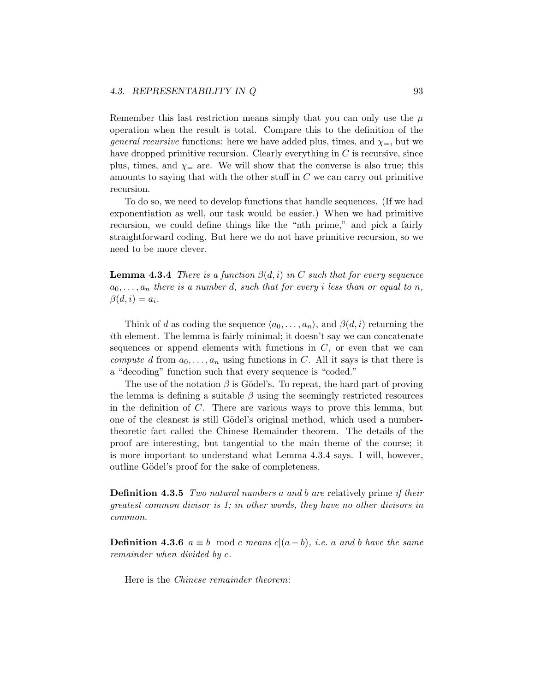Remember this last restriction means simply that you can only use the  $\mu$ operation when the result is total. Compare this to the definition of the *general recursive* functions: here we have added plus, times, and  $\chi$ <sub>=</sub>, but we have dropped primitive recursion. Clearly everything in  $C$  is recursive, since plus, times, and  $\chi$  are. We will show that the converse is also true; this amounts to saying that with the other stuff in  $C$  we can carry out primitive recursion.

To do so, we need to develop functions that handle sequences. (If we had exponentiation as well, our task would be easier.) When we had primitive recursion, we could define things like the "nth prime," and pick a fairly straightforward coding. But here we do not have primitive recursion, so we need to be more clever.

**Lemma 4.3.4** There is a function  $\beta(d, i)$  in C such that for every sequence  $a_0, \ldots, a_n$  there is a number d, such that for every i less than or equal to n,  $\beta(d,i) = a_i.$ 

Think of d as coding the sequence  $\langle a_0, \ldots, a_n \rangle$ , and  $\beta(d, i)$  returning the ith element. The lemma is fairly minimal; it doesn't say we can concatenate sequences or append elements with functions in  $C$ , or even that we can compute d from  $a_0, \ldots, a_n$  using functions in C. All it says is that there is a "decoding" function such that every sequence is "coded."

The use of the notation  $\beta$  is Gödel's. To repeat, the hard part of proving the lemma is defining a suitable  $\beta$  using the seemingly restricted resources in the definition of  $C$ . There are various ways to prove this lemma, but one of the cleanest is still Gödel's original method, which used a numbertheoretic fact called the Chinese Remainder theorem. The details of the proof are interesting, but tangential to the main theme of the course; it is more important to understand what Lemma 4.3.4 says. I will, however, outline Gödel's proof for the sake of completeness.

**Definition 4.3.5** Two natural numbers a and b are relatively prime if their greatest common divisor is 1; in other words, they have no other divisors in common.

**Definition 4.3.6**  $a \equiv b \mod c$  means  $c|(a - b)$ , *i.e.* a and b have the same remainder when divided by c.

Here is the Chinese remainder theorem: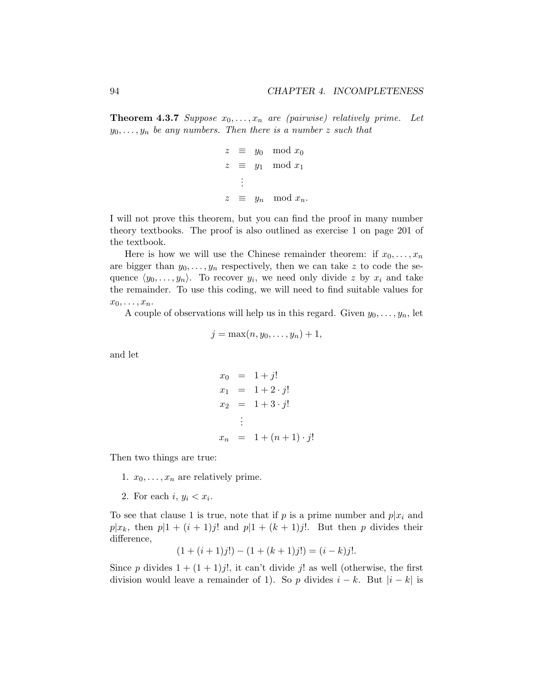**Theorem 4.3.7** Suppose  $x_0, \ldots, x_n$  are (pairwise) relatively prime. Let  $y_0, \ldots, y_n$  be any numbers. Then there is a number z such that

$$
z \equiv y_0 \mod x_0
$$
  
\n
$$
z \equiv y_1 \mod x_1
$$
  
\n
$$
\vdots
$$
  
\n
$$
z \equiv y_n \mod x_n.
$$

I will not prove this theorem, but you can find the proof in many number theory textbooks. The proof is also outlined as exercise 1 on page 201 of the textbook.

Here is how we will use the Chinese remainder theorem: if  $x_0, \ldots, x_n$ are bigger than  $y_0, \ldots, y_n$  respectively, then we can take z to code the sequence  $\langle y_0, \ldots, y_n \rangle$ . To recover  $y_i$ , we need only divide z by  $x_i$  and take the remainder. To use this coding, we will need to find suitable values for  $x_0, \ldots, x_n$ .

A couple of observations will help us in this regard. Given  $y_0, \ldots, y_n$ , let

$$
j = \max(n, y_0, \dots, y_n) + 1,
$$

and let

$$
x_0 = 1 + j!
$$
  
\n
$$
x_1 = 1 + 2 \cdot j!
$$
  
\n
$$
x_2 = 1 + 3 \cdot j!
$$
  
\n
$$
\vdots
$$
  
\n
$$
x_n = 1 + (n + 1) \cdot j!
$$

Then two things are true:

- 1.  $x_0, \ldots, x_n$  are relatively prime.
- 2. For each  $i, y_i < x_i$ .

To see that clause 1 is true, note that if p is a prime number and  $p|x_i$  and  $p|x_k$ , then  $p|1 + (i + 1)j!$  and  $p|1 + (k + 1)j!$ . But then p divides their difference,

$$
(1 + (i + 1)j!) - (1 + (k + 1)j!) = (i - k)j!.
$$

Since p divides  $1 + (1 + 1)j!$ , it can't divide j! as well (otherwise, the first division would leave a remainder of 1). So p divides  $i - k$ . But  $|i - k|$  is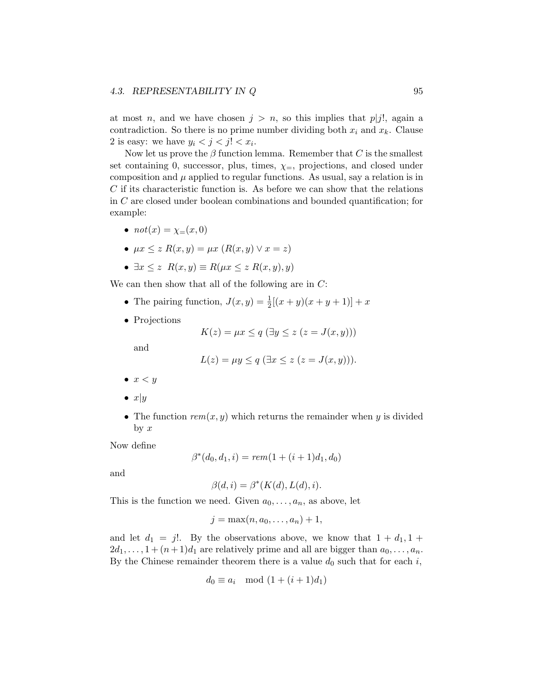at most n, and we have chosen  $j > n$ , so this implies that  $p[j]$ , again a contradiction. So there is no prime number dividing both  $x_i$  and  $x_k$ . Clause 2 is easy: we have  $y_i < j < j! < x_i$ .

Now let us prove the  $\beta$  function lemma. Remember that C is the smallest set containing 0, successor, plus, times,  $\chi$ <sub>=</sub>, projections, and closed under composition and  $\mu$  applied to regular functions. As usual, say a relation is in C if its characteristic function is. As before we can show that the relations in C are closed under boolean combinations and bounded quantification; for example:

- $not(x) = \chi_{=}(x,0)$
- $\mu x \leq z R(x, y) = \mu x (R(x, y) \vee x = z)$
- $\exists x \leq z \ R(x, y) \equiv R(\mu x \leq z \ R(x, y), y)$

We can then show that all of the following are in  $C$ :

- The pairing function,  $J(x, y) = \frac{1}{2}[(x + y)(x + y + 1)] + x$
- Projections

$$
K(z) = \mu x \le q \left( \exists y \le z \ (z = J(x, y)) \right)
$$

and

$$
L(z) = \mu y \le q \ (\exists x \le z \ (z = J(x, y))).
$$

- $\bullet \ \ x \lt y$
- $\bullet x|y$
- The function  $rem(x, y)$  which returns the remainder when y is divided by  $x$

Now define

$$
\beta^*(d_0, d_1, i) = rem(1 + (i + 1)d_1, d_0)
$$

and

$$
\beta(d, i) = \beta^*(K(d), L(d), i).
$$

This is the function we need. Given  $a_0, \ldots, a_n$ , as above, let

$$
j = \max(n, a_0, \dots, a_n) + 1,
$$

and let  $d_1 = j!$ . By the observations above, we know that  $1 + d_1$ ,  $1 +$  $2d_1, \ldots, 1 + (n+1)d_1$  are relatively prime and all are bigger than  $a_0, \ldots, a_n$ . By the Chinese remainder theorem there is a value  $d_0$  such that for each  $i$ ,

$$
d_0 \equiv a_i \mod (1 + (i+1)d_1)
$$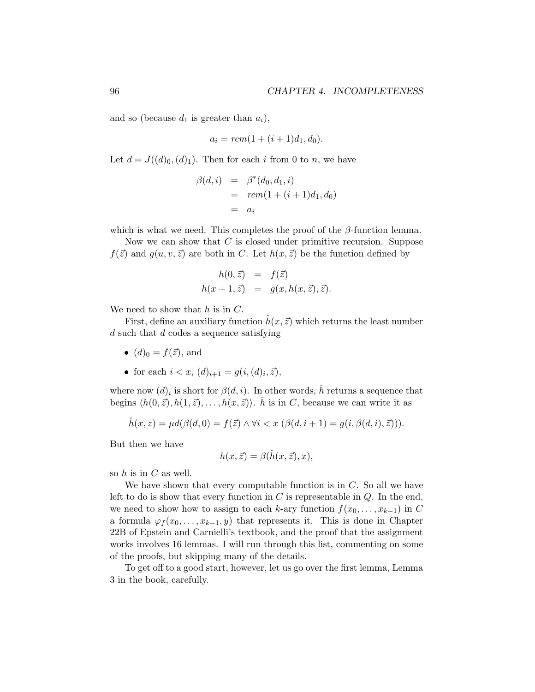and so (because  $d_1$  is greater than  $a_i$ ),

$$
a_i = rem(1 + (i + 1)d_1, d_0).
$$

Let  $d = J((d)_0, (d)_1)$ . Then for each i from 0 to n, we have

$$
\beta(d, i) = \beta^*(d_0, d_1, i)
$$
  
=  $rem(1 + (i + 1)d_1, d_0)$   
=  $a_i$ 

which is what we need. This completes the proof of the  $\beta$ -function lemma.

Now we can show that C is closed under primitive recursion. Suppose  $f(\vec{z})$  and  $g(u, v, \vec{z})$  are both in C. Let  $h(x, \vec{z})$  be the function defined by

$$
h(0, \vec{z}) = f(\vec{z})
$$
  

$$
h(x+1, \vec{z}) = g(x, h(x, \vec{z}), \vec{z}).
$$

We need to show that  $h$  is in  $C$ .

First, define an auxiliary function  $\hat{h}(x, \vec{z})$  which returns the least number d such that d codes a sequence satisfying

- $(d)_0 = f(\vec{z})$ , and
- for each  $i < x$ ,  $(d)_{i+1} = g(i, (d)_i, \vec{z})$ ,

where now  $(d)_i$  is short for  $\beta(d, i)$ . In other words,  $\hat{h}$  returns a sequence that begins  $\langle h(0, \vec{z}), h(1, \vec{z}), \ldots, h(x, \vec{z})\rangle$ .  $\hat{h}$  is in C, because we can write it as

$$
h(x,z) = \mu d(\beta(d,0) = f(\vec{z}) \land \forall i < x \ (\beta(d,i+1) = g(i,\beta(d,i),\vec{z}))).
$$

But then we have

$$
h(x, \vec{z}) = \beta(\tilde{h}(x, \vec{z}), x),
$$

so  $h$  is in  $C$  as well.

We have shown that every computable function is in  $C$ . So all we have left to do is show that every function in  $C$  is representable in  $Q$ . In the end, we need to show how to assign to each k-ary function  $f(x_0, \ldots, x_{k-1})$  in C a formula  $\varphi_f(x_0,\ldots,x_{k-1},y)$  that represents it. This is done in Chapter 22B of Epstein and Carnielli's textbook, and the proof that the assignment works involves 16 lemmas. I will run through this list, commenting on some of the proofs, but skipping many of the details.

To get off to a good start, however, let us go over the first lemma, Lemma 3 in the book, carefully.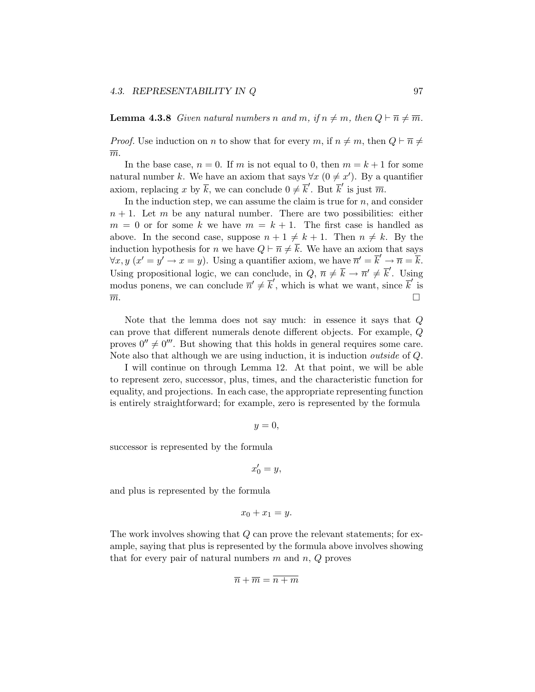**Lemma 4.3.8** Given natural numbers n and m, if  $n \neq m$ , then  $Q \vdash \overline{n} \neq \overline{m}$ .

*Proof.* Use induction on *n* to show that for every *m*, if  $n \neq m$ , then  $Q \vdash \overline{n} \neq \emptyset$  $\overline{m}$ .

In the base case,  $n = 0$ . If m is not equal to 0, then  $m = k + 1$  for some natural number k. We have an axiom that says  $\forall x \ (0 \neq x')$ . By a quantifier axiom, replacing x by  $\overline{k}$ , we can conclude  $0 \neq \overline{k}'$ . But  $\overline{k}'$  is just  $\overline{m}$ .

In the induction step, we can assume the claim is true for  $n$ , and consider  $n + 1$ . Let m be any natural number. There are two possibilities: either  $m = 0$  or for some k we have  $m = k + 1$ . The first case is handled as above. In the second case, suppose  $n + 1 \neq k + 1$ . Then  $n \neq k$ . By the induction hypothesis for *n* we have  $Q \vdash \overline{n} \neq \overline{k}$ . We have an axiom that says  $\forall x, y \ (x' = y' \rightarrow x = y)$ . Using a quantifier axiom, we have  $\overline{n}' = \overline{k}' \rightarrow \overline{n} = \overline{k}$ . Using propositional logic, we can conclude, in  $Q, \overline{n} \neq \overline{k} \rightarrow \overline{n}' \neq \overline{k}'$ . Using modus ponens, we can conclude  $\overline{n}' \neq \overline{k}'$ , which is what we want, since  $\overline{k}'$  is  $\overline{m}$ .

Note that the lemma does not say much: in essence it says that Q can prove that different numerals denote different objects. For example, Q proves  $0'' \neq 0'''$ . But showing that this holds in general requires some care. Note also that although we are using induction, it is induction outside of Q.

I will continue on through Lemma 12. At that point, we will be able to represent zero, successor, plus, times, and the characteristic function for equality, and projections. In each case, the appropriate representing function is entirely straightforward; for example, zero is represented by the formula

$$
y=0,
$$

successor is represented by the formula

$$
x_0'=y,
$$

and plus is represented by the formula

$$
x_0 + x_1 = y.
$$

The work involves showing that Q can prove the relevant statements; for example, saying that plus is represented by the formula above involves showing that for every pair of natural numbers  $m$  and  $n, Q$  proves

$$
\overline{n} + \overline{m} = \overline{n+m}
$$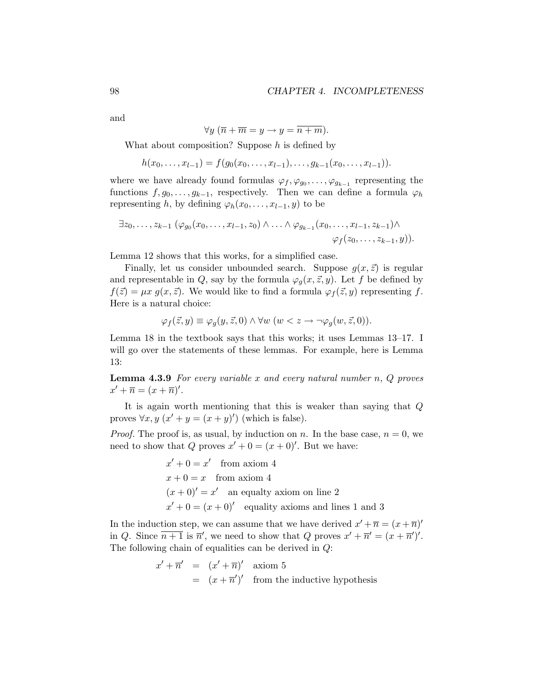and

$$
\forall y \ (\overline{n} + \overline{m} = y \to y = \overline{n+m}).
$$

What about composition? Suppose  $h$  is defined by

$$
h(x_0,\ldots,x_{l-1})=f(g_0(x_0,\ldots,x_{l-1}),\ldots,g_{k-1}(x_0,\ldots,x_{l-1})).
$$

where we have already found formulas  $\varphi_f, \varphi_{g_0}, \ldots, \varphi_{g_{k-1}}$  representing the functions  $f, g_0, \ldots, g_{k-1}$ , respectively. Then we can define a formula  $\varphi_h$ representing h, by defining  $\varphi_h(x_0, \ldots, x_{l-1}, y)$  to be

$$
\exists z_0, \ldots, z_{k-1} \ (\varphi_{g_0}(x_0, \ldots, x_{l-1}, z_0) \land \ldots \land \varphi_{g_{k-1}}(x_0, \ldots, x_{l-1}, z_{k-1}) \land \varphi_f(z_0, \ldots, z_{k-1}, y)).
$$

Lemma 12 shows that this works, for a simplified case.

Finally, let us consider unbounded search. Suppose  $g(x, \vec{z})$  is regular and representable in Q, say by the formula  $\varphi_g(x, \vec{z}, y)$ . Let f be defined by  $f(\vec{z}) = \mu x \, g(x, \vec{z})$ . We would like to find a formula  $\varphi_f(\vec{z}, y)$  representing f. Here is a natural choice:

$$
\varphi_f(\vec{z}, y) \equiv \varphi_g(y, \vec{z}, 0) \land \forall w \ (w < z \to \neg \varphi_g(w, \vec{z}, 0)).
$$

Lemma 18 in the textbook says that this works; it uses Lemmas 13–17. I will go over the statements of these lemmas. For example, here is Lemma 13:

**Lemma 4.3.9** For every variable x and every natural number  $n$ ,  $Q$  proves  $x' + \overline{n} = (x + \overline{n})'.$ 

It is again worth mentioning that this is weaker than saying that Q proves  $\forall x, y \ (x' + y = (x + y)')$  (which is false).

*Proof.* The proof is, as usual, by induction on n. In the base case,  $n = 0$ , we need to show that Q proves  $x' + 0 = (x + 0)'$ . But we have:

> $x' + 0 = x'$  from axiom 4  $x + 0 = x$  from axiom 4  $(x+0)' = x'$  an equalty axiom on line 2  $x' + 0 = (x + 0)'$  equality axioms and lines 1 and 3

In the induction step, we can assume that we have derived  $x' + \overline{n} = (x + \overline{n})'$ in Q. Since  $\overline{n+1}$  is  $\overline{n}'$ , we need to show that Q proves  $x' + \overline{n}' = (x + \overline{n}')'$ . The following chain of equalities can be derived in Q:

$$
x' + \overline{n}' = (x' + \overline{n})'
$$
axiom 5  
=  $(x + \overline{n}')'$  from the inductive hypothesis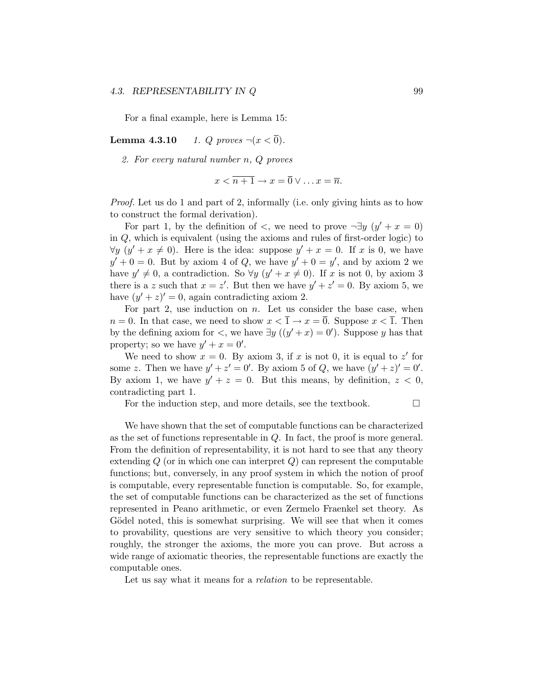For a final example, here is Lemma 15:

**Lemma 4.3.10** 1. Q proves  $\neg(x < \overline{0})$ .

2. For every natural number n, Q proves

$$
x < \overline{n+1} \to x = \overline{0} \lor \dots x = \overline{n}.
$$

Proof. Let us do 1 and part of 2, informally (i.e. only giving hints as to how to construct the formal derivation).

For part 1, by the definition of  $\lt$ , we need to prove  $\neg \exists y \ (y' + x = 0)$ in Q, which is equivalent (using the axioms and rules of first-order logic) to  $\forall y \ (y' + x \neq 0)$ . Here is the idea: suppose  $y' + x = 0$ . If x is 0, we have  $y' + 0 = 0$ . But by axiom 4 of Q, we have  $y' + 0 = y'$ , and by axiom 2 we have  $y' \neq 0$ , a contradiction. So  $\forall y \ (y' + x \neq 0)$ . If x is not 0, by axiom 3 there is a z such that  $x = z'$ . But then we have  $y' + z' = 0$ . By axiom 5, we have  $(y'+z)' = 0$ , again contradicting axiom 2.

For part 2, use induction on  $n$ . Let us consider the base case, when  $n = 0$ . In that case, we need to show  $x < \overline{1} \rightarrow x = \overline{0}$ . Suppose  $x < \overline{1}$ . Then by the defining axiom for  $\lt$ , we have  $\exists y \ ((y' + x) = 0')$ . Suppose y has that property; so we have  $y' + x = 0'$ .

We need to show  $x = 0$ . By axiom 3, if x is not 0, it is equal to z' for some z. Then we have  $y' + z' = 0'$ . By axiom 5 of Q, we have  $(y' + z)' = 0'$ . By axiom 1, we have  $y' + z = 0$ . But this means, by definition,  $z < 0$ , contradicting part 1.

For the induction step, and more details, see the textbook.  $\Box$ 

We have shown that the set of computable functions can be characterized as the set of functions representable in  $Q$ . In fact, the proof is more general. From the definition of representability, it is not hard to see that any theory extending  $Q$  (or in which one can interpret  $Q$ ) can represent the computable functions; but, conversely, in any proof system in which the notion of proof is computable, every representable function is computable. So, for example, the set of computable functions can be characterized as the set of functions represented in Peano arithmetic, or even Zermelo Fraenkel set theory. As Gödel noted, this is somewhat surprising. We will see that when it comes to provability, questions are very sensitive to which theory you consider; roughly, the stronger the axioms, the more you can prove. But across a wide range of axiomatic theories, the representable functions are exactly the computable ones.

Let us say what it means for a *relation* to be representable.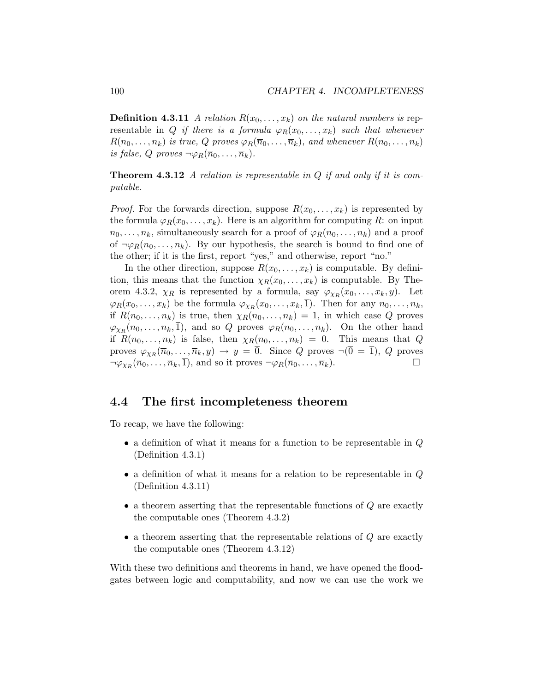**Definition 4.3.11** A relation  $R(x_0, \ldots, x_k)$  on the natural numbers is representable in Q if there is a formula  $\varphi_R(x_0, \ldots, x_k)$  such that whenever  $R(n_0, \ldots, n_k)$  is true, Q proves  $\varphi_R(\overline{n}_0, \ldots, \overline{n}_k)$ , and whenever  $R(n_0, \ldots, n_k)$ is false, Q proves  $\neg \varphi_R(\overline{n}_0, \ldots, \overline{n}_k)$ .

**Theorem 4.3.12** A relation is representable in  $Q$  if and only if it is computable.

*Proof.* For the forwards direction, suppose  $R(x_0, \ldots, x_k)$  is represented by the formula  $\varphi_R(x_0,\ldots,x_k)$ . Here is an algorithm for computing R: on input  $n_0, \ldots, n_k$ , simultaneously search for a proof of  $\varphi_R(\overline{n}_0, \ldots, \overline{n}_k)$  and a proof of  $\neg \varphi_R(\overline{n}_0, \ldots, \overline{n}_k)$ . By our hypothesis, the search is bound to find one of the other; if it is the first, report "yes," and otherwise, report "no."

In the other direction, suppose  $R(x_0, \ldots, x_k)$  is computable. By definition, this means that the function  $\chi_R(x_0, \ldots, x_k)$  is computable. By Theorem 4.3.2,  $\chi_R$  is represented by a formula, say  $\varphi_{\chi_R}(x_0,\ldots,x_k,y)$ . Let  $\varphi_R(x_0,\ldots,x_k)$  be the formula  $\varphi_{\chi_R}(x_0,\ldots,x_k,\overline{1})$ . Then for any  $n_0,\ldots,n_k$ , if  $R(n_0, \ldots, n_k)$  is true, then  $\chi_R(n_0, \ldots, n_k) = 1$ , in which case Q proves  $\varphi_{\chi_R}(\overline{n}_0,\ldots,\overline{n}_k,\overline{1}),$  and so Q proves  $\varphi_R(\overline{n}_0,\ldots,\overline{n}_k)$ . On the other hand if  $R(n_0, \ldots, n_k)$  is false, then  $\chi_R(n_0, \ldots, n_k) = 0$ . This means that Q proves  $\varphi_{\chi_R}(\overline{n}_0,\ldots,\overline{n}_k,y) \to y = \overline{0}$ . Since Q proves  $\neg(\overline{0} = \overline{1}), Q$  proves  $\neg \varphi_{\chi_R}(\overline{n}_0, \ldots, \overline{n}_k, \overline{1}),$  and so it proves  $\neg \varphi_R(\overline{n}_0, \ldots, \overline{n}_k).$ 

## 4.4 The first incompleteness theorem

To recap, we have the following:

- a definition of what it means for a function to be representable in Q (Definition 4.3.1)
- a definition of what it means for a relation to be representable in  $Q$ (Definition 4.3.11)
- $\bullet$  a theorem asserting that the representable functions of  $Q$  are exactly the computable ones (Theorem 4.3.2)
- a theorem asserting that the representable relations of Q are exactly the computable ones (Theorem 4.3.12)

With these two definitions and theorems in hand, we have opened the floodgates between logic and computability, and now we can use the work we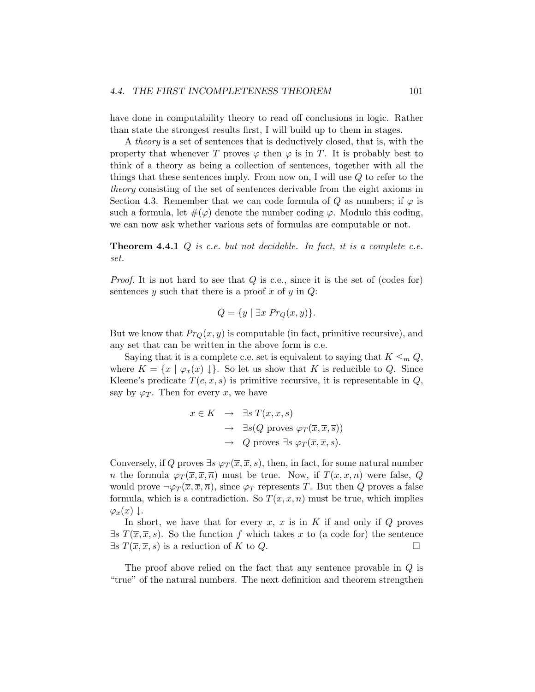have done in computability theory to read off conclusions in logic. Rather than state the strongest results first, I will build up to them in stages.

A theory is a set of sentences that is deductively closed, that is, with the property that whenever T proves  $\varphi$  then  $\varphi$  is in T. It is probably best to think of a theory as being a collection of sentences, together with all the things that these sentences imply. From now on, I will use  $Q$  to refer to the theory consisting of the set of sentences derivable from the eight axioms in Section 4.3. Remember that we can code formula of Q as numbers; if  $\varphi$  is such a formula, let  $#(\varphi)$  denote the number coding  $\varphi$ . Modulo this coding, we can now ask whether various sets of formulas are computable or not.

**Theorem 4.4.1**  $Q$  is c.e. but not decidable. In fact, it is a complete c.e. set.

*Proof.* It is not hard to see that  $Q$  is c.e., since it is the set of (codes for) sentences y such that there is a proof x of y in  $Q$ :

$$
Q = \{ y \mid \exists x \ Pr_Q(x, y) \}.
$$

But we know that  $Pr_Q(x, y)$  is computable (in fact, primitive recursive), and any set that can be written in the above form is c.e.

Saying that it is a complete c.e. set is equivalent to saying that  $K \leq_m Q$ , where  $K = \{x \mid \varphi_x(x) \downarrow\}$ . So let us show that K is reducible to Q. Since Kleene's predicate  $T(e, x, s)$  is primitive recursive, it is representable in  $Q$ , say by  $\varphi_T$ . Then for every x, we have

$$
x \in K \longrightarrow \exists s \ T(x, x, s)
$$
  
\n
$$
\rightarrow \exists s (Q \text{ proves } \varphi_T(\overline{x}, \overline{x}, \overline{s}))
$$
  
\n
$$
\rightarrow Q \text{ proves } \exists s \ \varphi_T(\overline{x}, \overline{x}, s).
$$

Conversely, if Q proves  $\exists s \varphi_T(\overline{x}, \overline{x}, s)$ , then, in fact, for some natural number n the formula  $\varphi_T(\overline{x}, \overline{x}, \overline{n})$  must be true. Now, if  $T(x, x, n)$  were false, Q would prove  $\neg \varphi_T(\overline{x}, \overline{x}, \overline{n})$ , since  $\varphi_T$  represents T. But then Q proves a false formula, which is a contradiction. So  $T(x, x, n)$  must be true, which implies  $\varphi_x(x)\downarrow$ .

In short, we have that for every  $x, x$  is in K if and only if  $Q$  proves  $\exists s \ T(\overline{x}, \overline{x}, s)$ . So the function f which takes x to (a code for) the sentence  $\exists s \; T(\overline{x}, \overline{x}, s)$  is a reduction of K to Q.

The proof above relied on the fact that any sentence provable in  $Q$  is "true" of the natural numbers. The next definition and theorem strengthen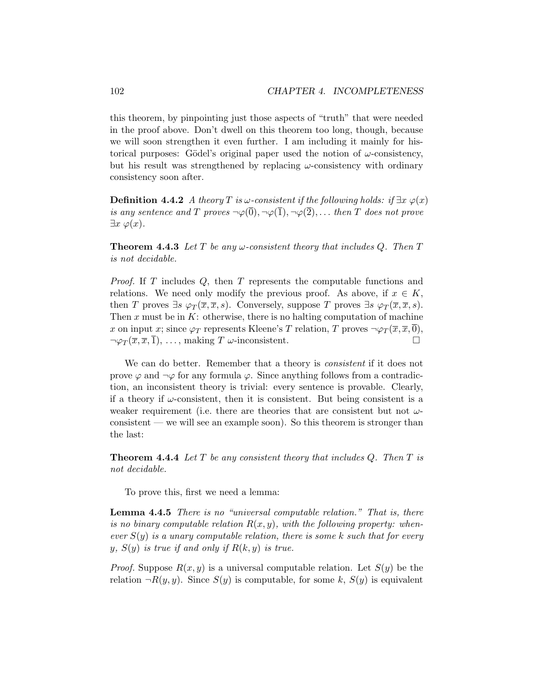this theorem, by pinpointing just those aspects of "truth" that were needed in the proof above. Don't dwell on this theorem too long, though, because we will soon strengthen it even further. I am including it mainly for historical purposes: Gödel's original paper used the notion of  $\omega$ -consistency, but his result was strengthened by replacing  $\omega$ -consistency with ordinary consistency soon after.

**Definition 4.4.2** A theory T is  $\omega$ -consistent if the following holds: if  $\exists x \varphi(x)$ is any sentence and T proves  $\neg \varphi(\overline{0}), \neg \varphi(\overline{1}), \neg \varphi(\overline{2}), \dots$  then T does not prove  $\exists x \varphi(x)$ .

**Theorem 4.4.3** Let T be any  $\omega$ -consistent theory that includes Q. Then T is not decidable.

*Proof.* If T includes  $Q$ , then T represents the computable functions and relations. We need only modify the previous proof. As above, if  $x \in K$ , then T proves  $\exists s \varphi_T(\overline{x}, \overline{x}, s)$ . Conversely, suppose T proves  $\exists s \varphi_T(\overline{x}, \overline{x}, s)$ . Then  $x$  must be in  $K$ : otherwise, there is no halting computation of machine x on input x; since  $\varphi_T$  represents Kleene's T relation, T proves  $\neg \varphi_T(\overline{x}, \overline{x}, \overline{0})$ ,  $\neg \varphi_T(\overline{x}, \overline{x}, \overline{1}), \dots$ , making T  $\omega$ -inconsistent.

We can do better. Remember that a theory is *consistent* if it does not prove  $\varphi$  and  $\neg \varphi$  for any formula  $\varphi$ . Since anything follows from a contradiction, an inconsistent theory is trivial: every sentence is provable. Clearly, if a theory if  $\omega$ -consistent, then it is consistent. But being consistent is a weaker requirement (i.e. there are theories that are consistent but not  $\omega$ consistent — we will see an example soon). So this theorem is stronger than the last:

**Theorem 4.4.4** Let  $T$  be any consistent theory that includes  $Q$ . Then  $T$  is not decidable.

To prove this, first we need a lemma:

Lemma 4.4.5 There is no "universal computable relation." That is, there is no binary computable relation  $R(x, y)$ , with the following property: whenever  $S(y)$  is a unary computable relation, there is some k such that for every y,  $S(y)$  is true if and only if  $R(k, y)$  is true.

*Proof.* Suppose  $R(x, y)$  is a universal computable relation. Let  $S(y)$  be the relation  $\neg R(y, y)$ . Since  $S(y)$  is computable, for some k,  $S(y)$  is equivalent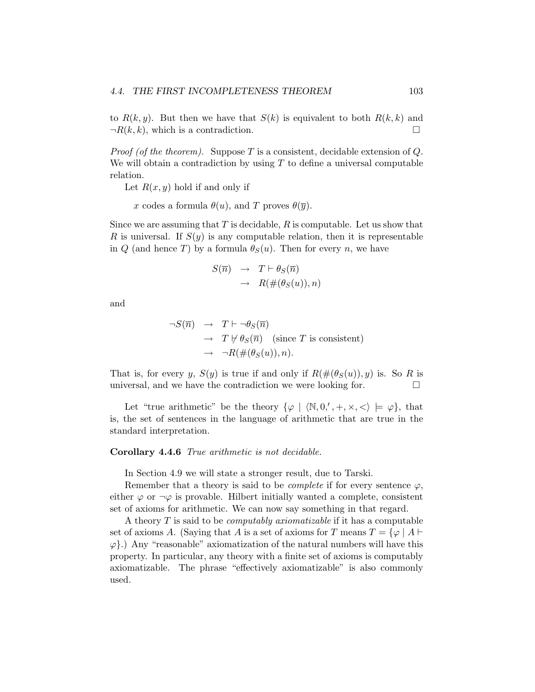to  $R(k, y)$ . But then we have that  $S(k)$  is equivalent to both  $R(k, k)$  and  $\neg R(k, k)$ , which is a contradiction.

*Proof (of the theorem).* Suppose T is a consistent, decidable extension of Q. We will obtain a contradiction by using  $T$  to define a universal computable relation.

Let  $R(x, y)$  hold if and only if

x codes a formula  $\theta(u)$ , and T proves  $\theta(\overline{y})$ .

Since we are assuming that  $T$  is decidable,  $R$  is computable. Let us show that R is universal. If  $S(y)$  is any computable relation, then it is representable in Q (and hence T) by a formula  $\theta_S(u)$ . Then for every n, we have

$$
S(\overline{n}) \rightarrow T \vdash \theta_S(\overline{n})
$$
  

$$
\rightarrow R(\#(\theta_S(u)), n)
$$

and

$$
\neg S(\overline{n}) \rightarrow T \vdash \neg \theta_S(\overline{n})
$$
  
\n
$$
\rightarrow T \not\vdash \theta_S(\overline{n}) \text{ (since } T \text{ is consistent)}
$$
  
\n
$$
\rightarrow \neg R(\#(\theta_S(u)), n).
$$

That is, for every y,  $S(y)$  is true if and only if  $R(\#(\theta_S(u)), y)$  is. So R is universal, and we have the contradiction we were looking for.  $\Box$ 

Let "true arithmetic" be the theory  $\{\varphi \mid \langle \mathbb{N}, 0, ', +, \times, \langle \rangle \models \varphi\}$ , that is, the set of sentences in the language of arithmetic that are true in the standard interpretation.

### Corollary 4.4.6 True arithmetic is not decidable.

In Section 4.9 we will state a stronger result, due to Tarski.

Remember that a theory is said to be *complete* if for every sentence  $\varphi$ , either  $\varphi$  or  $\neg \varphi$  is provable. Hilbert initially wanted a complete, consistent set of axioms for arithmetic. We can now say something in that regard.

A theory T is said to be computably axiomatizable if it has a computable set of axioms A. (Saying that A is a set of axioms for T means  $T = \{ \varphi \mid A \vdash$  $\varphi$ .) Any "reasonable" axiomatization of the natural numbers will have this property. In particular, any theory with a finite set of axioms is computably axiomatizable. The phrase "effectively axiomatizable" is also commonly used.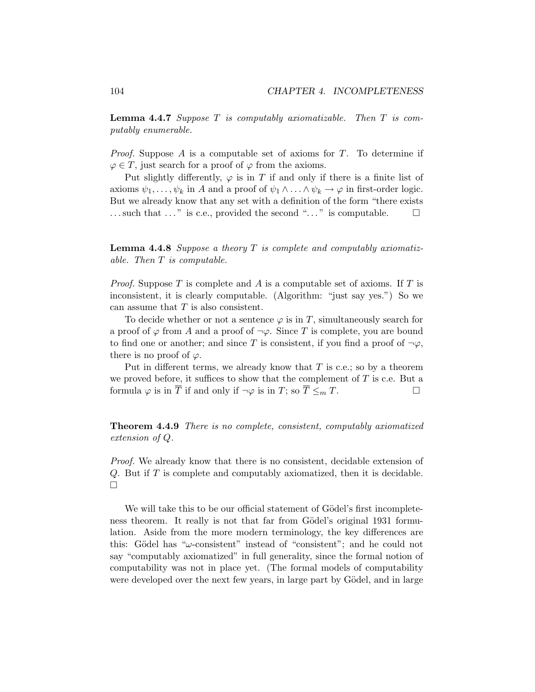**Lemma 4.4.7** Suppose  $T$  is computably axiomatizable. Then  $T$  is computably enumerable.

*Proof.* Suppose A is a computable set of axioms for T. To determine if  $\varphi \in T$ , just search for a proof of  $\varphi$  from the axioms.

Put slightly differently,  $\varphi$  is in T if and only if there is a finite list of axioms  $\psi_1, \ldots, \psi_k$  in A and a proof of  $\psi_1 \wedge \ldots \wedge \psi_k \rightarrow \varphi$  in first-order logic. But we already know that any set with a definition of the form "there exists ... such that  $\dots$  " is c.e., provided the second " $\dots$  " is computable.  $\square$ 

**Lemma 4.4.8** Suppose a theory  $T$  is complete and computably axiomatizable. Then T is computable.

*Proof.* Suppose  $T$  is complete and  $A$  is a computable set of axioms. If  $T$  is inconsistent, it is clearly computable. (Algorithm: "just say yes.") So we can assume that  $T$  is also consistent.

To decide whether or not a sentence  $\varphi$  is in T, simultaneously search for a proof of  $\varphi$  from A and a proof of  $\neg \varphi$ . Since T is complete, you are bound to find one or another; and since T is consistent, if you find a proof of  $\neg \varphi$ , there is no proof of  $\varphi$ .

Put in different terms, we already know that  $T$  is c.e.; so by a theorem we proved before, it suffices to show that the complement of  $T$  is c.e. But a formula  $\varphi$  is in  $\overline{T}$  if and only if  $\neg \varphi$  is in  $T$ ; so  $\overline{T} \leq_m T$ .

Theorem 4.4.9 There is no complete, consistent, computably axiomatized extension of Q.

Proof. We already know that there is no consistent, decidable extension of  $Q.$  But if  $T$  is complete and computably axiomatized, then it is decidable.  $\Box$ 

We will take this to be our official statement of Gödel's first incompleteness theorem. It really is not that far from Gödel's original 1931 formulation. Aside from the more modern terminology, the key differences are this: Gödel has " $\omega$ -consistent" instead of "consistent"; and he could not say "computably axiomatized" in full generality, since the formal notion of computability was not in place yet. (The formal models of computability were developed over the next few years, in large part by Gödel, and in large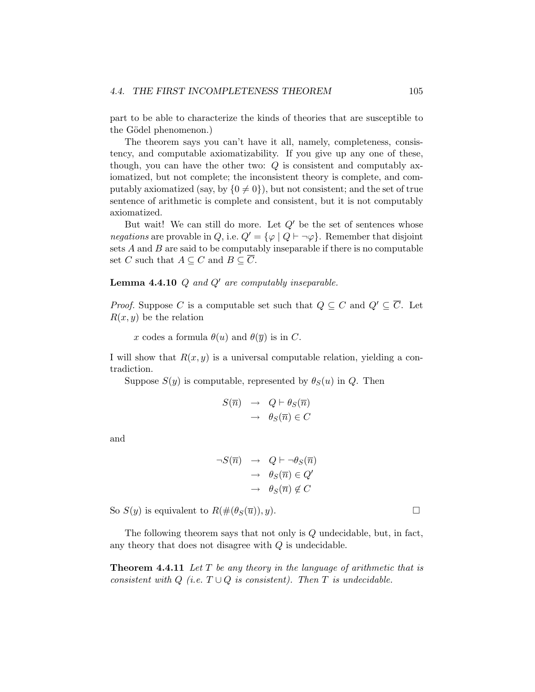part to be able to characterize the kinds of theories that are susceptible to the Gödel phenomenon.)

The theorem says you can't have it all, namely, completeness, consistency, and computable axiomatizability. If you give up any one of these, though, you can have the other two:  $Q$  is consistent and computably axiomatized, but not complete; the inconsistent theory is complete, and computably axiomatized (say, by  $\{0 \neq 0\}$ ), but not consistent; and the set of true sentence of arithmetic is complete and consistent, but it is not computably axiomatized.

But wait! We can still do more. Let  $Q'$  be the set of sentences whose negations are provable in Q, i.e.  $Q' = {\varphi | Q \vdash \neg \varphi}$ . Remember that disjoint sets  $A$  and  $B$  are said to be computably inseparable if there is no computable set C such that  $A \subseteq C$  and  $B \subseteq \overline{C}$ .

**Lemma 4.4.10**  $Q$  and  $Q'$  are computably inseparable.

*Proof.* Suppose C is a computable set such that  $Q \subseteq C$  and  $Q' \subseteq \overline{C}$ . Let  $R(x, y)$  be the relation

x codes a formula  $\theta(u)$  and  $\theta(\overline{u})$  is in C.

I will show that  $R(x, y)$  is a universal computable relation, yielding a contradiction.

Suppose  $S(y)$  is computable, represented by  $\theta_S(u)$  in Q. Then

$$
S(\overline{n}) \rightarrow Q \vdash \theta_S(\overline{n})
$$

$$
\rightarrow \theta_S(\overline{n}) \in C
$$

and

$$
\neg S(\overline{n}) \rightarrow Q \vdash \neg \theta_S(\overline{n})
$$

$$
\rightarrow \theta_S(\overline{n}) \in Q'
$$

$$
\rightarrow \theta_S(\overline{n}) \notin C
$$

So  $S(y)$  is equivalent to  $R(\#(\theta_S(\overline{u})), y)$ .

The following theorem says that not only is Q undecidable, but, in fact, any theory that does not disagree with Q is undecidable.

**Theorem 4.4.11** Let  $T$  be any theory in the language of arithmetic that is consistent with Q (i.e.  $T \cup Q$  is consistent). Then T is undecidable.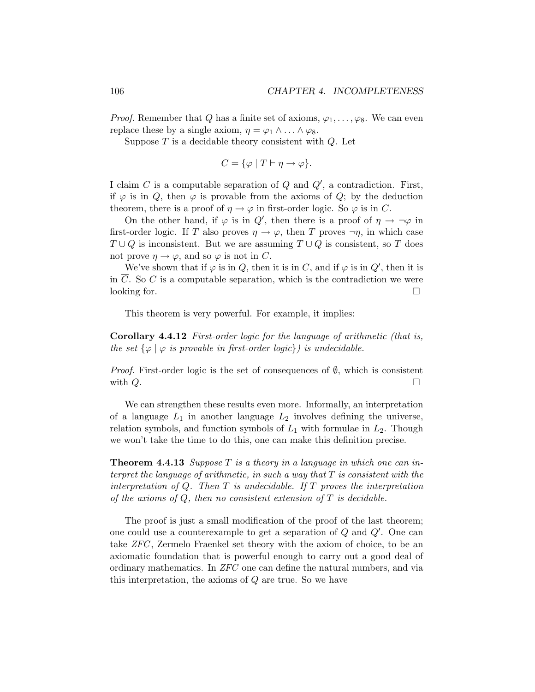*Proof.* Remember that Q has a finite set of axioms,  $\varphi_1, \ldots, \varphi_8$ . We can even replace these by a single axiom,  $\eta = \varphi_1 \wedge \ldots \wedge \varphi_8$ .

Suppose  $T$  is a decidable theory consistent with  $Q$ . Let

$$
C = \{ \varphi \mid T \vdash \eta \to \varphi \}.
$$

I claim C is a computable separation of  $Q$  and  $Q'$ , a contradiction. First, if  $\varphi$  is in Q, then  $\varphi$  is provable from the axioms of Q; by the deduction theorem, there is a proof of  $\eta \to \varphi$  in first-order logic. So  $\varphi$  is in C.

On the other hand, if  $\varphi$  is in  $Q'$ , then there is a proof of  $\eta \to \neg \varphi$  in first-order logic. If T also proves  $\eta \to \varphi$ , then T proves  $\neg \eta$ , in which case  $T \cup Q$  is inconsistent. But we are assuming  $T \cup Q$  is consistent, so T does not prove  $\eta \to \varphi$ , and so  $\varphi$  is not in C.

We've shown that if  $\varphi$  is in Q, then it is in C, and if  $\varphi$  is in Q', then it is in  $\overline{C}$ . So C is a computable separation, which is the contradiction we were looking for.

This theorem is very powerful. For example, it implies:

Corollary 4.4.12 First-order logic for the language of arithmetic (that is, the set  $\{\varphi \mid \varphi \text{ is provable in first-order logic}\}\)$  is undecidable.

*Proof.* First-order logic is the set of consequences of  $\emptyset$ , which is consistent with  $Q$ .

We can strengthen these results even more. Informally, an interpretation of a language  $L_1$  in another language  $L_2$  involves defining the universe, relation symbols, and function symbols of  $L_1$  with formulae in  $L_2$ . Though we won't take the time to do this, one can make this definition precise.

**Theorem 4.4.13** Suppose T is a theory in a language in which one can interpret the language of arithmetic, in such a way that  $T$  is consistent with the interpretation of Q. Then  $T$  is undecidable. If  $T$  proves the interpretation of the axioms of  $Q$ , then no consistent extension of  $T$  is decidable.

The proof is just a small modification of the proof of the last theorem; one could use a counterexample to get a separation of  $Q$  and  $Q'$ . One can take ZFC , Zermelo Fraenkel set theory with the axiom of choice, to be an axiomatic foundation that is powerful enough to carry out a good deal of ordinary mathematics. In ZFC one can define the natural numbers, and via this interpretation, the axioms of Q are true. So we have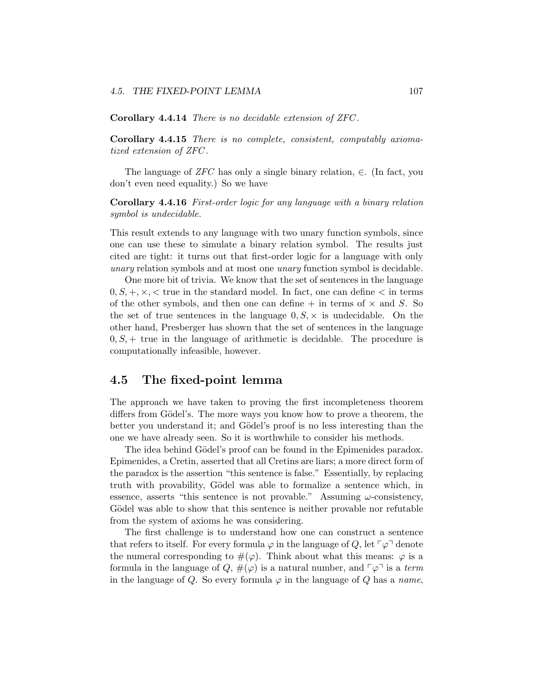Corollary 4.4.14 There is no decidable extension of ZFC.

Corollary 4.4.15 There is no complete, consistent, computably axiomatized extension of ZFC .

The language of *ZFC* has only a single binary relation,  $\in$ . (In fact, you don't even need equality.) So we have

Corollary 4.4.16 First-order logic for any language with a binary relation symbol is undecidable.

This result extends to any language with two unary function symbols, since one can use these to simulate a binary relation symbol. The results just cited are tight: it turns out that first-order logic for a language with only unary relation symbols and at most one *unary* function symbol is decidable.

One more bit of trivia. We know that the set of sentences in the language  $0, S, +, \times, <$  true in the standard model. In fact, one can define  $<$  in terms of the other symbols, and then one can define  $+$  in terms of  $\times$  and S. So the set of true sentences in the language  $0, S \times$  is undecidable. On the other hand, Presberger has shown that the set of sentences in the language  $0, S, +$  true in the language of arithmetic is decidable. The procedure is computationally infeasible, however.

# 4.5 The fixed-point lemma

The approach we have taken to proving the first incompleteness theorem differs from Gödel's. The more ways you know how to prove a theorem, the better you understand it; and Gödel's proof is no less interesting than the one we have already seen. So it is worthwhile to consider his methods.

The idea behind Gödel's proof can be found in the Epimenides paradox. Epimenides, a Cretin, asserted that all Cretins are liars; a more direct form of the paradox is the assertion "this sentence is false." Essentially, by replacing truth with provability, Gödel was able to formalize a sentence which, in essence, asserts "this sentence is not provable." Assuming  $\omega$ -consistency, Gödel was able to show that this sentence is neither provable nor refutable from the system of axioms he was considering.

The first challenge is to understand how one can construct a sentence that refers to itself. For every formula  $\varphi$  in the language of Q, let  $\lceil \varphi \rceil$  denote the numeral corresponding to  $\#(\varphi)$ . Think about what this means:  $\varphi$  is a formula in the language of  $Q, \#(\varphi)$  is a natural number, and  $\lceil \varphi \rceil$  is a term in the language of Q. So every formula  $\varphi$  in the language of Q has a name,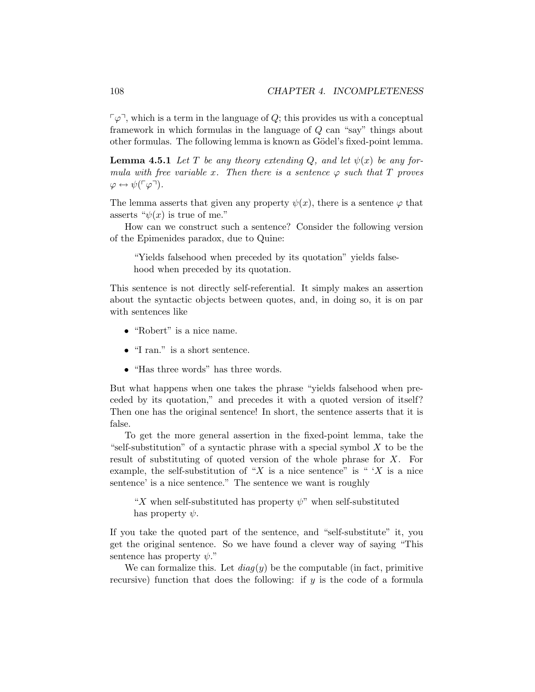$\lceil \varphi \rceil$ , which is a term in the language of Q; this provides us with a conceptual framework in which formulas in the language of Q can "say" things about other formulas. The following lemma is known as Gödel's fixed-point lemma.

**Lemma 4.5.1** Let T be any theory extending Q, and let  $\psi(x)$  be any formula with free variable x. Then there is a sentence  $\varphi$  such that T proves  $\varphi \leftrightarrow \psi(\ulcorner \varphi \urcorner).$ 

The lemma asserts that given any property  $\psi(x)$ , there is a sentence  $\varphi$  that asserts " $\psi(x)$  is true of me."

How can we construct such a sentence? Consider the following version of the Epimenides paradox, due to Quine:

"Yields falsehood when preceded by its quotation" yields falsehood when preceded by its quotation.

This sentence is not directly self-referential. It simply makes an assertion about the syntactic objects between quotes, and, in doing so, it is on par with sentences like

- "Robert" is a nice name.
- "I ran." is a short sentence.
- "Has three words" has three words.

But what happens when one takes the phrase "yields falsehood when preceded by its quotation," and precedes it with a quoted version of itself? Then one has the original sentence! In short, the sentence asserts that it is false.

To get the more general assertion in the fixed-point lemma, take the "self-substitution" of a syntactic phrase with a special symbol  $X$  to be the result of substituting of quoted version of the whole phrase for X. For example, the self-substitution of "X is a nice sentence" is " $'X$  is a nice sentence' is a nice sentence." The sentence we want is roughly

"X when self-substituted has property  $\psi$ " when self-substituted has property  $\psi$ .

If you take the quoted part of the sentence, and "self-substitute" it, you get the original sentence. So we have found a clever way of saying "This sentence has property  $\psi$ ."

We can formalize this. Let  $diag(y)$  be the computable (in fact, primitive recursive) function that does the following: if  $y$  is the code of a formula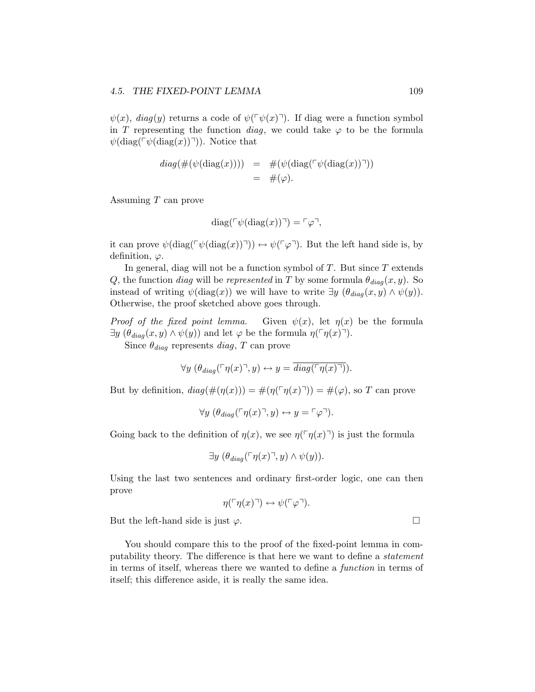$\psi(x)$ ,  $diag(y)$  returns a code of  $\psi(\psi(x)^{\dagger})$ . If diag were a function symbol in T representing the function *diag*, we could take  $\varphi$  to be the formula  $\psi(\text{diag}(\lceil \psi(\text{diag}(x)) \rceil))$ . Notice that

$$
diag(\#(\psi(\text{diag}(x)))) = \#(\psi(\text{diag}(\ulcorner \psi(\text{diag}(x))\urcorner))
$$
  
=  $\#(\varphi).$ 

Assuming T can prove

$$
diag(\ulcorner\psi(diag(x))\urcorner) = \ulcorner\varphi\urcorner,
$$

it can prove  $\psi(\text{diag}(\ulcorner \psi(\text{diag}(x))\urcorner)) \leftrightarrow \psi(\ulcorner \varphi\urcorner)$ . But the left hand side is, by definition,  $\varphi$ .

In general, diag will not be a function symbol of  $T$ . But since  $T$  extends Q, the function diag will be represented in T by some formula  $\theta_{diag}(x, y)$ . So instead of writing  $\psi(\text{diag}(x))$  we will have to write  $\exists y \; (\theta_{diag}(x, y) \wedge \psi(y)).$ Otherwise, the proof sketched above goes through.

Proof of the fixed point lemma. Given  $\psi(x)$ , let  $\eta(x)$  be the formula  $\exists y \; (\theta_{diag}(x, y) \wedge \psi(y))$  and let  $\varphi$  be the formula  $\eta(\ulcorner \eta(x) \urcorner).$ 

Since  $\theta_{diag}$  represents diag, T can prove

$$
\forall y\ (\theta_{diag}(\ulcorner\eta(x)\urcorner,y)\leftrightarrow y=\overline{diag(\ulcorner\eta(x)\urcorner)}).
$$

But by definition,  $diag(\#(\eta(x))) = \#(\eta(\ulcorner \eta(x) \urcorner)) = \#(\varphi)$ , so T can prove

$$
\forall y \ (\theta_{diag}(\ulcorner \eta(x) \urcorner, y) \leftrightarrow y = \ulcorner \varphi \urcorner).
$$

Going back to the definition of  $\eta(x)$ , we see  $\eta(\tau)(x)$  is just the formula

$$
\exists y \; (\theta_{diag}(\ulcorner \eta(x) \urcorner, y) \wedge \psi(y)).
$$

Using the last two sentences and ordinary first-order logic, one can then prove

$$
\eta(\ulcorner \eta(x)\urcorner) \leftrightarrow \psi(\ulcorner \varphi \urcorner).
$$

But the left-hand side is just  $\varphi$ .

You should compare this to the proof of the fixed-point lemma in computability theory. The difference is that here we want to define a statement in terms of itself, whereas there we wanted to define a function in terms of itself; this difference aside, it is really the same idea.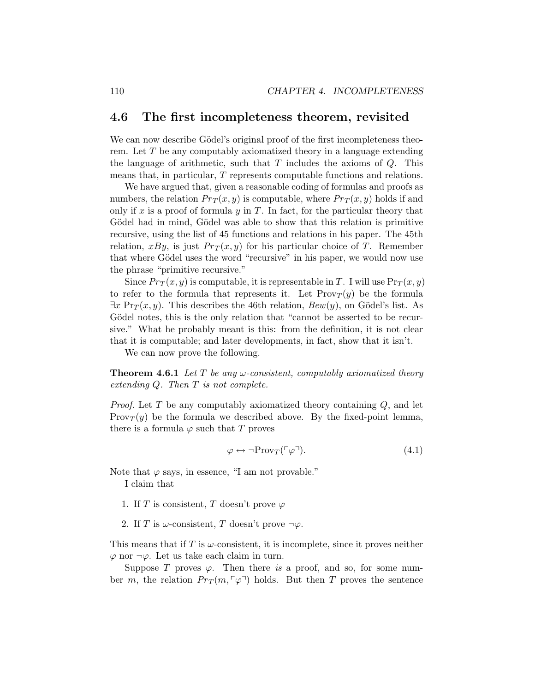### 4.6 The first incompleteness theorem, revisited

We can now describe Gödel's original proof of the first incompleteness theorem. Let  $T$  be any computably axiomatized theory in a language extending the language of arithmetic, such that  $T$  includes the axioms of  $Q$ . This means that, in particular, T represents computable functions and relations.

We have argued that, given a reasonable coding of formulas and proofs as numbers, the relation  $Pr_T(x, y)$  is computable, where  $Pr_T(x, y)$  holds if and only if x is a proof of formula y in T. In fact, for the particular theory that Gödel had in mind, Gödel was able to show that this relation is primitive recursive, using the list of 45 functions and relations in his paper. The 45th relation, xBy, is just  $Pr_T(x, y)$  for his particular choice of T. Remember that where Gödel uses the word "recursive" in his paper, we would now use the phrase "primitive recursive."

Since  $Pr_T(x, y)$  is computable, it is representable in T. I will use  $Pr_T(x, y)$ to refer to the formula that represents it. Let  $Prov_T(y)$  be the formula  $\exists x \ Pr_T(x, y)$ . This describes the 46th relation,  $Bew(y)$ , on Gödel's list. As Gödel notes, this is the only relation that "cannot be asserted to be recursive." What he probably meant is this: from the definition, it is not clear that it is computable; and later developments, in fact, show that it isn't.

We can now prove the following.

**Theorem 4.6.1** Let T be any  $\omega$ -consistent, computably axiomatized theory extending Q. Then T is not complete.

*Proof.* Let T be any computably axiomatized theory containing  $Q$ , and let Prov $T(y)$  be the formula we described above. By the fixed-point lemma, there is a formula  $\varphi$  such that T proves

$$
\varphi \leftrightarrow \neg \text{Prov}_T(\ulcorner \varphi \urcorner). \tag{4.1}
$$

Note that  $\varphi$  says, in essence, "I am not provable."

I claim that

- 1. If T is consistent, T doesn't prove  $\varphi$
- 2. If T is  $\omega$ -consistent, T doesn't prove  $\neg \varphi$ .

This means that if T is  $\omega$ -consistent, it is incomplete, since it proves neither  $\varphi$  nor  $\neg \varphi$ . Let us take each claim in turn.

Suppose T proves  $\varphi$ . Then there is a proof, and so, for some number m, the relation  $Pr_T(m, \lceil \varphi \rceil)$  holds. But then T proves the sentence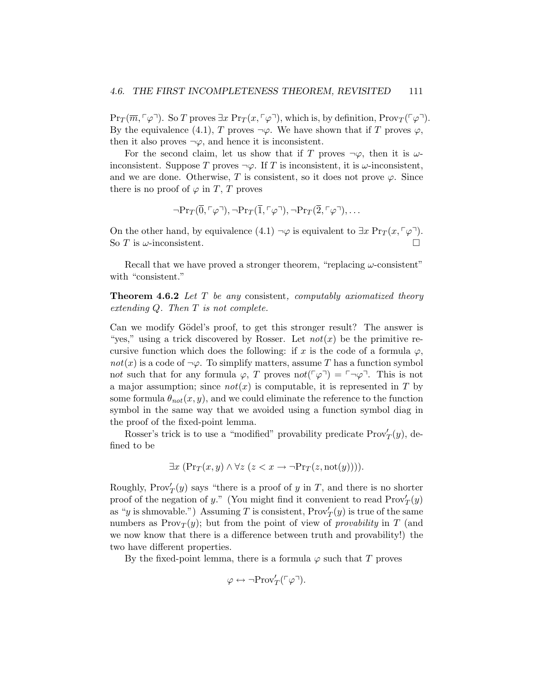$\Pr_T(\overline{m}, \lceil \varphi \rceil)$ . So T proves  $\exists x \Pr_T(x, \lceil \varphi \rceil)$ , which is, by definition,  $\Pr_T(\lceil \varphi \rceil)$ . By the equivalence (4.1), T proves  $\neg \varphi$ . We have shown that if T proves  $\varphi$ , then it also proves  $\neg \varphi$ , and hence it is inconsistent.

For the second claim, let us show that if T proves  $\neg \varphi$ , then it is  $\omega$ inconsistent. Suppose T proves  $\neg \varphi$ . If T is inconsistent, it is  $\omega$ -inconsistent, and we are done. Otherwise, T is consistent, so it does not prove  $\varphi$ . Since there is no proof of  $\varphi$  in T, T proves

$$
\neg \mathrm{Pr}_{T}(\overline{0}, \ulcorner \varphi \urcorner), \neg \mathrm{Pr}_{T}(\overline{1}, \ulcorner \varphi \urcorner), \neg \mathrm{Pr}_{T}(\overline{2}, \ulcorner \varphi \urcorner), \dots
$$

On the other hand, by equivalence (4.1)  $\neg \varphi$  is equivalent to  $\exists x \Pr_T(x, \lceil \varphi \rceil)$ . So T is  $\omega$ -inconsistent.

Recall that we have proved a stronger theorem, "replacing  $\omega$ -consistent" with "consistent."

**Theorem 4.6.2** Let  $T$  be any consistent, computably axiomatized theory extending Q. Then T is not complete.

Can we modify Gödel's proof, to get this stronger result? The answer is "yes," using a trick discovered by Rosser. Let  $not(x)$  be the primitive recursive function which does the following: if x is the code of a formula  $\varphi$ ,  $not(x)$  is a code of  $\neg \varphi$ . To simplify matters, assume T has a function symbol not such that for any formula  $\varphi$ , T proves not( $\lceil \varphi \rceil$ ) =  $\lceil \neg \varphi \rceil$ . This is not a major assumption; since  $not(x)$  is computable, it is represented in T by some formula  $\theta_{not}(x, y)$ , and we could eliminate the reference to the function symbol in the same way that we avoided using a function symbol diag in the proof of the fixed-point lemma.

Rosser's trick is to use a "modified" provability predicate  $Prov_T'(y)$ , defined to be

$$
\exists x \ (\Pr_T(x, y) \land \forall z \ (z < x \to \neg \Pr_T(z, \text{not}(y)))).
$$

Roughly,  $Prov_T'(y)$  says "there is a proof of y in T, and there is no shorter proof of the negation of y." (You might find it convenient to read  $Prov_T'(y)$ ) as "*y* is shmovable.") Assuming T is consistent,  $Prov_T'(y)$  is true of the same numbers as  $Prov_T(y)$ ; but from the point of view of *provability* in T (and we now know that there is a difference between truth and provability!) the two have different properties.

By the fixed-point lemma, there is a formula  $\varphi$  such that T proves

$$
\varphi \leftrightarrow \neg \mathrm{Prov}'_T(\ulcorner \varphi \urcorner).
$$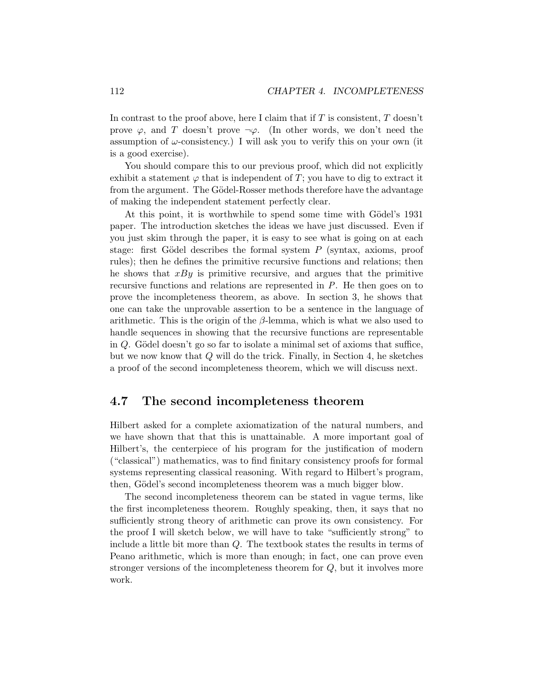In contrast to the proof above, here I claim that if  $T$  is consistent,  $T$  doesn't prove  $\varphi$ , and T doesn't prove  $\neg \varphi$ . (In other words, we don't need the assumption of  $\omega$ -consistency.) I will ask you to verify this on your own (it is a good exercise).

You should compare this to our previous proof, which did not explicitly exhibit a statement  $\varphi$  that is independent of T; you have to dig to extract it from the argument. The Gödel-Rosser methods therefore have the advantage of making the independent statement perfectly clear.

At this point, it is worthwhile to spend some time with Gödel's 1931 paper. The introduction sketches the ideas we have just discussed. Even if you just skim through the paper, it is easy to see what is going on at each stage: first Gödel describes the formal system  $P$  (syntax, axioms, proof rules); then he defines the primitive recursive functions and relations; then he shows that  $xBy$  is primitive recursive, and argues that the primitive recursive functions and relations are represented in P. He then goes on to prove the incompleteness theorem, as above. In section 3, he shows that one can take the unprovable assertion to be a sentence in the language of arithmetic. This is the origin of the  $\beta$ -lemma, which is what we also used to handle sequences in showing that the recursive functions are representable in  $Q$ . Gödel doesn't go so far to isolate a minimal set of axioms that suffice, but we now know that Q will do the trick. Finally, in Section 4, he sketches a proof of the second incompleteness theorem, which we will discuss next.

# 4.7 The second incompleteness theorem

Hilbert asked for a complete axiomatization of the natural numbers, and we have shown that that this is unattainable. A more important goal of Hilbert's, the centerpiece of his program for the justification of modern ("classical") mathematics, was to find finitary consistency proofs for formal systems representing classical reasoning. With regard to Hilbert's program, then, Gödel's second incompleteness theorem was a much bigger blow.

The second incompleteness theorem can be stated in vague terms, like the first incompleteness theorem. Roughly speaking, then, it says that no sufficiently strong theory of arithmetic can prove its own consistency. For the proof I will sketch below, we will have to take "sufficiently strong" to include a little bit more than Q. The textbook states the results in terms of Peano arithmetic, which is more than enough; in fact, one can prove even stronger versions of the incompleteness theorem for Q, but it involves more work.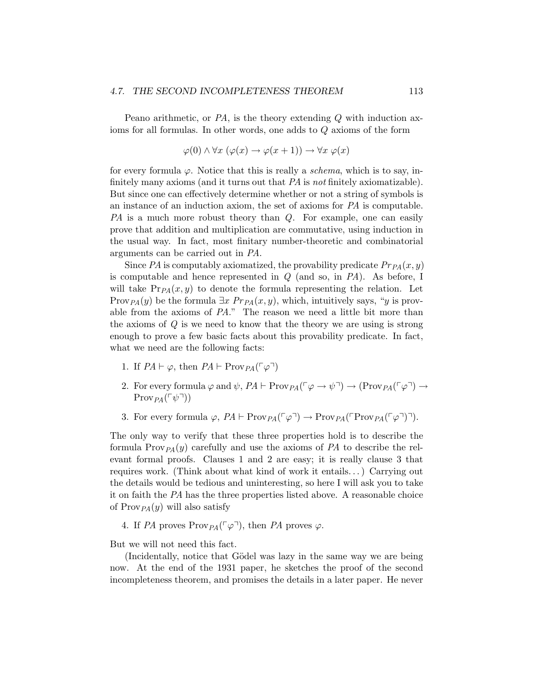Peano arithmetic, or  $PA$ , is the theory extending  $Q$  with induction axioms for all formulas. In other words, one adds to Q axioms of the form

$$
\varphi(0) \land \forall x (\varphi(x) \to \varphi(x+1)) \to \forall x \varphi(x)
$$

for every formula  $\varphi$ . Notice that this is really a *schema*, which is to say, infinitely many axioms (and it turns out that PA is not finitely axiomatizable). But since one can effectively determine whether or not a string of symbols is an instance of an induction axiom, the set of axioms for PA is computable. PA is a much more robust theory than Q. For example, one can easily prove that addition and multiplication are commutative, using induction in the usual way. In fact, most finitary number-theoretic and combinatorial arguments can be carried out in PA.

Since PA is computably axiomatized, the provability predicate  $Pr_{PA}(x, y)$ is computable and hence represented in  $Q$  (and so, in  $PA$ ). As before, I will take  $Pr_{PA}(x, y)$  to denote the formula representing the relation. Let Prov<sub>PA</sub> $(y)$  be the formula  $\exists x \ Pr_{PA}(x, y)$ , which, intuitively says, "y is provable from the axioms of PA." The reason we need a little bit more than the axioms of Q is we need to know that the theory we are using is strong enough to prove a few basic facts about this provability predicate. In fact, what we need are the following facts:

- 1. If  $PA \vdash \varphi$ , then  $PA \vdash \text{Prov}_{PA}(\ulcorner \varphi \urcorner)$
- 2. For every formula  $\varphi$  and  $\psi$ ,  $PA \vdash \text{Prov}_{PA}(\ulcorner \varphi \rightarrow \psi \urcorner) \rightarrow (\text{Prov}_{PA}(\ulcorner \varphi \urcorner) \rightarrow \psi \urcorner)$  $\text{Prov}_{PA}(\ulcorner \psi \urcorner))$
- 3. For every formula  $\varphi$ ,  $PA \vdash \text{Prov}_{PA}(\ulcorner \varphi \urcorner) \rightarrow \text{Prov}_{PA}(\ulcorner \text{Prov}_{PA}(\ulcorner \varphi \urcorner) \urcorner).$

The only way to verify that these three properties hold is to describe the formula  $Prov_{PA}(y)$  carefully and use the axioms of PA to describe the relevant formal proofs. Clauses 1 and 2 are easy; it is really clause 3 that requires work. (Think about what kind of work it entails. . . ) Carrying out the details would be tedious and uninteresting, so here I will ask you to take it on faith the PA has the three properties listed above. A reasonable choice of  $Prov_{PA}(y)$  will also satisfy

4. If PA proves  $\text{Prov}_{PA}(\ulcorner\varphi\urcorner)$ , then PA proves  $\varphi$ .

But we will not need this fact.

(Incidentally, notice that Gödel was lazy in the same way we are being now. At the end of the 1931 paper, he sketches the proof of the second incompleteness theorem, and promises the details in a later paper. He never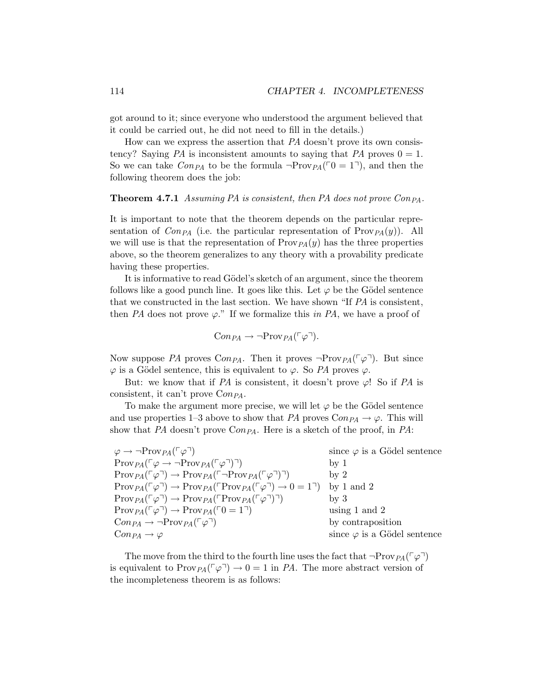got around to it; since everyone who understood the argument believed that it could be carried out, he did not need to fill in the details.)

How can we express the assertion that PA doesn't prove its own consistency? Saying PA is inconsistent amounts to saying that PA proves  $0 = 1$ . So we can take  $Con_{PA}$  to be the formula  $\neg Prov_{PA}(\ulcorner 0 = 1 \urcorner)$ , and then the following theorem does the job:

#### **Theorem 4.7.1** Assuming PA is consistent, then PA does not prove  $Con_{PA}$ .

It is important to note that the theorem depends on the particular representation of  $Con_{PA}$  (i.e. the particular representation of  $Prov_{PA}(y)$ ). All we will use is that the representation of  $\text{Prov}_{PA}(y)$  has the three properties above, so the theorem generalizes to any theory with a provability predicate having these properties.

It is informative to read Gödel's sketch of an argument, since the theorem follows like a good punch line. It goes like this. Let  $\varphi$  be the Gödel sentence that we constructed in the last section. We have shown "If PA is consistent, then PA does not prove  $\varphi$ ." If we formalize this in PA, we have a proof of

$$
\mathrm{Con}_{\mathit{PA}} \rightarrow \neg \mathrm{Prov}_{\mathit{PA}}(\ulcorner \varphi \urcorner).
$$

Now suppose PA proves Con<sub>PA</sub>. Then it proves  $\neg Prov_{PA}(\ulcorner\varphi\urcorner)$ . But since  $\varphi$  is a Gödel sentence, this is equivalent to  $\varphi$ . So PA proves  $\varphi$ .

But: we know that if PA is consistent, it doesn't prove  $\varphi$ ! So if PA is consistent, it can't prove  $Con_{PA}$ .

To make the argument more precise, we will let  $\varphi$  be the Gödel sentence and use properties 1–3 above to show that PA proves  $Con_{PA} \rightarrow \varphi$ . This will show that PA doesn't prove  $Con_{PA}$ . Here is a sketch of the proof, in PA:

 $\varphi \to \neg \text{Prov}_{PA}(\ulcorner \varphi \urcorner)$  since  $\varphi$  is a Gödel sentence  $\text{Prov}_{PA}(\ulcorner \varphi \rightarrow \neg \text{Prov}_{PA}(\ulcorner \varphi \urcorner) \urcorner)$  by 1  $\text{Prov}_{PA}(\ulcorner\varphi\urcorner)\rightarrow\text{Prov}_{PA}(\ulcorner\lnot\text{Prov}_{PA}(\ulcorner\varphi\urcorner)\urcorner)$  by 2  $Prov_{PA}(\ulcorner\varphi\urcorner)\rightarrow Prov_{PA}(\ulcorner\text{Prov}_{PA}(\ulcorner\varphi\urcorner)\rightarrow 0 = 1\urcorner)$  by 1 and 2  $Prov_{PA}(\ulcorner\varphi\urcorner)\rightarrow Prov_{PA}(\ulcorner\text{Prov}_{PA}(\ulcorner\varphi\urcorner)\urcorner)$  by 3  $Prov_{PA}(\ulcorner \varphi \urcorner) \rightarrow Prov_{PA}(\ulcorner 0 = 1 \urcorner)$  using 1 and 2  $Con_{PA} \rightarrow \neg Prov_{PA}(\ulcorner \varphi \urcorner)$  by contraposition  $\text{Con}_{PA} \rightarrow \varphi$  since  $\varphi$  is a Gödel sentence

The move from the third to the fourth line uses the fact that  $\neg Prov_{PA}(\ulcorner\varphi\urcorner)$ is equivalent to  $\text{Prov}_{PA}(\lceil \varphi \rceil) \to 0 = 1$  in PA. The more abstract version of the incompleteness theorem is as follows: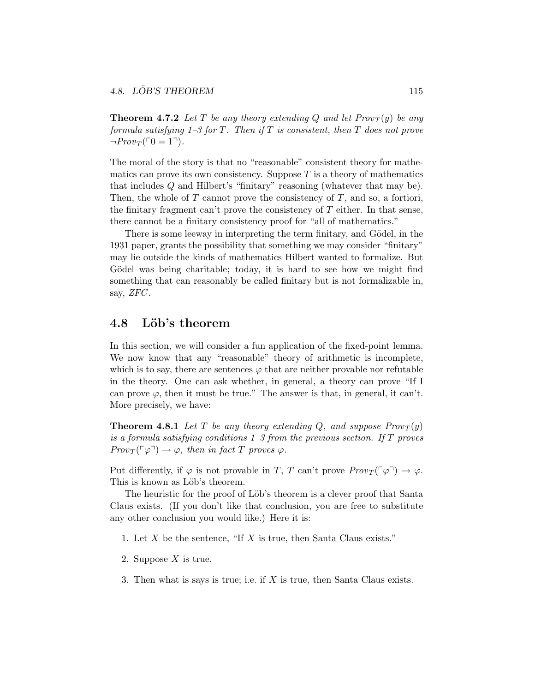**Theorem 4.7.2** Let T be any theory extending Q and let  $Prov_T(y)$  be any formula satisfying  $1-3$  for T. Then if T is consistent, then T does not prove  $\neg Prov_T({\ulcorner}0 = 1{\urcorner}).$ 

The moral of the story is that no "reasonable" consistent theory for mathematics can prove its own consistency. Suppose  $T$  is a theory of mathematics that includes Q and Hilbert's "finitary" reasoning (whatever that may be). Then, the whole of  $T$  cannot prove the consistency of  $T$ , and so, a fortiori, the finitary fragment can't prove the consistency of  $T$  either. In that sense, there cannot be a finitary consistency proof for "all of mathematics."

There is some leeway in interpreting the term finitary, and Gödel, in the 1931 paper, grants the possibility that something we may consider "finitary" may lie outside the kinds of mathematics Hilbert wanted to formalize. But Gödel was being charitable; today, it is hard to see how we might find something that can reasonably be called finitary but is not formalizable in, say, ZFC .

# 4.8 Löb's theorem

In this section, we will consider a fun application of the fixed-point lemma. We now know that any "reasonable" theory of arithmetic is incomplete, which is to say, there are sentences  $\varphi$  that are neither provable nor refutable in the theory. One can ask whether, in general, a theory can prove "If I can prove  $\varphi$ , then it must be true." The answer is that, in general, it can't. More precisely, we have:

**Theorem 4.8.1** Let T be any theory extending Q, and suppose  $Prov_T(y)$ is a formula satisfying conditions  $1-3$  from the previous section. If T proves  $Prov_T(\ulcorner\varphi\urcorner)\to\varphi$ , then in fact T proves  $\varphi$ .

Put differently, if  $\varphi$  is not provable in T, T can't prove  $Prov_T(\ulcorner \varphi \urcorner) \to \varphi$ . This is known as Löb's theorem.

The heuristic for the proof of Löb's theorem is a clever proof that Santa Claus exists. (If you don't like that conclusion, you are free to substitute any other conclusion you would like.) Here it is:

- 1. Let  $X$  be the sentence, "If  $X$  is true, then Santa Claus exists."
- 2. Suppose  $X$  is true.
- 3. Then what is says is true; i.e. if  $X$  is true, then Santa Claus exists.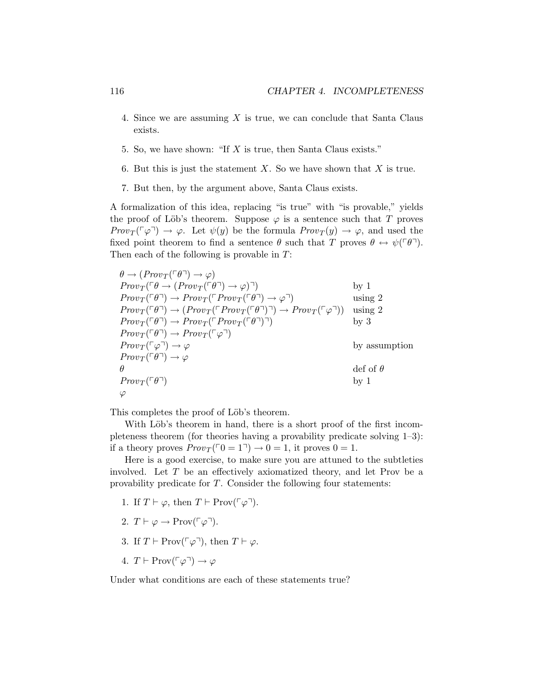- 4. Since we are assuming X is true, we can conclude that Santa Claus exists.
- 5. So, we have shown: "If X is true, then Santa Claus exists."
- 6. But this is just the statement  $X$ . So we have shown that  $X$  is true.
- 7. But then, by the argument above, Santa Claus exists.

A formalization of this idea, replacing "is true" with "is provable," yields the proof of Löb's theorem. Suppose  $\varphi$  is a sentence such that T proves  $Prov_T(\ulcorner\varphi\urcorner)\rightarrow\varphi$ . Let  $\psi(y)$  be the formula  $Prov_T(y)\rightarrow\varphi$ , and used the fixed point theorem to find a sentence  $\theta$  such that T proves  $\theta \leftrightarrow \psi(\theta)$ . Then each of the following is provable in  $T$ :

 $\theta \rightarrow (Prov_T(\ulcorner \theta \urcorner) \rightarrow \varphi)$  $Prov_T(\ulcorner \theta \rightarrow (Prov_T(\ulcorner \theta \urcorner) \rightarrow \varphi) \urcorner)$  by 1  $Prov_T(\ulcorner \theta \urcorner) \to Prov_T(\ulcorner Prov_T(\ulcorner \theta \urcorner) \to \varphi \urcorner)$  using 2  $Prov_T(\ulcorner\theta\urcorner)\rightarrow (Prov_T(\ulcorner Prov_T(\ulcorner\theta\urcorner)\urcorner)\rightarrow Prov_T(\ulcorner\varphi\urcorner))$  using 2  $Prov_T(\ulcorner \theta \urcorner) \to Prov_T(\ulcorner Prov_T(\ulcorner \theta \urcorner)) \urcorner)$  by 3  $Prov_T(\ulcorner\theta\urcorner)\rightarrow Prov_T(\ulcorner\varphi\urcorner)$  $Prov_T(\ulcorner \varphi \urcorner) \rightarrow \varphi$  by assumption  $Prov_T(\ulcorner\theta\urcorner)\rightarrow\varphi$  $\theta$  def of  $\theta$  $Prov_T(\ulcorner \theta \urcorner)$  by 1  $\varphi$ 

This completes the proof of Löb's theorem.

With Löb's theorem in hand, there is a short proof of the first incompleteness theorem (for theories having a provability predicate solving 1–3): if a theory proves  $Prov_T(\ulcorner 0 = 1 \urcorner) \rightarrow 0 = 1$ , it proves  $0 = 1$ .

Here is a good exercise, to make sure you are attuned to the subtleties involved. Let T be an effectively axiomatized theory, and let Prov be a provability predicate for T. Consider the following four statements:

- 1. If  $T \vdash \varphi$ , then  $T \vdash \text{Prov}(\ulcorner \varphi \urcorner)$ .
- 2.  $T \vdash \varphi \rightarrow \text{Prov}(\ulcorner \varphi \urcorner).$
- 3. If  $T \vdash \text{Prov}(\ulcorner \varphi \urcorner)$ , then  $T \vdash \varphi$ .
- 4.  $T \vdash \text{Prov}(\ulcorner \varphi \urcorner) \rightarrow \varphi$

Under what conditions are each of these statements true?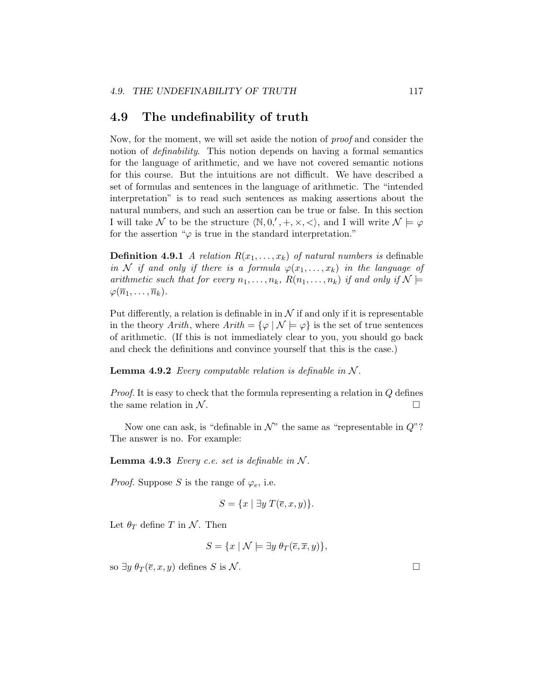## 4.9 The undefinability of truth

Now, for the moment, we will set aside the notion of proof and consider the notion of definability. This notion depends on having a formal semantics for the language of arithmetic, and we have not covered semantic notions for this course. But the intuitions are not difficult. We have described a set of formulas and sentences in the language of arithmetic. The "intended interpretation" is to read such sentences as making assertions about the natural numbers, and such an assertion can be true or false. In this section I will take N to be the structure  $\langle \mathbb{N}, 0, ', +, \times, \langle \rangle$ , and I will write  $\mathcal{N} \models \varphi$ for the assertion " $\varphi$  is true in the standard interpretation."

**Definition 4.9.1** A relation  $R(x_1, \ldots, x_k)$  of natural numbers is definable in N if and only if there is a formula  $\varphi(x_1, \ldots, x_k)$  in the language of arithmetic such that for every  $n_1, \ldots, n_k$ ,  $R(n_1, \ldots, n_k)$  if and only if  $\mathcal{N} \models$  $\varphi(\overline{n}_1,\ldots,\overline{n}_k).$ 

Put differently, a relation is definable in in  $N$  if and only if it is representable in the theory Arith, where  $Arith = {\varphi \mid \mathcal{N} \models \varphi}$  is the set of true sentences of arithmetic. (If this is not immediately clear to you, you should go back and check the definitions and convince yourself that this is the case.)

**Lemma 4.9.2** Every computable relation is definable in  $N$ .

*Proof.* It is easy to check that the formula representing a relation in  $Q$  defines the same relation in  $\mathcal{N}$ .

Now one can ask, is "definable in  $\mathcal{N}$ " the same as "representable in  $Q$ "? The answer is no. For example:

**Lemma 4.9.3** Every c.e. set is definable in  $N$ .

*Proof.* Suppose S is the range of  $\varphi_e$ , i.e.

$$
S = \{x \mid \exists y \ T(\overline{e}, x, y)\}.
$$

Let  $\theta_T$  define T in N. Then

$$
S = \{x \mid \mathcal{N} \models \exists y \; \theta_T(\overline{e}, \overline{x}, y)\},
$$

so  $\exists y \theta_T(\overline{e}, x, y)$  defines S is N.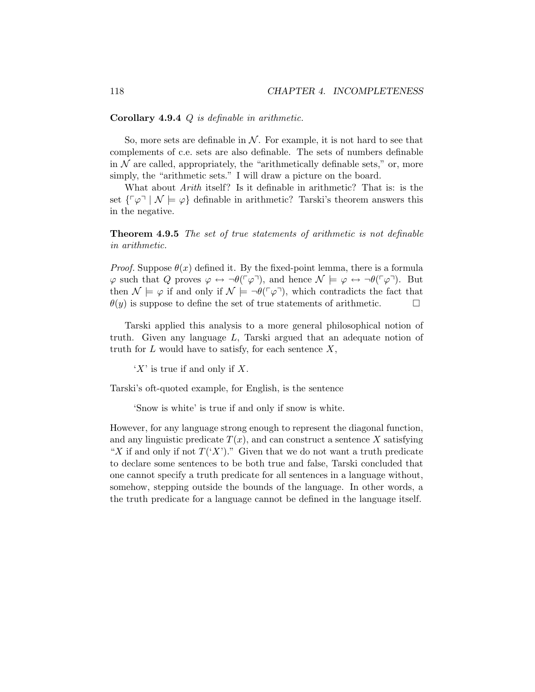#### Corollary 4.9.4 Q is definable in arithmetic.

So, more sets are definable in  $\mathcal N$ . For example, it is not hard to see that complements of c.e. sets are also definable. The sets of numbers definable in  $\mathcal N$  are called, appropriately, the "arithmetically definable sets," or, more simply, the "arithmetic sets." I will draw a picture on the board.

What about Arith itself? Is it definable in arithmetic? That is: is the set  $\{\lceil \varphi \rceil | \mathcal{N} \models \varphi\}$  definable in arithmetic? Tarski's theorem answers this in the negative.

**Theorem 4.9.5** The set of true statements of arithmetic is not definable in arithmetic.

*Proof.* Suppose  $\theta(x)$  defined it. By the fixed-point lemma, there is a formula  $\varphi$  such that Q proves  $\varphi \leftrightarrow \neg \theta(\ulcorner \varphi \urcorner)$ , and hence  $\mathcal{N} \models \varphi \leftrightarrow \neg \theta(\ulcorner \varphi \urcorner)$ . But then  $\mathcal{N} \models \varphi$  if and only if  $\mathcal{N} \models \neg \theta(\ulcorner \varphi \urcorner)$ , which contradicts the fact that  $\theta(y)$  is suppose to define the set of true statements of arithmetic.

Tarski applied this analysis to a more general philosophical notion of truth. Given any language L, Tarski argued that an adequate notion of truth for  $L$  would have to satisfy, for each sentence  $X$ ,

 $'X'$  is true if and only if X.

Tarski's oft-quoted example, for English, is the sentence

'Snow is white' is true if and only if snow is white.

However, for any language strong enough to represent the diagonal function, and any linguistic predicate  $T(x)$ , and can construct a sentence X satisfying "X if and only if not  $T(X')$ ." Given that we do not want a truth predicate to declare some sentences to be both true and false, Tarski concluded that one cannot specify a truth predicate for all sentences in a language without, somehow, stepping outside the bounds of the language. In other words, a the truth predicate for a language cannot be defined in the language itself.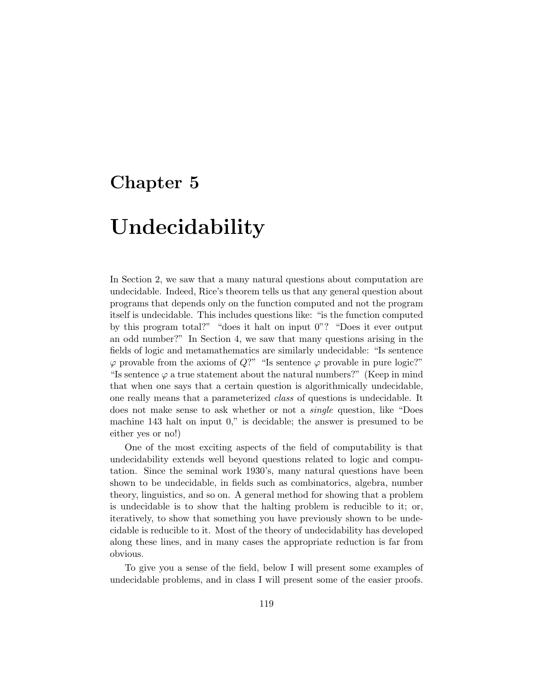# Chapter 5

# Undecidability

In Section 2, we saw that a many natural questions about computation are undecidable. Indeed, Rice's theorem tells us that any general question about programs that depends only on the function computed and not the program itself is undecidable. This includes questions like: "is the function computed by this program total?" "does it halt on input 0"? "Does it ever output an odd number?" In Section 4, we saw that many questions arising in the fields of logic and metamathematics are similarly undecidable: "Is sentence  $\varphi$  provable from the axioms of  $Q$ ?" "Is sentence  $\varphi$  provable in pure logic?" "Is sentence  $\varphi$  a true statement about the natural numbers?" (Keep in mind that when one says that a certain question is algorithmically undecidable, one really means that a parameterized class of questions is undecidable. It does not make sense to ask whether or not a single question, like "Does machine 143 halt on input 0," is decidable; the answer is presumed to be either yes or no!)

One of the most exciting aspects of the field of computability is that undecidability extends well beyond questions related to logic and computation. Since the seminal work 1930's, many natural questions have been shown to be undecidable, in fields such as combinatorics, algebra, number theory, linguistics, and so on. A general method for showing that a problem is undecidable is to show that the halting problem is reducible to it; or, iteratively, to show that something you have previously shown to be undecidable is reducible to it. Most of the theory of undecidability has developed along these lines, and in many cases the appropriate reduction is far from obvious.

To give you a sense of the field, below I will present some examples of undecidable problems, and in class I will present some of the easier proofs.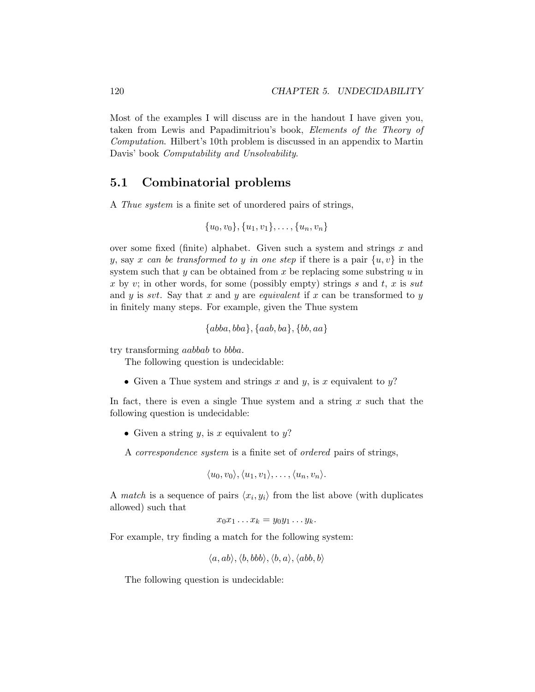Most of the examples I will discuss are in the handout I have given you, taken from Lewis and Papadimitriou's book, Elements of the Theory of Computation. Hilbert's 10th problem is discussed in an appendix to Martin Davis' book *Computability* and *Unsolvability*.

# 5.1 Combinatorial problems

A Thue system is a finite set of unordered pairs of strings,

$$
\{u_0, v_0\}, \{u_1, v_1\}, \ldots, \{u_n, v_n\}
$$

over some fixed (finite) alphabet. Given such a system and strings  $x$  and y, say x can be transformed to y in one step if there is a pair  $\{u, v\}$  in the system such that  $y$  can be obtained from x be replacing some substring u in x by v; in other words, for some (possibly empty) strings s and t, x is sut and y is svt. Say that x and y are *equivalent* if x can be transformed to y in finitely many steps. For example, given the Thue system

$$
\{abba, bba\}, \{aab, ba\}, \{bb, ab, aa\}
$$

try transforming aabbab to bbba.

The following question is undecidable:

• Given a Thue system and strings x and y, is x equivalent to  $y$ ?

In fact, there is even a single Thue system and a string  $x$  such that the following question is undecidable:

• Given a string  $y$ , is  $x$  equivalent to  $y$ ?

A correspondence system is a finite set of ordered pairs of strings,

$$
\langle u_0, v_0 \rangle, \langle u_1, v_1 \rangle, \ldots, \langle u_n, v_n \rangle.
$$

A match is a sequence of pairs  $\langle x_i, y_i \rangle$  from the list above (with duplicates allowed) such that

$$
x_0x_1\ldots x_k=y_0y_1\ldots y_k.
$$

For example, try finding a match for the following system:

$$
\langle a,ab\rangle,\langle b,bbb\rangle,\langle b,a\rangle,\langle abb,b\rangle
$$

The following question is undecidable: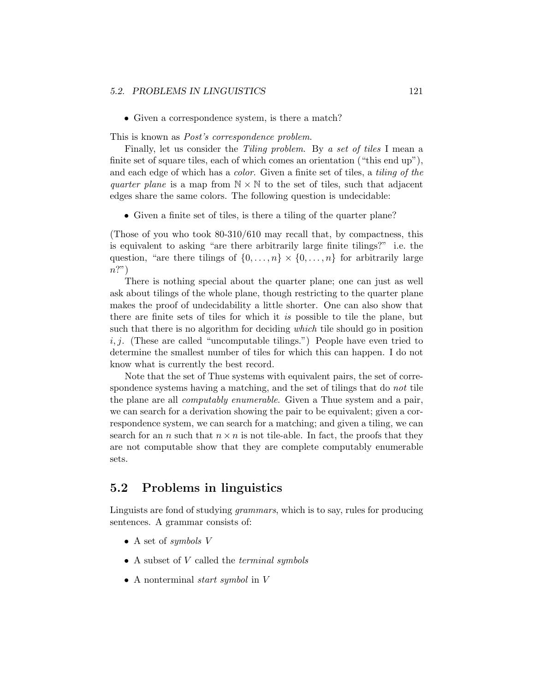• Given a correspondence system, is there a match?

This is known as Post's correspondence problem.

Finally, let us consider the *Tiling problem*. By a set of tiles I mean a finite set of square tiles, each of which comes an orientation ("this end up"), and each edge of which has a color. Given a finite set of tiles, a tiling of the quarter plane is a map from  $N \times N$  to the set of tiles, such that adjacent edges share the same colors. The following question is undecidable:

• Given a finite set of tiles, is there a tiling of the quarter plane?

(Those of you who took 80-310/610 may recall that, by compactness, this is equivalent to asking "are there arbitrarily large finite tilings?" i.e. the question, "are there tilings of  $\{0, \ldots, n\} \times \{0, \ldots, n\}$  for arbitrarily large  $n$ ?")

There is nothing special about the quarter plane; one can just as well ask about tilings of the whole plane, though restricting to the quarter plane makes the proof of undecidability a little shorter. One can also show that there are finite sets of tiles for which it is possible to tile the plane, but such that there is no algorithm for deciding which tile should go in position  $i, j$ . (These are called "uncomputable tilings.") People have even tried to determine the smallest number of tiles for which this can happen. I do not know what is currently the best record.

Note that the set of Thue systems with equivalent pairs, the set of correspondence systems having a matching, and the set of tilings that do not tile the plane are all *computably enumerable*. Given a Thue system and a pair, we can search for a derivation showing the pair to be equivalent; given a correspondence system, we can search for a matching; and given a tiling, we can search for an n such that  $n \times n$  is not tile-able. In fact, the proofs that they are not computable show that they are complete computably enumerable sets.

# 5.2 Problems in linguistics

Linguists are fond of studying grammars, which is to say, rules for producing sentences. A grammar consists of:

- A set of *symbols* V
- A subset of V called the *terminal symbols*
- A nonterminal start symbol in V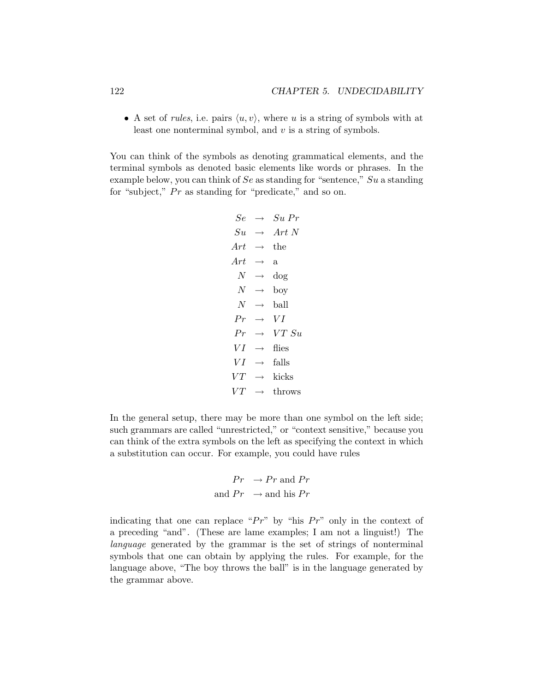• A set of *rules*, i.e. pairs  $\langle u, v \rangle$ , where u is a string of symbols with at least one nonterminal symbol, and  $v$  is a string of symbols.

You can think of the symbols as denoting grammatical elements, and the terminal symbols as denoted basic elements like words or phrases. In the example below, you can think of  $Se$  as standing for "sentence,"  $Su$  a standing for "subject,"  $Pr$  as standing for "predicate," and so on.

$$
Se \rightarrow Su Pr
$$
  
\n
$$
Su \rightarrow Art N
$$
  
\n
$$
Art \rightarrow the
$$
  
\n
$$
Art \rightarrow a
$$
  
\n
$$
N \rightarrow dog
$$
  
\n
$$
N \rightarrow boy
$$
  
\n
$$
N \rightarrow ball
$$
  
\n
$$
Pr \rightarrow VI
$$
  
\n
$$
Pr \rightarrow VT Su
$$
  
\n
$$
VI \rightarrow files
$$
  
\n
$$
VI \rightarrow false
$$
  
\n
$$
VT \rightarrow kicks
$$
  
\n
$$
VT \rightarrow throws
$$

In the general setup, there may be more than one symbol on the left side; such grammars are called "unrestricted," or "context sensitive," because you can think of the extra symbols on the left as specifying the context in which a substitution can occur. For example, you could have rules

$$
Pr \rightarrow Pr \text{ and } Pr
$$
  
and 
$$
Pr \rightarrow \text{ and his } Pr
$$

indicating that one can replace " $Pr$ " by "his  $Pr$ " only in the context of a preceding "and". (These are lame examples; I am not a linguist!) The language generated by the grammar is the set of strings of nonterminal symbols that one can obtain by applying the rules. For example, for the language above, "The boy throws the ball" is in the language generated by the grammar above.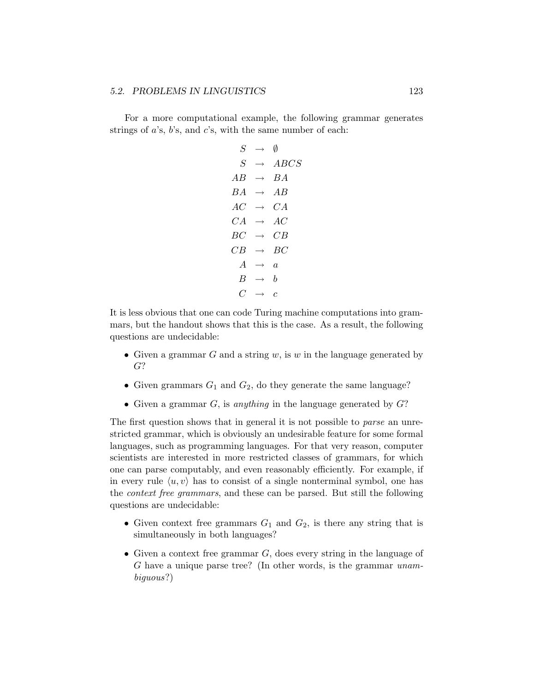For a more computational example, the following grammar generates strings of  $a$ 's,  $b$ 's, and  $c$ 's, with the same number of each:

> $S \rightarrow \emptyset$  $S \rightarrow ABCS$  $AB \rightarrow BA$  $BA \rightarrow AB$  $AC \rightarrow CA$  $CA \rightarrow AC$  $BC \rightarrow CB$  $CB \rightarrow BC$  $A \rightarrow a$  $B \rightarrow b$  $C \rightarrow c$

It is less obvious that one can code Turing machine computations into grammars, but the handout shows that this is the case. As a result, the following questions are undecidable:

- Given a grammar  $G$  and a string  $w$ , is  $w$  in the language generated by G?
- Given grammars  $G_1$  and  $G_2$ , do they generate the same language?
- Given a grammar  $G$ , is anything in the language generated by  $G$ ?

The first question shows that in general it is not possible to *parse* an unrestricted grammar, which is obviously an undesirable feature for some formal languages, such as programming languages. For that very reason, computer scientists are interested in more restricted classes of grammars, for which one can parse computably, and even reasonably efficiently. For example, if in every rule  $\langle u, v \rangle$  has to consist of a single nonterminal symbol, one has the context free grammars, and these can be parsed. But still the following questions are undecidable:

- Given context free grammars  $G_1$  and  $G_2$ , is there any string that is simultaneously in both languages?
- Given a context free grammar  $G$ , does every string in the language of G have a unique parse tree? (In other words, is the grammar unambiguous?)